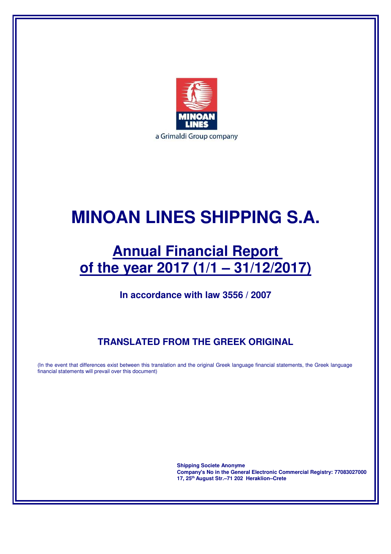

# **MINOAN LINES SHIPPING S.A.**

# **Annual Financial Report of the year 2017 (1/1 – 31/12/2017)**

**In accordance with law 3556 / 2007** 

# **TRANSLATED FROM THE GREEK ORIGINAL**

(In the event that differences exist between this translation and the original Greek language financial statements, the Greek language financial statements will prevail over this document)

> **Shipping Societe Anonyme Company's No in the General Electronic Commercial Registry: 77083027000 17, 25th August Str.–71 202 Heraklion–Crete**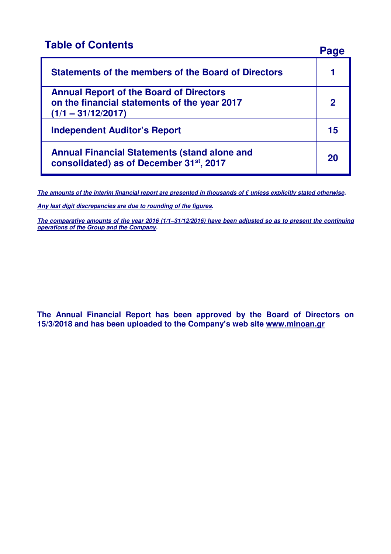# **Table of Contents** Page

| Statements of the members of the Board of Directors                                                                    |             |
|------------------------------------------------------------------------------------------------------------------------|-------------|
| <b>Annual Report of the Board of Directors</b><br>on the financial statements of the year 2017<br>$(1/1 - 31/12/2017)$ | $\mathbf 2$ |
| <b>Independent Auditor's Report</b>                                                                                    | 15          |
| <b>Annual Financial Statements (stand alone and</b><br>consolidated) as of December 31st, 2017                         | 20          |

**The amounts of the interim financial report are presented in thousands of € unless explicitly stated otherwise.** 

**Any last digit discrepancies are due to rounding of the figures.** 

**The comparative amounts of the year 2016 (1/1–31/12/2016) have been adjusted so as to present the continuing operations of the Group and the Company.** 

**The Annual Financial Report has been approved by the Board of Directors on 15/3/2018 and has been uploaded to the Company's web site www.minoan.gr**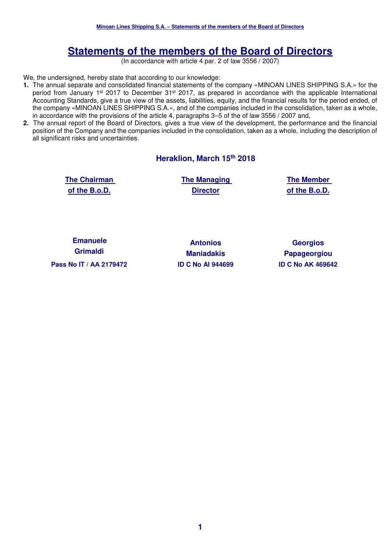# **Statements of the members of the Board of Directors**

(In accordance with article 4 par. 2 of law 3556 / 2007)

We, the undersigned, hereby state that according to our knowledge:

- **1.** The annual separate and consolidated financial statements of the company «MINOAN LINES SHIPPING S.A.» for the period from January 1<sup>st</sup> 2017 to December 31<sup>st</sup> 2017, as prepared in accordance with the applicable International Accounting Standards, give a true view of the assets, liabilities, equity, and the financial results for the period ended, of the company «MINOAN LINES SHIPPING S.A.», and of the companies included in the consolidation, taken as a whole, in accordance with the provisions of the article 4, paragraphs 3–5 of the of law 3556 / 2007 and,
- **2.** The annual report of the Board of Directors, gives a true view of the development, the performance and the financial position of the Company and the companies included in the consolidation, taken as a whole, including the description of all significant risks and uncertainties.

#### **Heraklion, March 15th 2018**

| <b>The Chairman</b> |  |
|---------------------|--|
| of the B.o.D.       |  |

**The Managing Director**

**The Member of the B.o.D.** 

**Emanuele Grimaldi Pass Nο IT / ΑΑ 2179472 ID C No AI 944699 ID C No ΑΚ 469642** 

**Antonios Maniadakis**

**Georgios Papageorgiou**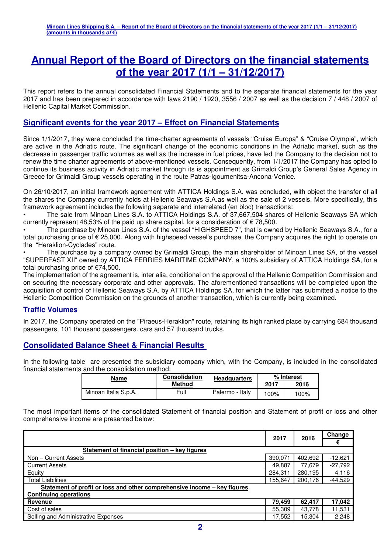# **Annual Report of the Board of Directors on the financial statements of the year 2017 (1/1 – 31/12/2017)**

This report refers to the annual consolidated Financial Statements and to the separate financial statements for the year 2017 and has been prepared in accordance with laws 2190 / 1920, 3556 / 2007 as well as the decision 7 / 448 / 2007 of Hellenic Capital Market Commission.

## **Significant events for the year 2017 – Effect on Financial Statements**

Since 1/1/2017, they were concluded the time-charter agreements of vessels "Cruise Europa" & "Cruise Olympia", which are active in the Adriatic route. The significant change of the economic conditions in the Adriatic market, such as the decrease in passenger traffic volumes as well as the increase in fuel prices, have led the Company to the decision not to renew the time charter agreements of above-mentioned vessels. Consequently, from 1/1/2017 the Company has opted to continue its business activity in Adriatic market through its is appointment as Grimaldi Group's General Sales Agency in Greece for Grimaldi Group vessels operating in the route Patras-Igoumenitsa-Ancona-Venice.

On 26/10/2017, an initial framework agreement with ATTICA Holdings S.A. was concluded, with object the transfer of all the shares the Company currently holds at Hellenic Seaways S.A.as well as the sale of 2 vessels. More specifically, this framework agreement includes the following separate and interrelated (en bloc) transactions:

• The sale from Minoan Lines S.A. to ATTICA Holdings S.A. of 37,667,504 shares of Hellenic Seaways SA which currently represent 48,53% of the paid up share capital, for a consideration of  $\epsilon$  78,500.

• The purchase by Minoan Lines S.A. of the vessel "HIGHSPEED 7", that is owned by Hellenic Seaways S.A., for a total purchasing price of € 25,000. Along with highspeed vessel's purchase, the Company acquires the right to operate on the "Heraklion-Cyclades" route.

The purchase by a company owned by Grimaldi Group, the main shareholder of Minoan Lines SA, of the vessel "SUPERFAST XII" owned by ATTICA FERRIES MARITIME COMPANY, a 100% subsidiary of ATTICA Holdings SA, for a total purchasing price of €74,500.

The implementation of the agreement is, inter alia, conditional on the approval of the Hellenic Competition Commission and on securing the necessary corporate and other approvals. The aforementioned transactions will be completed upon the acquisition of control of Hellenic Seaways S.A. by ATTICA Holdings SA, for which the latter has submitted a notice to the Hellenic Competition Commission on the grounds of another transaction, which is currently being examined.

#### **Traffic Volumes**

In 2017, the Company operated on the "Piraeus-Heraklion" route, retaining its high ranked place by carrying 684 thousand passengers, 101 thousand passengers. cars and 57 thousand trucks.

## **Consolidated Balance Sheet & Financial Results**

In the following table are presented the subsidiary company which, with the Company, is included in the consolidated financial statements and the consolidation method:

| Name                 | <b>Consolidation</b> | <b>Headquarters</b> | % Interest |      |
|----------------------|----------------------|---------------------|------------|------|
|                      | <b>Method</b>        |                     | 2017       | 2016 |
| Minoan Italia S.p.A. | Full                 | Palermo - Italy     | 100%       | 100% |

The most important items of the consolidated Statement of financial position and Statement of profit or loss and other comprehensive income are presented below:

|                                                                          | 2017    | 2016    | Change    |
|--------------------------------------------------------------------------|---------|---------|-----------|
|                                                                          |         |         | €         |
| Statement of financial position – key figures                            |         |         |           |
| Non – Current Assets                                                     | 390.071 | 402,692 | $-12,621$ |
| <b>Current Assets</b>                                                    | 49.887  | 77.679  | $-27,792$ |
| Equity                                                                   | 284.311 | 280,195 | 4,116     |
| <b>Total Liabilities</b>                                                 | 155.647 | 200,176 | $-44,529$ |
| Statement of profit or loss and other comprehensive income – key figures |         |         |           |
| <b>Continuing operations</b>                                             |         |         |           |
| Revenue                                                                  | 79,459  | 62.417  | 17,042    |
| Cost of sales                                                            | 55,309  | 43,778  | 11,531    |
| Selling and Administrative Expenses                                      | 17,552  | 15,304  | 2,248     |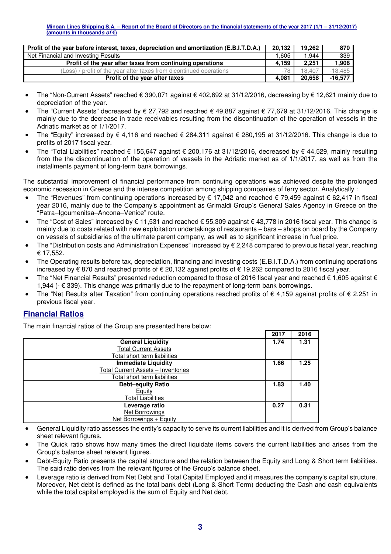| Profit of the year before interest, taxes, depreciation and amortization (E.B.I.T.D.A.) | 20.132 | 19.262 | 870       |
|-----------------------------------------------------------------------------------------|--------|--------|-----------|
| Net Financial and Investing Results                                                     | 1.605  | 1.944  | -339      |
| Profit of the year after taxes from continuing operations                               | 4.159  | 2,251  | 1.908     |
| (Loss) / profit of the year after taxes from dicontinued operations                     | $-78$  | 18.407 | $-18.485$ |
| Profit of the year after taxes                                                          | 4.081  | 20.658 | $-16.577$ |

- The "Non-Current Assets" reached € 390,071 against € 402,692 at 31/12/2016, decreasing by € 12,621 mainly due to depreciation of the year.
- The "Current Assets" decreased by € 27,792 and reached € 49,887 against € 77,679 at 31/12/2016. This change is mainly due to the decrease in trade receivables resulting from the discontinuation of the operation of vessels in the Adriatic market as of 1/1/2017.
- The "Equity" increased by € 4,116 and reached € 284,311 against € 280,195 at 31/12/2016. This change is due to profits of 2017 fiscal year.
- The "Total Liabilities" reached € 155,647 against € 200,176 at 31/12/2016, decreased by € 44,529, mainly resulting from the the discontinuation of the operation of vessels in the Adriatic market as of 1/1/2017, as well as from the installments payment of long-term bank borrowings.

The substantial improvement of financial performance from continuing operations was achieved despite the prolonged economic recession in Greece and the intense competition among shipping companies of ferry sector. Analytically :

- The "Revenues" from continuing operations increased by  $\epsilon$  17,042 and reached  $\epsilon$  79,459 against  $\epsilon$  62,417 in fiscal year 2016, mainly due to the Company's appointment as Grimaldi Group's General Sales Agency in Greece on the "Patra–Igoumenitsa–Ancona–Venice" route.
- The "Cost of Sales" increased by € 11,531 and reached € 55,309 against € 43,778 in 2016 fiscal year. This change is mainly due to costs related with new exploitation undertakings of restaurants – bars – shops on board by the Company on vessels of subsidiaries of the ultimate parent company, as well as to significant increase in fuel price.
- The "Distribution costs and Administration Expenses" increased by € 2,248 compared to previous fiscal year, reaching € 17,552.
- The Operating results before tax, depreciation, financing and investing costs (E.B.I.T.D.A.) from continuing operations increased by € 870 and reached profits of € 20,132 against profits of € 19.262 compared to 2016 fiscal year.
- The "Net Financial Results" presented reduction compared to those of 2016 fiscal year and reached  $\epsilon$  1,605 against  $\epsilon$ 1,944 ( $\epsilon$  339). This change was primarily due to the repayment of long-term bank borrowings.
- The "Net Results after Taxation" from continuing operations reached profits of  $\epsilon$  4,159 against profits of  $\epsilon$  2,251 in previous fiscal year.

## **Financial Ratios**

The main financial ratios of the Group are presented here below:

|                                    | 2017 | 2016 |
|------------------------------------|------|------|
| <b>General Liquidity</b>           | 1.74 | 1.31 |
| <b>Total Current Assets</b>        |      |      |
| Total short term liabilities       |      |      |
| <b>Immediate Liquidity</b>         | 1.66 | 1.25 |
| Total Current Assets - Inventories |      |      |
| Total short term liabilities       |      |      |
| <b>Debt-equity Ratio</b>           | 1.83 | 1.40 |
| Equity                             |      |      |
| <b>Total Liabilities</b>           |      |      |
| Leverage ratio                     | 0.27 | 0.31 |
| Net Borrowings                     |      |      |
| Net Borrowings + Equity            |      |      |

- General Liquidity ratio assesses the entity's capacity to serve its current liabilities and it is derived from Group's balance sheet relevant figures.
- The Quick ratio shows how many times the direct liquidate items covers the current liabilities and arises from the Group's balance sheet relevant figures.
- Debt-Equity Ratio presents the capital structure and the relation between the Equity and Long & Short term liabilities. The said ratio derives from the relevant figures of the Group's balance sheet.
- Leverage ratio is derived from Net Debt and Total Capital Employed and it measures the company's capital structure. Moreover, Net debt is defined as the total bank debt (Long & Short Term) deducting the Cash and cash equivalents while the total capital employed is the sum of Equity and Net debt.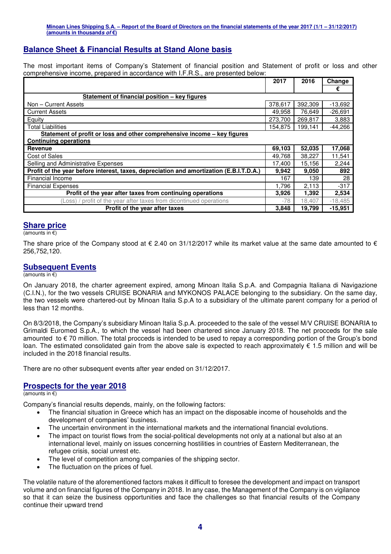## **Balance Sheet & Financial Results at Stand Alone basis**

The most important items of Company's Statement of financial position and Statement of profit or loss and other comprehensive income, prepared in accordance with I.F.R.S., are presented below:

|                                                                                         | 2017    | 2016    | Change    |
|-----------------------------------------------------------------------------------------|---------|---------|-----------|
|                                                                                         |         |         | €         |
| Statement of financial position - key figures                                           |         |         |           |
| Non - Current Assets                                                                    | 378,617 | 392,309 | $-13,692$ |
| <b>Current Assets</b>                                                                   | 49.958  | 76,649  | $-26,691$ |
| Equity                                                                                  | 273.700 | 269,817 | 3,883     |
| <b>Total Liabilities</b>                                                                | 154,875 | 199,141 | $-44,266$ |
| Statement of profit or loss and other comprehensive income – key figures                |         |         |           |
| <b>Continuing operations</b>                                                            |         |         |           |
| Revenue                                                                                 | 69,103  | 52,035  | 17,068    |
| <b>Cost of Sales</b>                                                                    | 49.768  | 38,227  | 11,541    |
| Selling and Administrative Expenses                                                     | 17.400  | 15,156  | 2,244     |
| Profit of the year before interest, taxes, depreciation and amortization (E.B.I.T.D.A.) | 9,942   | 9,050   | 892       |
| Financial Income                                                                        | 167     | 139     | 28        |
| <b>Financial Expenses</b>                                                               | 1,796   | 2,113   | $-317$    |
| Profit of the year after taxes from continuing operations                               | 3,926   | 1,392   | 2,534     |
| (Loss) / profit of the year after taxes from dicontinued operations                     | $-78$   | 18,407  | $-18,485$ |
| Profit of the year after taxes                                                          | 3,848   | 19,799  | $-15,951$ |

#### **Share price**

(amounts in €)

The share price of the Company stood at  $\epsilon$  2.40 on 31/12/2017 while its market value at the same date amounted to  $\epsilon$ 256,752,120.

#### **Subsequent Events**

#### (amounts in  $\epsilon$ )

On January 2018, the charter agreement expired, among Minoan Italia S.p.A. and Compagnia Italiana di Navigazione (C.I.N.), for the two vessels CRUISE BONARIA and MYKONOS PALACE belonging to the subsidiary. On the same day, the two vessels were chartered-out by Minoan Italia S.p.A to a subsidiary of the ultimate parent company for a period of less than 12 months.

On 8/3/2018, the Company's subsidiary Minoan Italia S.p.A. proceeded to the sale of the vessel M/V CRUISE BONARIA to Grimaldi Euromed S.p.A., to which the vessel had been chartered since January 2018. The net procceds for the sale amounted to € 70 million. The total procceds is intended to be used to repay a corresponding portion of the Group's bond loan. The estimated consolidated gain from the above sale is expected to reach approximately  $\epsilon$  1.5 million and will be included in the 2018 financial results.

There are no other subsequent events after year ended on 31/12/2017.

#### **Prospects for the year 2018**

#### $(\overline{\mathsf{amounts}} \text{ in } \epsilon)$

Company's financial results depends, mainly, on the following factors:

- The financial situation in Greece which has an impact on the disposable income of households and the development of companies' business.
- The uncertain environment in the international markets and the international financial evolutions.
- The impact on tourist flows from the social-political developments not only at a national but also at an international level, mainly on issues concerning hostilities in countries of Eastern Mediterranean, the refugee crisis, social unrest etc.
- The level of competition among companies of the shipping sector.
- The fluctuation on the prices of fuel.

The volatile nature of the aforementioned factors makes it difficult to foresee the development and impact on transport volume and on financial figures of the Company in 2018. In any case, the Management of the Company is on vigilance so that it can seize the business opportunities and face the challenges so that financial results of the Company continue their upward trend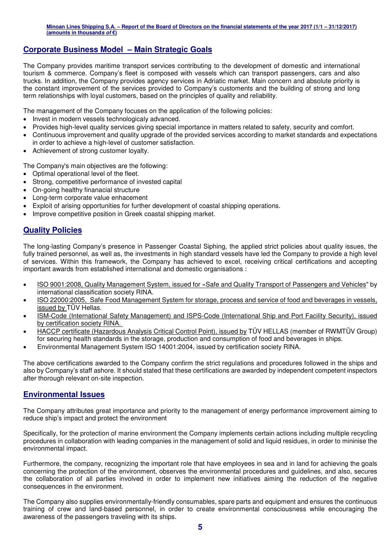## **Corporate Business Model – Main Strategic Goals**

The Company provides maritime transport services contributing to the development of domestic and international tourism & commerce. Company's fleet is composed with vessels which can transport passengers, cars and also trucks. In addition, the Company provides agency services in Adriatic market. Main concern and absolute priority is the constant improvement of the services provided to Company's customents and the building of strong and long term relationships with loyal customers, based on the principles of quality and reliability.

The management of the Company focuses on the application of the following policies:

- Invest in modern vessels technologicaly advanced.
- Provides high-level quality services giving special importance in matters related to safety, security and comfort.
- Continuous improvement and quality upgrade of the provided services according to market standards and expectations in order to achieve a high-level of customer satisfaction.
- Achievement of strong customer loyalty.

The Company's main objectives are the following:

- Optimal operational level of the fleet.
- Strong, competitive performance of invested capital
- On-going healthy finanacial structure
- Long-term corporate value enhacement
- Exploit of arising opportunities for further development of coastal shipping operations.
- Improve competitive position in Greek coastal shipping market.

## **Quality Policies**

The long-lasting Company's presence in Passenger Coastal Siphing, the applied strict policies about quality issues, the fully trained personnel, as well as, the investments in high standard vessels have led the Company to provide a high level of services. Within this framework, the Company has achieved to excel, receiving critical certifications and accepting important awards from established international and domestic organisations :

- ISO 9001:2008, Quality Management System, issued for «Safe and Quality Transport of Passengers and Vehicles" by international classification society RINA.
- ISO 22000:2005, Safe Food Management System for storage, process and service of food and beverages in vessels, issued by TÜV Hellas.
- ISM-Code (International Safety Management) and ISPS-Code (International Ship and Port Facility Security), issued by certification society RINA.
- HACCP certificate (Hazardous Analysis Critical Control Point), issued by ΤÜV HELLAS (member of RWMTÜV Group) for securing health standards in the storage, production and consumption of food and beverages in ships.
- Environmental Management System ISO 14001:2004, issued by certification society RINA.

The above certifications awarded to the Company confirm the strict regulations and procedures followed in the ships and also by Company's staff ashore. It should stated that these certifications are awarded by independent competent inspectors after thorough relevant on-site inspection.

#### **Environmental Issues**

The Company attributes great importance and priority to the management of energy performance improvement aiming to reduce ship's impact and protect the environment

Specifically, for the protection of marine environment the Company implements certain actions including multiple recycling procedures in collaboration with leading companies in the management of solid and liquid residues, in order to mininise the environmental impact.

Furthermore, the company, recognizing the important role that have employees in sea and in land for achieving the goals concerning the protection of the environment, observes the environmental procedures and guidelines, and also, secures the collaboration of all parties involved in order to implement new initiatives aiming the reduction of the negative consequences in the environment.

The Company also supplies environmentally-friendly consumables, spare parts and equipment and ensures the continuous training of crew and land-based personnel, in order to create environmental consciousness while encouraging the awareness of the passengers traveling with its ships.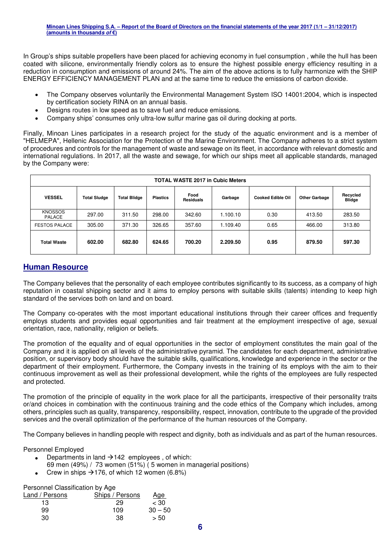In Group's ships suitable propellers have been placed for achieving economy in fuel consumption , while the hull has been coated with silicone, environmentally friendly colors as to ensure the highest possible energy efficiency resulting in a reduction in consumption and emissions of around 24%. The aim of the above actions is to fully harmonize with the SHIP ENERGY EFFICIENCY MANAGEMENT PLAN and at the same time to reduce the emissions of carbon dioxide.

- The Company observes voluntarily the Environmental Management System ISO 14001:2004, which is inspected by certification society RINA on an annual basis.
- Designs routes in low speed as to save fuel and reduce emissions.
- Company ships' consumes only ultra-low sulfur marine gas oil during docking at ports.

Finally, Minoan Lines participates in a research project for the study of the aquatic environment and is a member of "HELMEPA", Hellenic Association for the Protection of the Marine Environment. The Company adheres to a strict system of procedures and controls for the management of waste and sewage on its fleet, in accordance with relevant domestic and international regulations. In 2017, all the waste and sewage, for which our ships meet all applicable standards, managed by the Company were:

| <b>TOTAL WASTE 2017 in Cubic Meters</b> |                     |                     |                 |                          |          |                          |                      |                           |
|-----------------------------------------|---------------------|---------------------|-----------------|--------------------------|----------|--------------------------|----------------------|---------------------------|
| <b>VESSEL</b>                           | <b>Total Sludge</b> | <b>Total Blidge</b> | <b>Plastics</b> | Food<br><b>Residuals</b> | Garbage  | <b>Cooked Edible Oil</b> | <b>Other Garbage</b> | Recycled<br><b>Blidge</b> |
| <b>KNOSSOS</b><br>PALACE                | 297.00              | 311.50              | 298.00          | 342.60                   | 1.100.10 | 0.30                     | 413.50               | 283.50                    |
| <b>FESTOS PALACE</b>                    | 305.00              | 371.30              | 326.65          | 357.60                   | 1.109.40 | 0.65                     | 466.00               | 313.80                    |
| <b>Total Waste</b>                      | 602.00              | 682.80              | 624.65          | 700.20                   | 2.209.50 | 0.95                     | 879.50               | 597.30                    |

## **Human Resource**

The Company believes that the personality of each employee contributes significantly to its success, as a company of high reputation in coastal shipping sector and it aims to employ persons with suitable skills (talents) intending to keep high standard of the services both on land and on board.

The Company co-operates with the most important educational institutions through their career offices and frequently employs students and provides equal opportunities and fair treatment at the employment irrespective of age, sexual orientation, race, nationality, religion or beliefs.

The promotion of the equality and of equal opportunities in the sector of employment constitutes the main goal of the Company and it is applied on all levels of the administrative pyramid. The candidates for each department, administrative position, or supervisory body should have the suitable skills, qualifications, knowledge and experience in the sector or the department of their employment. Furthermore, the Company invests in the training of its employs with the aim to their continuous improvement as well as their professional development, while the rights of the employees are fully respected and protected.

The promotion of the principle of equality in the work place for all the participants, irrespective of their personality traits or/and choices in combination with the continuous training and the code ethics of the Company which includes, among others, principles such as quality, transparency, responsibility, respect, innovation, contribute to the upgrade of the provided services and the overall optimization of the performance of the human resources of the Company.

The Company believes in handling people with respect and dignity, both as individuals and as part of the human resources.

Personnel Employed

- Departments in land  $\rightarrow$  142 employees , of which:
- 69 men (49%) / 73 women (51%) ( 5 women in managerial positions)
- Crew in ships  $\rightarrow$  176, of which 12 women (6.8%)

Personnel Classification by Age

| Land / Persons | Ships / Persons | Age       |
|----------------|-----------------|-----------|
| 13             | 29              | $<$ 30    |
| 99             | 109             | $30 - 50$ |
| 30             | 38              | > 50      |
|                |                 |           |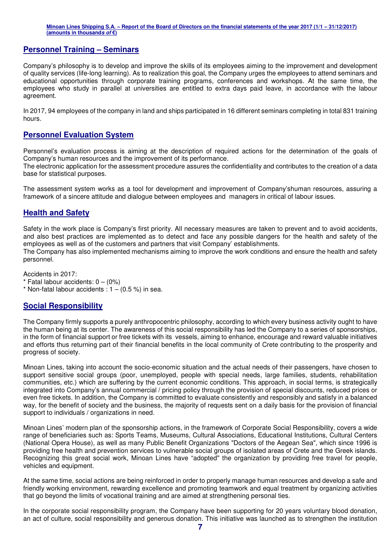#### **Personnel Training – Seminars**

Company's philosophy is to develop and improve the skills of its employees aiming to the improvement and development of quality services (life-long learning). As to realization this goal, the Company urges the employees to attend seminars and educational opportunities through corporate training programs, conferences and workshops. At the same time, the employees who study in parallel at universities are entitled to extra days paid leave, in accordance with the labour agreement.

In 2017, 94 employees of the company in land and ships participated in 16 different seminars completing in total 831 training hours.

## **Personnel Evaluation System**

Personnel's evaluation process is aiming at the description of required actions for the determination of the goals of Company's human resources and the improvement of its performance.

The electronic application for the assessment procedure assures the confidentiality and contributes to the creation of a data base for statistical purposes.

The assessment system works as a tool for development and improvement of Company'shuman resources, assuring a framework of a sincere attitude and dialogue between employees and managers in critical of labour issues.

#### **Health and Safety**

Safety in the work place is Company's first priority. All necessary measures are taken to prevent and to avoid accidents, and also best practices are implemented as to detect and face any possible dangers for the health and safety of the employees as well as of the customers and partners that visit Company' establishments.

The Company has also implemented mechanisms aiming to improve the work conditions and ensure the health and safety personnel.

Accidents in 2017:

- $*$  Fatal labour accidents:  $0 (0\%)$
- $*$  Non-fatal labour accidents :  $1 (0.5\%)$  in sea.

#### **Social Responsibility**

The Company firmly supports a purely anthropocentric philosophy, according to which every business activity ought to have the human being at its center. The awareness of this social responsibility has led the Company to a series of sponsorships, in the form of financial support or free tickets with its vessels, aiming to enhance, encourage and reward valuable initiatives and efforts thus returning part of their financial benefits in the local community of Crete contributing to the prosperity and progress of society.

Minoan Lines, taking into account the socio-economic situation and the actual needs of their passengers, have chosen to support sensitive social groups (poor, unemployed, people with special needs, large families, students, rehabilitation communities, etc.) which are suffering by the current economic conditions. This approach, in social terms, is strategically integrated into Company's annual commercial / pricing policy through the provision of special discounts, reduced prices or even free tickets. In addition, the Company is committed to evaluate consistently and responsibly and satisfy in a balanced way, for the benefit of society and the business, the majority of requests sent on a daily basis for the provision of financial support to individuals / organizations in need.

Minoan Lines' modern plan of the sponsorship actions, in the framework of Corporate Social Responsibility, covers a wide range of beneficiaries such as: Sports Teams, Museums, Cultural Associations, Educational Institutions, Cultural Centers (National Opera House), as well as many Public Benefit Organizations "Doctors of the Aegean Sea", which since 1996 is providing free health and prevention services to vulnerable social groups of isolated areas of Crete and the Greek islands. Recognizing this great social work, Minoan Lines have "adopted" the organization by providing free travel for people, vehicles and equipment.

At the same time, social actions are being reinforced in order to properly manage human resources and develop a safe and friendly working environment, rewarding excellence and promoting teamwork and equal treatment by organizing activities that go beyond the limits of vocational training and are aimed at strengthening personal ties.

In the corporate social responsibility program, the Company have been supporting for 20 years voluntary blood donation, an act of culture, social responsibility and generous donation. This initiative was launched as to strengthen the institution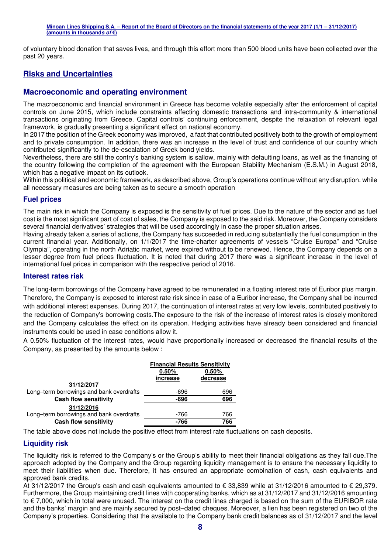of voluntary blood donation that saves lives, and through this effort more than 500 blood units have been collected over the past 20 years.

## **Risks and Uncertainties**

#### **Macroeconomic and operating environment**

The macroeconomic and financial environment in Greece has become volatile especially after the enforcement of capital controls on June 2015, which include constraints affecting domestic transactions and intra-community & international transactions originating from Greece. Capital controls' continuing enforcement, despite the relaxation of relevant legal framework, is gradually presenting a significant effect on national economy.

In 2017 the position of the Greek economy was improved, a fact that contributed positively both to the growth of employment and to private consumption. In addition, there was an increase in the level of trust and confidence of our country which contributed significantly to the de-escalation of Greek bond yields.

Nevertheless, there are still the contry's banking system is sallow, mainly with defaulting loans, as well as the financing of the country following the completion of the agreement with the European Stability Mechanism (E.S.M.) in August 2018, which has a negative impact on its outlook.

Within this political and economic framework, as described above, Group's operations continue without any disruption. while all necessary measures are being taken as to secure a smooth operation

#### **Fuel prices**

The main risk in which the Company is exposed is the sensitivity of fuel prices. Due to the nature of the sector and as fuel cost is the most significant part of cost of sales, the Company is exposed to the said risk. Moreover, the Company considers several financial derivatives' strategies that will be used accordingly in case the proper situation arises.

Having already taken a series of actions, the Company has succeeded in reducing substantially the fuel consumption in the current financial year. Additionally, on 1/1/2017 the time-charter agreements of vessels "Cruise Europa" and "Cruise Olympia", operating in the north Adriatic market, were expired without to be renewed. Hence, the Company depends on a lesser degree from fuel prices fluctuation. It is noted that during 2017 there was a significant increase in the level of international fuel prices in comparison with the respective period of 2016.

#### **Interest rates risk**

The long-term borrowings of the Company have agreed to be remunerated in a floating interest rate of Euribor plus margin. Therefore, the Company is exposed to interest rate risk since in case of a Euribor increase, the Company shall be incurred with additional interest expenses. During 2017, the continuation of interest rates at very low levels, contributed positively to the reduction of Company's borrowing costs.The exposure to the risk of the increase of interest rates is closely monitored and the Company calculates the effect on its operation. Hedging activities have already been considered and financial instruments could be used in case conditions allow it.

A 0.50% fluctuation of the interest rates, would have proportionally increased or decreased the financial results of the Company, as presented by the amounts below :

|                                          | <b>Financial Results Sensitivity</b> |          |  |  |
|------------------------------------------|--------------------------------------|----------|--|--|
|                                          | 0.50%<br>0.50%                       |          |  |  |
|                                          | increase                             | decrease |  |  |
| 31/12/2017                               |                                      |          |  |  |
| Long-term borrowings and bank overdrafts | -696                                 | 696      |  |  |
| <b>Cash flow sensitivity</b>             | $-696$                               | 696      |  |  |
| 31/12/2016                               |                                      |          |  |  |
| Long-term borrowings and bank overdrafts | -766                                 | 766      |  |  |
| <b>Cash flow sensitivity</b>             | $-766$                               | 766      |  |  |

The table above does not include the positive effect from interest rate fluctuations on cash deposits.

#### **Liquidity risk**

The liquidity risk is referred to the Company's or the Group's ability to meet their financial obligations as they fall due.The approach adopted by the Company and the Group regarding liquidity management is to ensure the necessary liquidity to meet their liabilities when due. Therefore, it has ensured an appropriate combination of cash, cash equivalents and approved bank credits.

At 31/12/2017 the Group's cash and cash equivalents amounted to € 33,839 while at 31/12/2016 amounted to € 29,379. Furthermore, the Group maintaining credit lines with cooperating banks, which as at 31/12/2017 and 31/12/2016 amounting to € 7,000, which in total were unused. The interest on the credit lines charged is based on the sum of the EURIBOR rate and the banks' margin and are mainly secured by post–dated cheques. Moreover, a lien has been registered on two of the Company's properties. Considering that the available to the Company bank credit balances as of 31/12/2017 and the level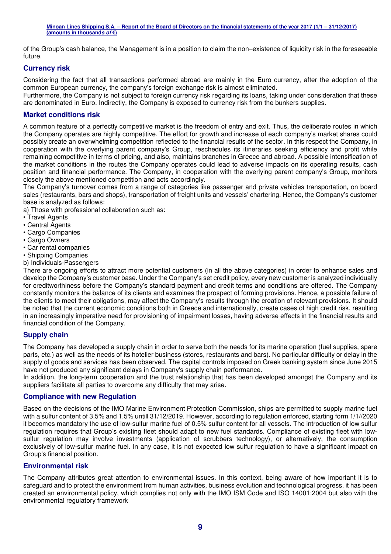of the Group's cash balance, the Management is in a position to claim the non–existence of liquidity risk in the foreseeable future.

#### **Currency risk**

Considering the fact that all transactions performed abroad are mainly in the Euro currency, after the adoption of the common European currency, the company's foreign exchange risk is almost eliminated.

Furthermore, the Company is not subject to foreign currency risk regarding its loans, taking under consideration that these are denominated in Euro. Indirectly, the Company is exposed to currency risk from the bunkers supplies.

#### **Market conditions risk**

A common feature of a perfectly competitive market is the freedom of entry and exit. Thus, the deliberate routes in which the Company operates are highly competitive. The effort for growth and increase of each company's market shares could possibly create an overwhelming competition reflected to the financial results of the sector. In this respect the Company, in cooperation with the overlying parent company's Group, reschedules its itineraries seeking efficiency and profit while remaining competitive in terms of pricing, and also, maintains branches in Greece and abroad. A possible intensification of the market conditions in the routes the Company operates could lead to adverse impacts on its operating results, cash position and financial performance. The Company, in cooperation with the overlying parent company's Group, monitors closely the above mentioned competition and acts accordingly.

The Company's turnover comes from a range of categories like passenger and private vehicles transportation, on board sales (restaurants, bars and shops), transportation of freight units and vessels' chartering. Hence, the Company's customer base is analyzed as follows:

a) Those with professional collaboration such as:

- Travel Agents
- Central Agents
- Cargo Companies
- Cargo Owners
- Car rental companies
- Shipping Companies
- b) Individuals-Passengers

There are ongoing efforts to attract more potential customers (in all the above categories) in order to enhance sales and develop the Company's customer base. Under the Company's set credit policy, every new customer is analyzed individually for creditworthiness before the Company's standard payment and credit terms and conditions are offered. The Company constantly monitors the balance of its clients and examines the prospect of forming provisions. Hence, a possible failure of the clients to meet their obligations, may affect the Company's results through the creation of relevant provisions. It should be noted that the current economic conditions both in Greece and internationally, create cases of high credit risk, resulting in an increasingly imperative need for provisioning of impairment losses, having adverse effects in the financial results and financial condition of the Company.

#### **Supply chain**

The Company has developed a supply chain in order to serve both the needs for its marine operation (fuel supplies, spare parts, etc.) as well as the needs of its hotelier business (stores, restaurants and bars). No particular difficulty or delay in the supply of goods and services has been observed. The capital controls imposed on Greek banking system since June 2015 have not produced any significant delays in Company's supply chain performance.

In addition, the long-term cooperation and the trust relationship that has been developed amongst the Company and its suppliers facilitate all parties to overcome any difficulty that may arise.

#### **Compliance with new Regulation**

Based on the decisions of the IMO Marine Environment Protection Commission, ships are permitted to supply marine fuel with a sulfur content of 3.5% and 1.5% untill 31/12/2019. However, according to regulation enforced, starting form 1/1//2020 it becomes mandatory the use of low-sulfur marine fuel of 0.5% sulfur content for all vessels. The introduction of low sulfur regulation requires that Group's existing fleet should adapt to new fuel standards. Compliance of existing fleet with lowsulfur regulation may involve investments (application of scrubbers technology), or alternatively, the consumption exclusively of low-sulfur marine fuel. In any case, it is not expected low sulfur regulation to have a significant impact on Group's financial position.

#### **Environmental risk**

The Company attributes great attention to environmental issues. In this context, being aware of how important it is to safeguard and to protect the environment from human activities, business evolution and technological progress, it has been created an environmental policy, which complies not only with the IMO ISM Code and ISO 14001:2004 but also with the environmental regulatory framework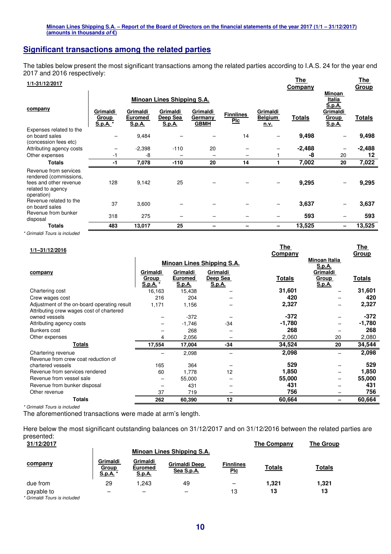## **Significant transactions among the related parties**

The tables below present the most significant transactions among the related parties according to I.A.S. 24 for the year end 2017 and 2016 respectively: **Company The** 

#### **1/1-31/12/2017 The**

| .                                                                                                            |                              |                                      |                                       |                                    |                                |                                           | <b>Company</b> |                                           | <b>Group</b>  |
|--------------------------------------------------------------------------------------------------------------|------------------------------|--------------------------------------|---------------------------------------|------------------------------------|--------------------------------|-------------------------------------------|----------------|-------------------------------------------|---------------|
|                                                                                                              |                              |                                      | <b>Minoan Lines Shipping S.A.</b>     |                                    |                                |                                           |                | Minoan<br>Italia<br>S.p.A.                |               |
| company                                                                                                      | Grimaldi<br>Group<br>S.p.A.* | Grimaldi<br><b>Euromed</b><br>S.p.A. | Grimaldi<br>Deep Sea<br><b>S.p.A.</b> | Grimaldi<br>Germany<br><b>GBMH</b> | <b>Finnlines</b><br><b>Plc</b> | Grimaldi<br><b>Belgium</b><br><u>n.v.</u> | <b>Totals</b>  | Grimaldi<br><b>Group</b><br><b>S.p.A.</b> | <b>Totals</b> |
| Expenses related to the<br>on board sales<br>(concession fees etc)                                           |                              | 9,484                                |                                       |                                    | 14                             |                                           | 9,498          |                                           | 9,498         |
| Attributing agency costs                                                                                     |                              | $-2,398$                             | $-110$                                | 20                                 |                                |                                           | -2,488         |                                           | $-2,488$      |
| Other expenses                                                                                               | -1                           | -8                                   |                                       | -                                  | -                              |                                           | -8             | 20                                        | 12            |
| <b>Totals</b>                                                                                                | -1                           | 7,078                                | $-110$                                | 20                                 | 14                             |                                           | 7,002          | 20                                        | 7,022         |
| Revenue from services<br>rendered (commissions,<br>fees and other revenue<br>related to agency<br>operation) | 128                          | 9,142                                | 25                                    |                                    |                                |                                           | 9,295          |                                           | 9,295         |
| Revenue related to the<br>on board sales                                                                     | 37                           | 3,600                                |                                       |                                    |                                |                                           | 3,637          |                                           | 3,637         |
| Revenue from bunker<br>disposal                                                                              | 318                          | 275                                  |                                       |                                    |                                |                                           | 593            |                                           | 593           |
| <b>Totals</b>                                                                                                | 483                          | 13,017                               | 25                                    |                                    |                                |                                           | 13,525         |                                           | 13,525        |

*\* Grimaldi Tours is included* 

| 1/1-31/12/2016                              |                               |                                 |                                   | <u>The</u>     |                        | <u>The</u>   |
|---------------------------------------------|-------------------------------|---------------------------------|-----------------------------------|----------------|------------------------|--------------|
|                                             |                               |                                 |                                   | <b>Company</b> |                        | <u>Group</u> |
|                                             |                               |                                 | <b>Minoan Lines Shipping S.A.</b> |                | Minoan Italia          |              |
|                                             |                               |                                 |                                   |                | S.p.A.                 |              |
| company                                     | Grimaldi                      | Grimaldi                        | Grimaldi                          |                | Grimaldi               |              |
|                                             | <b>Group</b><br><u>S.p.A.</u> | <b>Euromed</b><br><u>S.p.A.</u> | Deep Sea<br><u>S.p.A.</u>         | <b>Totals</b>  | <b>Group</b><br>S.p.A. | Totals       |
|                                             | 16,163                        | 15,438                          |                                   | 31,601         |                        | 31,601       |
| Chartering cost                             |                               |                                 |                                   |                |                        |              |
| Crew wages cost                             | 216                           | 204                             |                                   | 420            |                        | 420          |
| Adjustment of the on-board operating result | 1,171                         | 1,156                           |                                   | 2,327          |                        | 2,327        |
| Attributing crew wages cost of chartered    |                               |                                 |                                   |                |                        |              |
| owned vessels                               |                               | $-372$                          |                                   | $-372$         |                        | $-372$       |
| Attributing agency costs                    |                               | $-1,746$                        | $-34$                             | -1,780         |                        | $-1,780$     |
| Bunkers cost                                |                               | 268                             |                                   | 268            |                        | 268          |
| Other expenses                              | 4                             | 2,056                           |                                   | 2,060          | 20                     | 2,080        |
| Totals                                      | 17,554                        | 17,004                          | -34                               | 34,524         | 20                     | 34,544       |
| Chartering revenue                          |                               | 2,098                           |                                   | 2,098          |                        | 2,098        |
| Revenue from crew coat reduction of         |                               |                                 |                                   |                |                        |              |
| chartered vessels                           | 165                           | 364                             |                                   | 529            |                        | 529          |
| Revenue from services rendered              | 60                            | 1.778                           | 12                                | 1,850          | -                      | 1,850        |
| Revenue from vessel sale                    |                               | 55,000                          |                                   | 55,000         |                        | 55,000       |
| Revenue from bunker disposal                |                               | 431                             |                                   | 431            |                        | 431          |
| Other revenue                               | 37                            | 719                             |                                   | 756            |                        | 756          |
| <b>Totals</b>                               | 262                           | 60,390                          | 12                                | 60,664         | -                      | 60,664       |

*\* Grimaldi Tours is included* 

The aforementioned transactions were made at arm's length.

Here below the most significant outstanding balances on 31/12/2017 and on 31/12/2016 between the related parties are presented:

| 31/12/2017                                 |                               |                                             |                                    |                                | <b>The Company</b> | The Group     |
|--------------------------------------------|-------------------------------|---------------------------------------------|------------------------------------|--------------------------------|--------------------|---------------|
|                                            |                               |                                             | Minoan Lines Shipping S.A.         |                                |                    |               |
| company                                    | Grimaldi<br>Group<br>S.p.A. * | Grimaldi<br><b>Euromed</b><br><u>S.p.A.</u> | <b>Grimaldi Deep</b><br>Sea S.p.A. | <b>Finnlines</b><br><u>Plc</u> | <b>Totals</b>      | <b>Totals</b> |
| due from                                   | 29                            | 1.243                                       | 49                                 | -                              | 1,321              | 1,321         |
| payable to<br>* Grimaldi Tours is included |                               | –                                           | -                                  | 13                             | 13                 | 13            |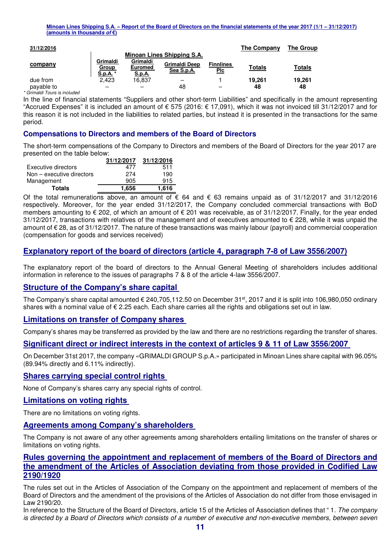| 31/12/2016 |                               |                                      |                                    |                                | The Company   | <b>The Group</b> |
|------------|-------------------------------|--------------------------------------|------------------------------------|--------------------------------|---------------|------------------|
|            |                               |                                      | Minoan Lines Shipping S.A.         |                                |               |                  |
| company    | Grimaldi<br>Group<br>S.p.A. * | Grimaldi<br><b>Euromed</b><br>S.p.A. | <b>Grimaldi Deep</b><br>Sea S.p.A. | <b>Finnlines</b><br><u>Plc</u> | <b>Totals</b> | Totals           |
| due from   | 2.423                         | 16.837                               |                                    |                                | 19.261        | 19.261           |
| payable to |                               |                                      | 48                                 |                                | 48            | 48               |

*\* Grimaldi Tours is included*

In the line of financial statements "Suppliers and other short-term Liabilities" and specifically in the amount representing "Accrued Expenses" it is included an amount of  $\epsilon$  575 (2016:  $\epsilon$  17,091), which it was not invoiced till 31/12/2017 and for this reason it is not included in the liabilities to related parties, but instead it is presented in the transactions for the same period.

#### **Compensations to Directors and members of the Board of Directors**

The short-term compensations of the Company to Directors and members of the Board of Directors for the year 2017 are presented on the table below:

|                           | 31/12/2017 | 31/12/2016 |
|---------------------------|------------|------------|
| Executive directors       | 477        | 511        |
| Non - executive directors | 274        | 190        |
| Management                | 905        | 915        |
| <b>Totals</b>             | 1.656      | 1.616      |

Of the total remunerations above, an amount of  $\epsilon$  64 and  $\epsilon$  63 remains unpaid as of 31/12/2017 and 31/12/2016 respectively. Moreover, for the year ended 31/12/2017, the Company concluded commercial transactions with BoD members amounting to € 202, of which an amount of € 201 was receivable, as of 31/12/2017. Finally, for the year ended 31/12/2017, transactions with relatives of the management and of executives amounted to € 228, while it was unpaid the amount of € 28, as of 31/12/2017. The nature of these transactions was mainly labour (payroll) and commercial cooperation (compensation for goods and services received)

## **Explanatory report of the board of directors (article 4, paragraph 7-8 of Law 3556/2007)**

The explanatory report of the board of directors to the Annual General Meeting of shareholders includes additional information in reference to the issues of paragraphs 7 & 8 of the article 4-law 3556/2007.

#### **Structure of the Company's share capital**

The Company's share capital amounted  $\epsilon$  240,705,112.50 on December 31<sup>st</sup>, 2017 and it is split into 106,980,050 ordinary shares with a nominal value of € 2.25 each. Each share carries all the rights and obligations set out in law.

#### **Limitations on transfer of Company shares**

Company's shares may be transferred as provided by the law and there are no restrictions regarding the transfer of shares.

#### **Significant direct or indirect interests in the context of articles 9 & 11 of Law 3556/2007**

On December 31st 2017, the company «GRIMALDI GROUP S.p.A.» participated in Minoan Lines share capital with 96.05% (89.94% directly and 6.11% indirectly).

#### **Shares carrying special control rights**

None of Company's shares carry any special rights of control.

#### **Limitations on voting rights**

There are no limitations on voting rights.

#### **Agreements among Company's shareholders**

The Company is not aware of any other agreements among shareholders entailing limitations on the transfer of shares or limitations on voting rights.

#### **Rules governing the appointment and replacement of members of the Board of Directors and the amendment of the Articles of Association deviating from those provided in Codified Law 2190/1920**

The rules set out in the Articles of Association of the Company on the appointment and replacement of members of the Board of Directors and the amendment of the provisions of the Articles of Association do not differ from those envisaged in Law 2190/20.

In reference to the Structure of the Board of Directors, article 15 of the Articles of Association defines that " 1. *The company is directed by a Board of Directors which consists of a number of executive and non-executive members, between seven*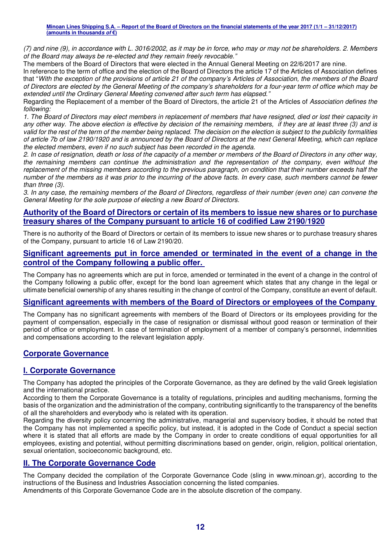*(7) and nine (9), in accordance with L. 3016/2002, as it may be in force, who may or may not be shareholders. 2. Members of the Board may always be re-elected and they remain freely revocable."* 

The members of the Board of Directors that were elected in the Annual General Meeting on 22/6/2017 are nine.

In reference to the term of office and the election of the Board of Directors the article 17 of the Articles of Association defines that "*With the exception of the provisions of article 21 of the company's Articles of Association, the members of the Board of Directors are elected by the General Meeting of the company's shareholders for a four-year term of office which may be extended until the Ordinary General Meeting convened after such term has elapsed."* 

Regarding the Replacement of a member of the Board of Directors, the article 21 of the Articles of *Association defines the following:* 

*1. The Board of Directors may elect members in replacement of members that have resigned, died or lost their capacity in any other way. The above election is effective by decision of the remaining members, if they are at least three (3) and is valid for the rest of the term of the member being replaced. The decision on the election is subject to the publicity formalities of article 7b of law 2190/1920 and is announced by the Board of Directors at the next General Meeting, which can replace the elected members, even if no such subject has been recorded in the agenda.* 

*2. In case of resignation, death or loss of the capacity of a member or members of the Board of Directors in any other way, the remaining members can continue the administration and the representation of the company, even without the replacement of the missing members according to the previous paragraph, on condition that their number exceeds half the number of the members as it was prior to the incurring of the above facts. In every case, such members cannot be fewer than three (3).* 

*3. In any case, the remaining members of the Board of Directors, regardless of their number (even one) can convene the General Meeting for the sole purpose of electing a new Board of Directors.* 

#### **Authority of the Board of Directors or certain of its members to issue new shares or to purchase treasury shares of the Company pursuant to article 16 of codified Law 2190/1920**

There is no authority of the Board of Directors or certain of its members to issue new shares or to purchase treasury shares of the Company, pursuant to article 16 of Law 2190/20.

#### **Significant agreements put in force amended or terminated in the event of a change in the control of the Company following a public offer.**

The Company has no agreements which are put in force, amended or terminated in the event of a change in the control of the Company following a public offer, except for the bond loan agreement which states that any change in the legal or ultimate beneficial ownership of any shares resulting in the change of control of the Company, constitute an event of default.

## **Significant agreements with members of the Board of Directors or employees of the Company**

The Company has no significant agreements with members of the Board of Directors or its employees providing for the payment of compensation, especially in the case of resignation or dismissal without good reason or termination of their period of office or employment. In case of termination of employment of a member of company's personnel, indemnities and compensations according to the relevant legislation apply.

## **Corporate Governance**

## **Ι. Corporate Governance**

The Company has adopted the principles of the Corporate Governance, as they are defined by the valid Greek legislation and the international practice.

According to them the Corporate Governance is a totality of regulations, principles and auditing mechanisms, forming the basis of the organization and the administration of the company, contributing significantly to the transparency of the benefits of all the shareholders and everybody who is related with its operation.

Regarding the diversity policy concerning the administrative, managerial and supervisory bodies, it should be noted that the Company has not implemented a specific policy, but instead, it is adopted in the Code of Conduct a special section where it is stated that all efforts are made by the Company in order to create conditions of equal opportunities for all employees, existing and potential, without permitting discriminations based on gender, origin, religion, political orientation, sexual orientation, socioeconomic background, etc.

#### **ΙΙ. The Corporate Governance Code**

The Company decided the compilation of the Corporate Governance Code (sling in www.minoan.gr), according to the instructions of the Business and Industries Association concerning the listed companies.

Amendments of this Corporate Governance Code are in the absolute discretion of the company.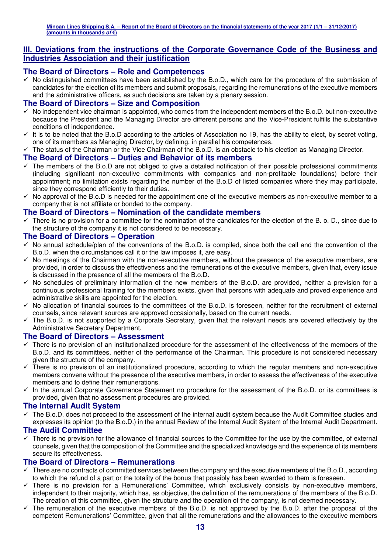#### **ΙΙΙ. Deviations from the instructions of the Corporate Governance Code of the Business and Industries Association and their justification**

#### **The Board of Directors – Role and Competences**

- No distinguished committees have been established by the B.o.D., which care for the procedure of the submission of candidates for the election of its members and submit proposals, regarding the remunerations of the executive members and the administrative officers, as such decisions are taken by a plenary session.

#### **The Board of Directors – Size and Composition**

- $\checkmark$  No independent vice chairman is appointed, who comes from the independent members of the B.o.D. but non-executive because the President and the Managing Director are different persons and the Vice-President fulfills the substantive conditions of independence.
- $\checkmark$  It is to be noted that the B.o.D according to the articles of Association no 19, has the ability to elect, by secret voting, one of its members as Managing Director, by defining, in parallel his competences.
- $\checkmark$  The status of the Chairman or the Vice Chairman of the B.o.D. is an obstacle to his election as Managing Director.

#### **The Board of Directors – Duties and Behavior of its members**

- $\checkmark$  The members of the B.o.D are not obliged to give a detailed notification of their possible professional commitments (including significant non-executive commitments with companies and non-profitable foundations) before their appointment; no limitation exists regarding the number of the B.o.D of listed companies where they may participate, since they correspond efficiently to their duties.
- No approval of the B.o.D is needed for the appointment one of the executive members as non-executive member to a company that is not affiliate or bonded to the company.

#### **The Board of Directors – Nomination of the candidate members**

 $\checkmark$  There is no provision for a committee for the nomination of the candidates for the election of the B. o. D., since due to the structure of the company it is not considered to be necessary.

#### **The Board of Directors – Operation**

- $\checkmark$  No annual schedule/plan of the conventions of the B.o.D. is compiled, since both the call and the convention of the B.o.D. when the circumstances call it or the law imposes it, are easy.
- No meetings of the Chairman with the non-executive members, without the presence of the executive members, are provided, in order to discuss the effectiveness and the remunerations of the executive members, given that, every issue is discussed in the presence of all the members of the B.o.D.
- No schedules of preliminary information of the new members of the B.o.D. are provided, neither a prevision for a continuous professional training for the members exists, given that persons with adequate and proved experience and administrative skills are appointed for the election.
- No allocation of financial sources to the committees of the B.o.D. is foreseen, neither for the recruitment of external counsels, since relevant sources are approved occasionally, based on the current needs.
- The B.o.D. is not supported by a Corporate Secretary, given that the relevant needs are covered effectively by the Administrative Secretary Department.

#### **The Board of Directors – Assessment**

- $\checkmark$  There is no prevision of an institutionalized procedure for the assessment of the effectiveness of the members of the B.o.D. and its committees, neither of the performance of the Chairman. This procedure is not considered necessary given the structure of the company.
- $\checkmark$  There is no prevision of an institutionalized procedure, according to which the regular members and non-executive members convene without the presence of the executive members, in order to assess the effectiveness of the executive members and to define their remunerations.
- In the annual Corporate Governance Statement no procedure for the assessment of the B.o.D. or its committees is provided, given that no assessment procedures are provided.

#### **The Internal Audit System**

- The B.o.D. does not proceed to the assessment of the internal audit system because the Audit Committee studies and expresses its opinion (to the B.o.D.) in the annual Review of the Internal Audit System of the Internal Audit Department.

#### **The Audit Committee**

 $\checkmark$  There is no prevision for the allowance of financial sources to the Committee for the use by the committee, of external counsels, given that the composition of the Committee and the specialized knowledge and the experience of its members secure its effectiveness.

#### **The Board of Directors – Remunerations**

- $\checkmark$  There are no contracts of committed services between the company and the executive members of the B.o.D., according to which the refund of a part or the totality of the bonus that possibly has been awarded to them is foreseen.
- There is no prevision for a Remunerations' Committee, which exclusively consists by non-executive members, independent to their majority, which has, as objective, the definition of the remunerations of the members of the B.o.D. The creation of this committee, given the structure and the operation of the company, is not deemed necessary.
- $\checkmark$  The remuneration of the executive members of the B.o.D. is not approved by the B.o.D. after the proposal of the competent Remunerations' Committee, given that all the remunerations and the allowances to the executive members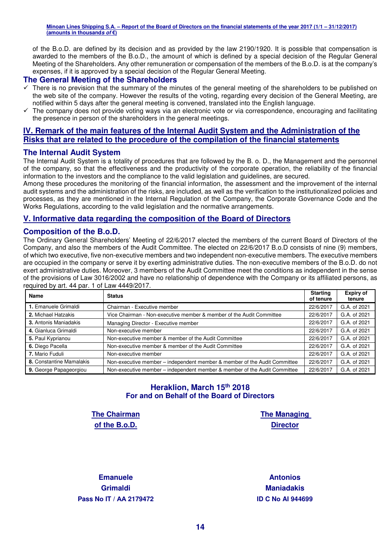of the B.o.D. are defined by its decision and as provided by the law 2190/1920. It is possible that compensation is awarded to the members of the B.o.D., the amount of which is defined by a special decision of the Regular General Meeting of the Shareholders. Any other remuneration or compensation of the members of the B.o.D. is at the company's expenses, if it is approved by a special decision of the Regular General Meeting.

#### **The General Meeting of the Shareholders**

- $\checkmark$  There is no prevision that the summary of the minutes of the general meeting of the shareholders to be published on the web site of the company. However the results of the voting, regarding every decision of the General Meeting, are notified within 5 days after the general meeting is convened, translated into the English language.
- $\checkmark$  The company does not provide voting ways via an electronic vote or via correspondence, encouraging and facilitating the presence in person of the shareholders in the general meetings.

## **IV. Remark of the main features of the Internal Audit System and the Administration of the Risks that are related to the procedure of the compilation of the financial statements**

#### **The Internal Audit System**

The Internal Audit System is a totality of procedures that are followed by the B. o. D., the Management and the personnel of the company, so that the effectiveness and the productivity of the corporate operation, the reliability of the financial information to the investors and the compliance to the valid legislation and guidelines, are secured.

Among these procedures the monitoring of the financial information, the assessment and the improvement of the internal audit systems and the administration of the risks, are included, as well as the verification to the institutionalized policies and processes, as they are mentioned in the Internal Regulation of the Company, the Corporate Governance Code and the Works Regulations, according to the valid legislation and the normative arrangements.

#### **V. Informative data regarding the composition of the Board of Directors**

#### **Composition of the B.o.D.**

The Ordinary General Shareholders' Meeting of 22/6/2017 elected the members of the current Board of Directors of the Company, and also the members of the Audit Committee. The elected on 22/6/2017 B.o.D consists of nine (9) members, of which two executive, five non-executive members and two independent non-executive members. The executive members are occupied in the company or serve it by exerting administrative duties. The non-executive members of the B.o.D. do not exert administrative duties. Moreover, 3 members of the Audit Committee meet the conditions as independent in the sense of the provisions of Law 3016/2002 and have no relationship of dependence with the Company or its affiliated persons, as required by art. 44 par. 1 of Law 4449/2017.

| <b>Name</b>              | <b>Status</b>                                                             | <b>Starting</b><br>of tenure | <b>Expiry of</b><br>tenure |
|--------------------------|---------------------------------------------------------------------------|------------------------------|----------------------------|
| 1. Emanuele Grimaldi     | Chairman - Executive member                                               | 22/6/2017                    | G.A. of 2021               |
| 2. Michael Hatzakis      | Vice Chairman - Non-executive member & member of the Audit Committee      | 22/6/2017                    | G.A. of 2021               |
| 3. Antonis Maniadakis    | Managing Director - Executive member                                      | 22/6/2017                    | G.A. of 2021               |
| 4. Gianluca Grimaldi     | Non-executive member                                                      | 22/6/2017                    | G.A. of 2021               |
| 5. Paul Kyprianou        | Non-executive member & member of the Audit Committee                      | 22/6/2017                    | G.A. of 2021               |
| 6. Diego Pacella         | Non-executive member & member of the Audit Committee                      | 22/6/2017                    | G.A. of 2021               |
| 7. Mario Fuduli          | Non-executive member                                                      | 22/6/2017                    | G.A. of 2021               |
| 8. Constantine Mamalakis | Non-executive member - independent member & member of the Audit Committee | 22/6/2017                    | G.A. of 2021               |
| 9. George Papageorgiou   | Non-executive member – independent member & member of the Audit Committee | 22/6/2017                    | G.A. of 2021               |

## **Heraklion, March 15th 2018 For and on Behalf of the Board of Directors**

**The Chairman of the B.o.D.** 

**The Managing Director** 

**Emanuele Grimaldi Pass Nο IT / ΑΑ 2179472 ID C Nο AI 944699**

**Antonios Maniadakis**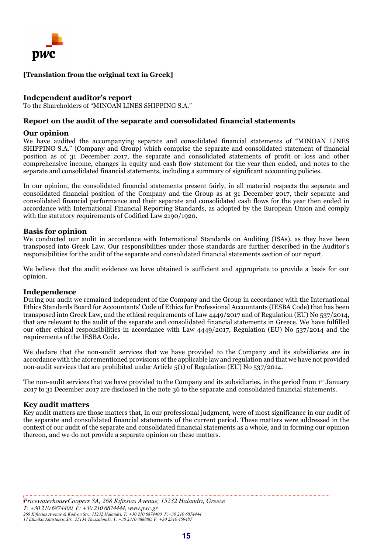

#### **[Translation from the original text in Greek]**

#### **Independent auditor's report**

To the Shareholders of "MINOAN LINES SHIPPING S.A."

#### **Report on the audit of the separate and consolidated financial statements**

#### **Our opinion**

We have audited the accompanying separate and consolidated financial statements of "MINOAN LINES SHIPPING S.A." (Company and Group) which comprise the separate and consolidated statement of financial position as of 31 December 2017, the separate and consolidated statements of profit or loss and other comprehensive income, changes in equity and cash flow statement for the year then ended, and notes to the separate and consolidated financial statements, including a summary of significant accounting policies.

In our opinion, the consolidated financial statements present fairly, in all material respects the separate and consolidated financial position of the Company and the Group as at 31 December 2017, their separate and consolidated financial performance and their separate and consolidated cash flows for the year then ended in accordance with International Financial Reporting Standards, as adopted by the European Union and comply with the statutory requirements of Codified Law 2190/1920*.* 

#### **Basis for opinion**

We conducted our audit in accordance with International Standards on Auditing (ISAs), as they have been transposed into Greek Law. Our responsibilities under those standards are further described in the Auditor's responsibilities for the audit of the separate and consolidated financial statements section of our report.

We believe that the audit evidence we have obtained is sufficient and appropriate to provide a basis for our opinion.

#### **Independence**

During our audit we remained independent of the Company and the Group in accordance with the International Ethics Standards Board for Accountants' Code of Ethics for Professional Accountants (IESBA Code) that has been transposed into Greek Law, and the ethical requirements of Law 4449/2017 and of Regulation (EU) No 537/2014, that are relevant to the audit of the separate and consolidated financial statements in Greece. We have fulfilled our other ethical responsibilities in accordance with Law 4449/2017, Regulation (EU) No 537/2014 and the requirements of the IESBA Code.

We declare that the non-audit services that we have provided to the Company and its subsidiaries are in accordance with the aforementioned provisions of the applicable law and regulation and that we have not provided non-audit services that are prohibited under Article 5(1) of Regulation (EU) No 537/2014.

The non-audit services that we have provided to the Company and its subsidiaries, in the period from 1st January 2017 to 31 December 2017 are disclosed in the note 36 to the separate and consolidated financial statements.

#### **Key audit matters**

Key audit matters are those matters that, in our professional judgment, were of most significance in our audit of the separate and consolidated financial statements of the current period. These matters were addressed in the context of our audit of the separate and consolidated financial statements as a whole, and in forming our opinion thereon, and we do not provide a separate opinion on these matters.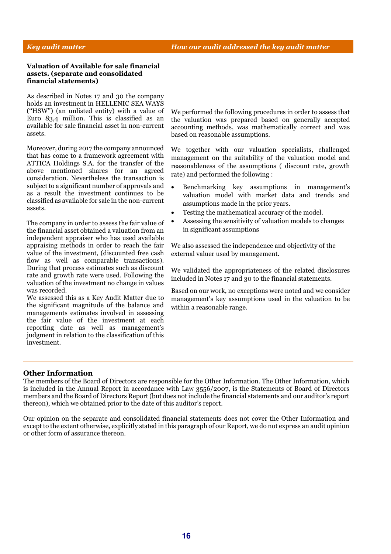#### *Key audit matter How our audit addressed the key audit matter*

#### **Valuation of Available for sale financial assets. (separate and consolidated financial statements)**

As described in Notes 17 and 30 the company holds an investment in HELLENIC SEA WAYS (''HSW'') (an unlisted entity) with a value of Euro 83,4 million. This is classified as an available for sale financial asset in non-current assets.

Moreover, during 2017 the company announced that has come to a framework agreement with ATTICA Holdings S.A. for the transfer of the above mentioned shares for an agreed consideration. Nevertheless the transaction is subject to a significant number of approvals and as a result the investment continues to be classified as available for sale in the non-current assets.

The company in order to assess the fair value of the financial asset obtained a valuation from an independent appraiser who has used available appraising methods in order to reach the fair value of the investment, (discounted free cash flow as well as comparable transactions). During that process estimates such as discount rate and growth rate were used. Following the valuation of the investment no change in values was recorded.

We assessed this as a Key Audit Matter due to the significant magnitude of the balance and managements estimates involved in assessing the fair value of the investment at each reporting date as well as management's judgment in relation to the classification of this investment.

We performed the following procedures in order to assess that the valuation was prepared based on generally accepted accounting methods, was mathematically correct and was based on reasonable assumptions.

We together with our valuation specialists, challenged management on the suitability of the valuation model and reasonableness of the assumptions ( discount rate, growth rate) and performed the following :

- Benchmarking key assumptions in management's valuation model with market data and trends and assumptions made in the prior years.
- Testing the mathematical accuracy of the model.
- Assessing the sensitivity of valuation models to changes in significant assumptions

We also assessed the independence and objectivity of the external valuer used by management.

We validated the appropriateness of the related disclosures included in Notes 17 and 30 to the financial statements.

Based on our work, no exceptions were noted and we consider management's key assumptions used in the valuation to be within a reasonable range.

#### **Other Information**

The members of the Board of Directors are responsible for the Other Information. The Other Information, which is included in the Annual Report in accordance with Law 3556/2007, is the Statements of Board of Directors members and the Board of Directors Report (but does not include the financial statements and our auditor's report thereon), which we obtained prior to the date of this auditor's report.

Our opinion on the separate and consolidated financial statements does not cover the Other Information and except to the extent otherwise, explicitly stated in this paragraph of our Report, we do not express an audit opinion or other form of assurance thereon.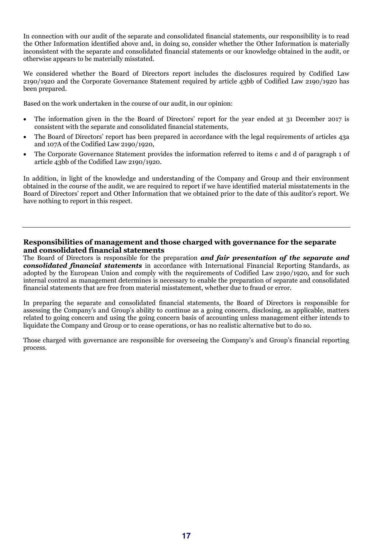In connection with our audit of the separate and consolidated financial statements, our responsibility is to read the Other Information identified above and, in doing so, consider whether the Other Information is materially inconsistent with the separate and consolidated financial statements or our knowledge obtained in the audit, or otherwise appears to be materially misstated.

We considered whether the Board of Directors report includes the disclosures required by Codified Law 2190/1920 and the Corporate Governance Statement required by article 43bb of Codified Law 2190/1920 has been prepared.

Based on the work undertaken in the course of our audit, in our opinion:

- The information given in the the Board of Directors' report for the year ended at 31 December 2017 is consistent with the separate and consolidated financial statements,
- The Board of Directors' report has been prepared in accordance with the legal requirements of articles 43a and 107A of the Codified Law 2190/1920,
- The Corporate Governance Statement provides the information referred to items c and d of paragraph 1 of article 43bb of the Codified Law 2190/1920.

In addition, in light of the knowledge and understanding of the Company and Group and their environment obtained in the course of the audit, we are required to report if we have identified material misstatements in the Board of Directors' report and Other Information that we obtained prior to the date of this auditor's report. We have nothing to report in this respect.

#### **Responsibilities of management and those charged with governance for the separate and consolidated financial statements**

The Board of Directors is responsible for the preparation *and fair presentation of the separate and consolidated financial statements* in accordance with International Financial Reporting Standards, as adopted by the European Union and comply with the requirements of Codified Law 2190/1920, and for such internal control as management determines is necessary to enable the preparation of separate and consolidated financial statements that are free from material misstatement, whether due to fraud or error.

In preparing the separate and consolidated financial statements, the Board of Directors is responsible for assessing the Company's and Group's ability to continue as a going concern, disclosing, as applicable, matters related to going concern and using the going concern basis of accounting unless management either intends to liquidate the Company and Group or to cease operations, or has no realistic alternative but to do so.

Those charged with governance are responsible for overseeing the Company's and Group's financial reporting process.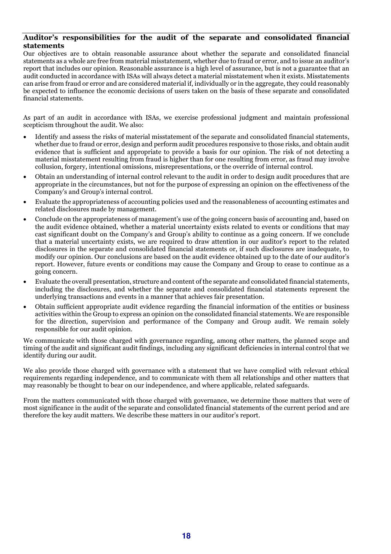#### **Auditor's responsibilities for the audit of the separate and consolidated financial statements**

Our objectives are to obtain reasonable assurance about whether the separate and consolidated financial statements as a whole are free from material misstatement, whether due to fraud or error, and to issue an auditor's report that includes our opinion. Reasonable assurance is a high level of assurance, but is not a guarantee that an audit conducted in accordance with ISAs will always detect a material misstatement when it exists. Misstatements can arise from fraud or error and are considered material if, individually or in the aggregate, they could reasonably be expected to influence the economic decisions of users taken on the basis of these separate and consolidated financial statements.

As part of an audit in accordance with ISAs, we exercise professional judgment and maintain professional scepticism throughout the audit. We also:

- Identify and assess the risks of material misstatement of the separate and consolidated financial statements, whether due to fraud or error, design and perform audit procedures responsive to those risks, and obtain audit evidence that is sufficient and appropriate to provide a basis for our opinion. The risk of not detecting a material misstatement resulting from fraud is higher than for one resulting from error, as fraud may involve collusion, forgery, intentional omissions, misrepresentations, or the override of internal control.
- Obtain an understanding of internal control relevant to the audit in order to design audit procedures that are appropriate in the circumstances, but not for the purpose of expressing an opinion on the effectiveness of the Company's and Group's internal control.
- Evaluate the appropriateness of accounting policies used and the reasonableness of accounting estimates and related disclosures made by management.
- Conclude on the appropriateness of management's use of the going concern basis of accounting and, based on the audit evidence obtained, whether a material uncertainty exists related to events or conditions that may cast significant doubt on the Company's and Group's ability to continue as a going concern. If we conclude that a material uncertainty exists, we are required to draw attention in our auditor's report to the related disclosures in the separate and consolidated financial statements or, if such disclosures are inadequate, to modify our opinion. Our conclusions are based on the audit evidence obtained up to the date of our auditor's report. However, future events or conditions may cause the Company and Group to cease to continue as a going concern.
- Evaluate the overall presentation, structure and content of the separate and consolidated financial statements, including the disclosures, and whether the separate and consolidated financial statements represent the underlying transactions and events in a manner that achieves fair presentation.
- Obtain sufficient appropriate audit evidence regarding the financial information of the entities or business activities within the Group to express an opinion on the consolidated financial statements. We are responsible for the direction, supervision and performance of the Company and Group audit. We remain solely responsible for our audit opinion.

We communicate with those charged with governance regarding, among other matters, the planned scope and timing of the audit and significant audit findings, including any significant deficiencies in internal control that we identify during our audit.

We also provide those charged with governance with a statement that we have complied with relevant ethical requirements regarding independence, and to communicate with them all relationships and other matters that may reasonably be thought to bear on our independence, and where applicable, related safeguards.

From the matters communicated with those charged with governance, we determine those matters that were of most significance in the audit of the separate and consolidated financial statements of the current period and are therefore the key audit matters. We describe these matters in our auditor's report.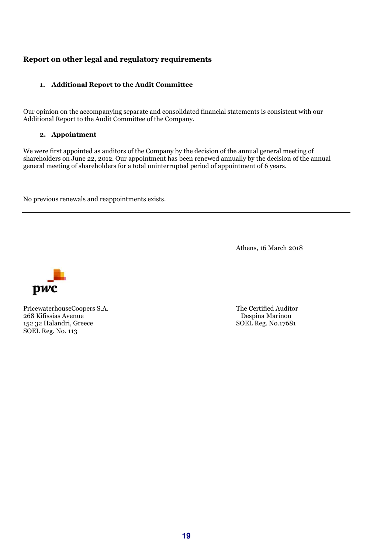## **Report on other legal and regulatory requirements**

#### **1. Additional Report to the Audit Committee**

Our opinion on the accompanying separate and consolidated financial statements is consistent with our Additional Report to the Audit Committee of the Company.

#### **2. Appointment**

We were first appointed as auditors of the Company by the decision of the annual general meeting of shareholders on June 22, 2012. Our appointment has been renewed annually by the decision of the annual general meeting of shareholders for a total uninterrupted period of appointment of 6 years.

No previous renewals and reappointments exists.

Athens, 16 March 2018



PricewaterhouseCoopers S.A. The Certified Auditor 268 Kifissias Avenue Despina Marinou 152 32 Halandri, Greece SOEL Reg. No.17681 SOEL Reg. No. 113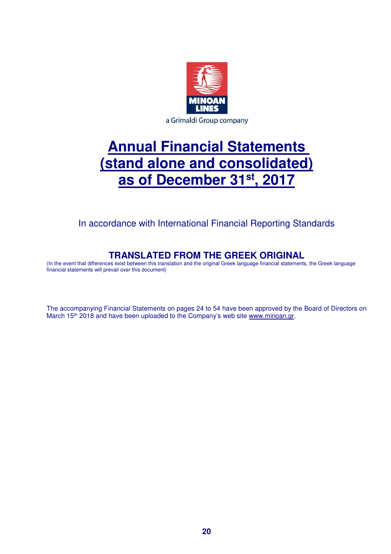

# **Annual Financial Statements (stand alone and consolidated) as of December 31st, 2017**

In accordance with International Financial Reporting Standards

## **TRANSLATED FROM THE GREEK ORIGINAL**

(In the event that differences exist between this translation and the original Greek language financial statements, the Greek language financial statements will prevail over this document)

The accompanying Financial Statements on pages 24 to 54 have been approved by the Board of Directors on March 15<sup>th</sup> 2018 and have been uploaded to the Company's web site www.minoan.gr.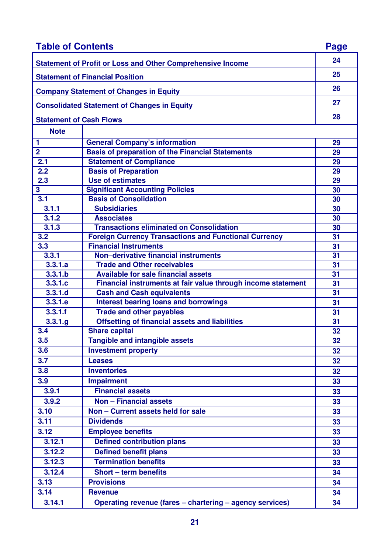| <b>Table of Contents</b>                      |                                                                   | Page |
|-----------------------------------------------|-------------------------------------------------------------------|------|
|                                               | <b>Statement of Profit or Loss and Other Comprehensive Income</b> | 24   |
|                                               | <b>Statement of Financial Position</b>                            | 25   |
| <b>Company Statement of Changes in Equity</b> |                                                                   |      |
|                                               | <b>Consolidated Statement of Changes in Equity</b>                | 27   |
| <b>Statement of Cash Flows</b>                |                                                                   | 28   |
| <b>Note</b>                                   |                                                                   |      |
| 1                                             | <b>General Company's information</b>                              | 29   |
| $\overline{2}$                                | <b>Basis of preparation of the Financial Statements</b>           | 29   |
| 2.1                                           | <b>Statement of Compliance</b>                                    | 29   |
| 2.2                                           | <b>Basis of Preparation</b>                                       | 29   |
| 2.3                                           | <b>Use of estimates</b>                                           | 29   |
| 3                                             | <b>Significant Accounting Policies</b>                            | 30   |
| 3.1                                           | <b>Basis of Consolidation</b>                                     | 30   |
| 3.1.1                                         | <b>Subsidiaries</b>                                               | 30   |
| 3.1.2                                         | <b>Associates</b>                                                 | 30   |
| 3.1.3                                         | <b>Transactions eliminated on Consolidation</b>                   | 30   |
| 3.2                                           | <b>Foreign Currency Transactions and Functional Currency</b>      | 31   |
| 3.3                                           | <b>Financial Instruments</b>                                      | 31   |
| 3.3.1                                         | Non-derivative financial instruments                              | 31   |
| 3.3.1.a                                       | <b>Trade and Other receivables</b>                                | 31   |
| 3.3.1.b                                       | <b>Available for sale financial assets</b>                        | 31   |
| 3.3.1.c                                       | Financial instruments at fair value through income statement      | 31   |
| 3.3.1.d                                       | <b>Cash and Cash equivalents</b>                                  | 31   |
| 3.3.1.e                                       | <b>Interest bearing loans and borrowings</b>                      | 31   |
| 3.3.1.f                                       | <b>Trade and other payables</b>                                   | 31   |
| 3.3.1.g                                       | <b>Offsetting of financial assets and liabilities</b>             | 31   |
| 3.4                                           | <b>Share capital</b>                                              | 32   |
| 3.5                                           | <b>Tangible and intangible assets</b>                             | 32   |
| 3.6                                           | <b>Investment property</b>                                        | 32   |
| 3.7                                           | <b>Leases</b>                                                     | 32   |
| 3.8                                           | <b>Inventories</b>                                                | 32   |
| 3.9                                           | <b>Impairment</b>                                                 | 33   |
| 3.9.1                                         | <b>Financial assets</b>                                           | 33   |
| 3.9.2                                         | <b>Non - Financial assets</b>                                     |      |
|                                               |                                                                   | 33   |
| 3.10                                          | Non - Current assets held for sale                                | 33   |
| 3.11                                          | <b>Dividends</b>                                                  | 33   |
| 3.12                                          | <b>Employee benefits</b>                                          | 33   |
| 3.12.1                                        | <b>Defined contribution plans</b>                                 | 33   |
| 3.12.2                                        | <b>Defined benefit plans</b>                                      | 33   |
| 3.12.3                                        | <b>Termination benefits</b>                                       | 33   |
| 3.12.4                                        | <b>Short - term benefits</b>                                      | 34   |
| 3.13                                          | <b>Provisions</b>                                                 | 34   |
| 3.14                                          | <b>Revenue</b>                                                    | 34   |
| 3.14.1                                        | Operating revenue (fares - chartering - agency services)          | 34   |
|                                               |                                                                   |      |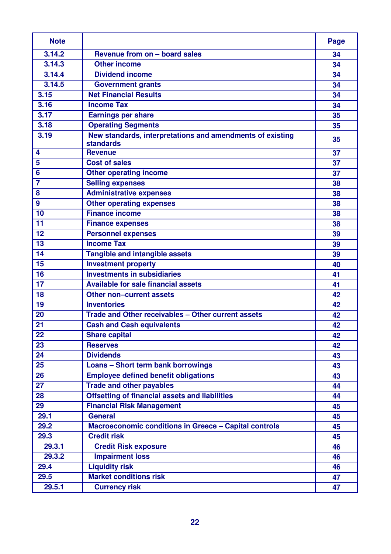| <b>Note</b>      |                                                                               | Page |
|------------------|-------------------------------------------------------------------------------|------|
| 3.14.2           | Revenue from on - board sales                                                 | 34   |
| 3.14.3           | Other income                                                                  | 34   |
| 3.14.4           | <b>Dividend income</b>                                                        | 34   |
| 3.14.5           | <b>Government grants</b>                                                      | 34   |
| 3.15             | <b>Net Financial Results</b>                                                  | 34   |
| 3.16             | <b>Income Tax</b>                                                             | 34   |
| 3.17             | <b>Earnings per share</b>                                                     | 35   |
| 3.18             | <b>Operating Segments</b>                                                     | 35   |
| 3.19             | New standards, interpretations and amendments of existing<br><b>standards</b> | 35   |
| 4                | <b>Revenue</b>                                                                | 37   |
| 5                | <b>Cost of sales</b>                                                          | 37   |
| $6\phantom{1}6$  | <b>Other operating income</b>                                                 | 37   |
| $\overline{7}$   | <b>Selling expenses</b>                                                       | 38   |
| 8                | <b>Administrative expenses</b>                                                | 38   |
| $\boldsymbol{9}$ | <b>Other operating expenses</b>                                               | 38   |
| 10               | <b>Finance income</b>                                                         | 38   |
| 11               | <b>Finance expenses</b>                                                       | 38   |
| 12               | <b>Personnel expenses</b>                                                     | 39   |
| 13               | <b>Income Tax</b>                                                             | 39   |
| 14               | <b>Tangible and intangible assets</b>                                         | 39   |
| 15               | <b>Investment property</b>                                                    | 40   |
| 16               | <b>Investments in subsidiaries</b>                                            | 41   |
| 17               | <b>Available for sale financial assets</b>                                    | 41   |
| 18               | <b>Other non-current assets</b>                                               | 42   |
| 19               | <b>Inventories</b>                                                            | 42   |
| 20               | Trade and Other receivables - Other current assets                            | 42   |
| 21               | <b>Cash and Cash equivalents</b>                                              | 42   |
| 22               | <b>Share capital</b>                                                          | 42   |
| 23               | <b>Reserves</b>                                                               | 42   |
| 24               | <b>Dividends</b>                                                              | 43   |
| 25               | Loans - Short term bank borrowings                                            | 43   |
| $\overline{26}$  | <b>Employee defined benefit obligations</b>                                   | 43   |
| 27               | <b>Trade and other payables</b>                                               | 44   |
| 28               | <b>Offsetting of financial assets and liabilities</b>                         | 44   |
| 29               | <b>Financial Risk Management</b>                                              | 45   |
| 29.1             | <b>General</b>                                                                | 45   |
| 29.2             | <b>Macroeconomic conditions in Greece - Capital controls</b>                  | 45   |
| 29.3             | <b>Credit risk</b>                                                            | 45   |
| 29.3.1           | <b>Credit Risk exposure</b>                                                   | 46   |
| 29.3.2           | <b>Impairment loss</b>                                                        | 46   |
| 29.4             | <b>Liquidity risk</b>                                                         | 46   |
| 29.5             | <b>Market conditions risk</b>                                                 | 47   |
| 29.5.1           | <b>Currency risk</b>                                                          | 47   |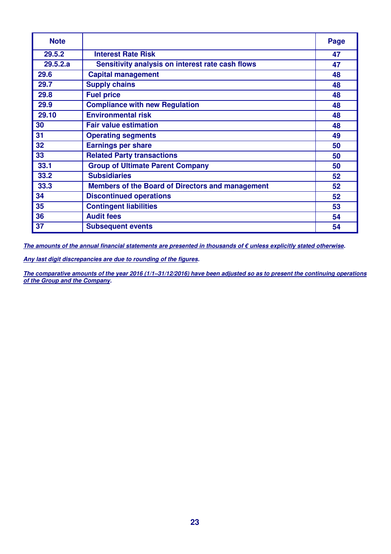| <b>Note</b> |                                                         | Page |
|-------------|---------------------------------------------------------|------|
| 29.5.2      | <b>Interest Rate Risk</b>                               | 47   |
| 29.5.2.a    | Sensitivity analysis on interest rate cash flows        | 47   |
| 29.6        | <b>Capital management</b>                               | 48   |
| 29.7        | <b>Supply chains</b>                                    | 48   |
| 29.8        | <b>Fuel price</b>                                       | 48   |
| 29.9        | <b>Compliance with new Regulation</b>                   | 48   |
| 29.10       | <b>Environmental risk</b>                               | 48   |
| 30          | <b>Fair value estimation</b>                            | 48   |
| 31          | <b>Operating segments</b>                               | 49   |
| 32          | <b>Earnings per share</b>                               | 50   |
| 33          | <b>Related Party transactions</b>                       | 50   |
| 33.1        | <b>Group of Ultimate Parent Company</b>                 | 50   |
| 33.2        | <b>Subsidiaries</b>                                     | 52   |
| 33.3        | <b>Members of the Board of Directors and management</b> | 52   |
| 34          | <b>Discontinued operations</b>                          | 52   |
| 35          | <b>Contingent liabilities</b>                           | 53   |
| 36          | <b>Audit fees</b>                                       | 54   |
| 37          | <b>Subsequent events</b>                                | 54   |

**The amounts of the annual financial statements are presented in thousands of € unless explicitly stated otherwise.** 

**Any last digit discrepancies are due to rounding of the figures.** 

**The comparative amounts of the year 2016 (1/1–31/12/2016) have been adjusted so as to present the continuing operations of the Group and the Company.**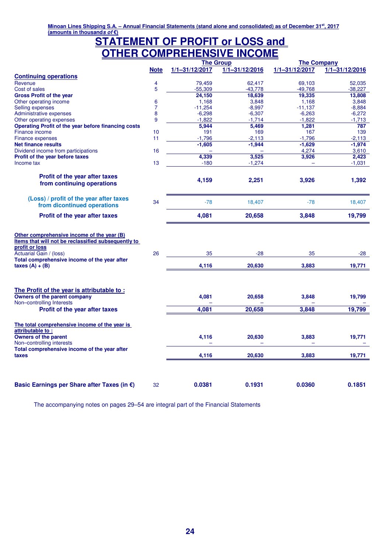## **STATEMENT OF PROFIT or LOSS and OTHER COMPREHENSIVE INCOME**

|                                                                                                                                                                                                                |                |                          | <b>The Group</b>         | <b>The Company</b> |                    |  |
|----------------------------------------------------------------------------------------------------------------------------------------------------------------------------------------------------------------|----------------|--------------------------|--------------------------|--------------------|--------------------|--|
|                                                                                                                                                                                                                | <b>Note</b>    | $1/1 - 31/12/2017$       | $1/1 - 31/12/2016$       | 1/1-31/12/2017     | $1/1 - 31/12/2016$ |  |
| <b>Continuing operations</b>                                                                                                                                                                                   |                |                          |                          |                    |                    |  |
| Revenue                                                                                                                                                                                                        | $\overline{4}$ | 79,459                   | 62,417                   | 69,103             | 52,035             |  |
| Cost of sales                                                                                                                                                                                                  | 5              | $-55,309$                | $-43,778$                | $-49,768$          | $-38,227$          |  |
| <b>Gross Profit of the year</b>                                                                                                                                                                                |                | 24,150                   | 18,639                   | 19,335             | 13,808             |  |
| Other operating income                                                                                                                                                                                         | 6              | 1,168                    | 3,848                    | 1,168              | 3,848              |  |
| Selling expenses                                                                                                                                                                                               | $\overline{7}$ | $-11,254$                | $-8,997$                 | $-11,137$          | $-8,884$           |  |
| Administrative expenses                                                                                                                                                                                        | 8              | $-6,298$                 | $-6,307$                 | $-6,263$           | $-6,272$           |  |
| Other operating expenses                                                                                                                                                                                       | 9              | $-1,822$                 | $-1,714$                 | $-1,822$           | $-1,713$           |  |
| Operating Profit of the year before financing costs                                                                                                                                                            |                | 5,944                    | 5,469                    | 1,281              | 787                |  |
| Finance income                                                                                                                                                                                                 | 10             | 191                      | 169                      | 167                | 139                |  |
| Finance expenses                                                                                                                                                                                               | 11             | $-1,796$                 | $-2,113$                 | $-1,796$           | $-2,113$           |  |
| <b>Net finance results</b>                                                                                                                                                                                     |                | $-1,605$                 | $-1,944$                 | $-1,629$           | $-1,974$           |  |
| Dividend income from participations                                                                                                                                                                            | 16             | $\overline{\phantom{m}}$ | $\overline{\phantom{0}}$ | 4,274              | 3,610              |  |
| Profit of the year before taxes                                                                                                                                                                                |                | 4,339                    | 3,525                    | 3,926              | 2,423              |  |
| Income tax                                                                                                                                                                                                     | 13             | $-180$                   | $-1,274$                 |                    | $-1,031$           |  |
| Profit of the year after taxes<br>from continuing operations                                                                                                                                                   |                | 4,159                    | 2,251                    | 3,926              | 1,392              |  |
| (Loss) / profit of the year after taxes<br>from dicontinued operations                                                                                                                                         | 34             | $-78$                    | 18,407                   | $-78$              | 18,407             |  |
| Profit of the year after taxes                                                                                                                                                                                 |                | 4,081                    | 20,658                   | 3,848              | 19,799             |  |
| Other comprehensive income of the year (B)<br>Items that will not be reclassified subsequently to<br>profit or loss<br>Actuarial Gain / (loss)                                                                 | 26             | 35                       | $-28$                    | 35                 | $-28$              |  |
| Total comprehensive income of the year after<br>taxes $(A) + (B)$                                                                                                                                              |                | 4,116                    | 20,630                   | 3,883              | 19,771             |  |
| The Profit of the year is attributable to:<br>Owners of the parent company<br>Non-controlling Interests<br>Profit of the year after taxes<br>The total comprehensive income of the year is<br>attributable to: |                | 4,081<br>4,081           | 20,658<br>20,658         | 3,848<br>3,848     | 19,799<br>19,799   |  |
| <b>Owners of the parent</b><br>Non-controlling interests<br>Total comprehensive income of the year after                                                                                                       |                | 4,116                    | 20,630                   | 3,883              | 19,771             |  |
| taxes                                                                                                                                                                                                          |                | 4,116                    | 20,630                   | 3,883              | 19,771             |  |
| Basic Earnings per Share after Taxes (in €)                                                                                                                                                                    | 32             | 0.0381                   | 0.1931                   | 0.0360             | 0.1851             |  |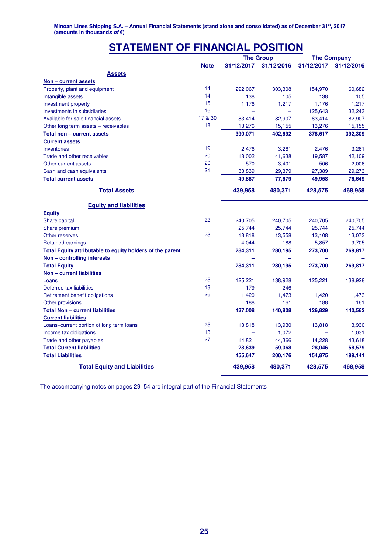# **STATEMENT OF FINANCIAL POSITION**

|                                                           |             |            | <b>The Group</b> |            | <b>The Company</b> |
|-----------------------------------------------------------|-------------|------------|------------------|------------|--------------------|
|                                                           | <b>Note</b> | 31/12/2017 | 31/12/2016       | 31/12/2017 | 31/12/2016         |
| <b>Assets</b>                                             |             |            |                  |            |                    |
| Non - current assets                                      |             |            |                  |            |                    |
| Property, plant and equipment                             | 14          | 292,067    | 303,308          | 154,970    | 160,682            |
| Intangible assets                                         | 14          | 138        | 105              | 138        | 105                |
| Investment property                                       | 15          | 1,176      | 1,217            | 1,176      | 1,217              |
| Investments in subsidiaries                               | 16          |            |                  | 125,643    | 132,243            |
| Available for sale financial assets                       | 17 & 30     | 83,414     | 82,907           | 83,414     | 82,907             |
| Other long term assets - receivables                      | 18          | 13,276     | 15,155           | 13,276     | 15,155             |
| Total non - current assets                                |             | 390,071    | 402,692          | 378,617    | 392,309            |
| <b>Current assets</b>                                     |             |            |                  |            |                    |
| <b>Inventories</b>                                        | 19          | 2,476      | 3,261            | 2,476      | 3,261              |
| Trade and other receivables                               | 20          | 13,002     | 41,638           | 19,587     | 42,109             |
| Other current assets                                      | 20          | 570        | 3,401            | 506        | 2,006              |
| Cash and cash equivalents                                 | 21          | 33,839     | 29,379           | 27,389     | 29,273             |
| <b>Total current assets</b>                               |             | 49,887     | 77,679           | 49,958     | 76,649             |
| <b>Total Assets</b>                                       |             | 439,958    | 480,371          | 428,575    | 468,958            |
|                                                           |             |            |                  |            |                    |
| <b>Equity and liabilities</b>                             |             |            |                  |            |                    |
| <b>Equity</b>                                             |             |            |                  |            |                    |
| Share capital                                             | 22          | 240,705    | 240,705          | 240,705    | 240,705            |
| Share premium                                             |             | 25,744     | 25,744           | 25,744     | 25,744             |
| Other reserves                                            | 23          | 13,818     | 13,558           | 13,108     | 13,073             |
| <b>Retained earnings</b>                                  |             | 4,044      | 188              | $-5,857$   | $-9,705$           |
| Total Equity attributable to equity holders of the parent |             | 284,311    | 280,195          | 273,700    | 269,817            |
| Non - controlling interests                               |             |            |                  |            |                    |
| <b>Total Equity</b>                                       |             | 284,311    | 280,195          | 273,700    | 269,817            |
| Non - current liabilities                                 |             |            |                  |            |                    |
| Loans                                                     | 25          | 125,221    | 138,928          | 125,221    | 138,928            |
| Deferred tax liabilities                                  | 13          | 179        | 246              |            |                    |
| Retirement benefit obligations                            | 26          | 1,420      | 1,473            | 1,420      | 1,473              |
| Other provisions                                          |             | 188        | 161              | 188        | 161                |
| <b>Total Non - current liabilities</b>                    |             | 127,008    | 140,808          | 126,829    | 140,562            |
| <b>Current liabilities</b>                                |             |            |                  |            |                    |
| Loans-current portion of long term loans                  | 25          | 13,818     | 13,930           | 13,818     | 13,930             |
| Income tax obligations                                    | 13          |            | 1,072            |            | 1,031              |
| Trade and other payables                                  | 27          | 14,821     | 44,366           | 14,228     | 43,618             |
| <b>Total Current liabilities</b>                          |             | 28,639     | 59,368           | 28,046     | 58,579             |
| <b>Total Liabilities</b>                                  |             | 155,647    | 200,176          | 154,875    | 199,141            |
| <b>Total Equity and Liabilities</b>                       |             | 439,958    | 480,371          | 428,575    | 468,958            |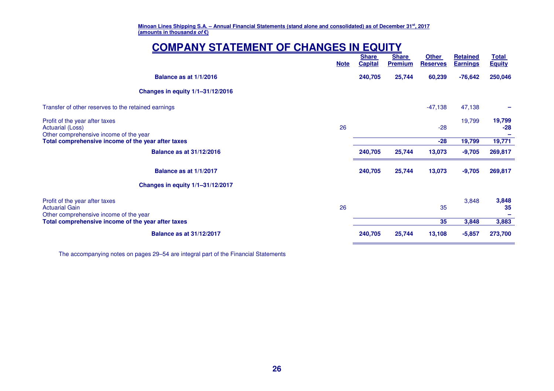# **COMPANY STATEMENT OF CHANGES IN EQUITY**

|                                                                                              | <b>Note</b> | <b>Share</b><br><b>Capital</b> | <b>Share</b><br><b>Premium</b> | <b>Other</b><br><b>Reserves</b> | Retained<br><b>Earnings</b> | <u>Total</u><br><b>Equity</b> |
|----------------------------------------------------------------------------------------------|-------------|--------------------------------|--------------------------------|---------------------------------|-----------------------------|-------------------------------|
| <b>Balance as at 1/1/2016</b>                                                                |             | 240,705                        | 25,744                         | 60,239                          | $-76,642$                   | 250,046                       |
| Changes in equity 1/1-31/12/2016                                                             |             |                                |                                |                                 |                             |                               |
| Transfer of other reserves to the retained earnings                                          |             |                                |                                | $-47,138$                       | 47,138                      |                               |
| Profit of the year after taxes<br>Actuarial (Loss)<br>Other comprehensive income of the year | 26          |                                |                                | $-28$                           | 19,799                      | 19,799<br>$-28$               |
| Total comprehensive income of the year after taxes                                           |             |                                |                                | $-28$                           | 19,799                      | 19,771                        |
| <b>Balance as at 31/12/2016</b>                                                              |             | 240,705                        | 25,744                         | 13,073                          | $-9,705$                    | 269,817                       |
| Balance as at 1/1/2017                                                                       |             | 240,705                        | 25,744                         | 13,073                          | $-9,705$                    | 269,817                       |
| Changes in equity 1/1-31/12/2017                                                             |             |                                |                                |                                 |                             |                               |
| Profit of the year after taxes<br>Actuarial Gain<br>Other comprehensive income of the year   | 26          |                                |                                | 35                              | 3,848                       | 3,848<br>35                   |
| Total comprehensive income of the year after taxes                                           |             |                                |                                | 35                              | 3,848                       | 3,883                         |
| <b>Balance as at 31/12/2017</b>                                                              |             | 240,705                        | 25,744                         | 13,108                          | $-5,857$                    | 273,700                       |
|                                                                                              |             |                                |                                |                                 |                             |                               |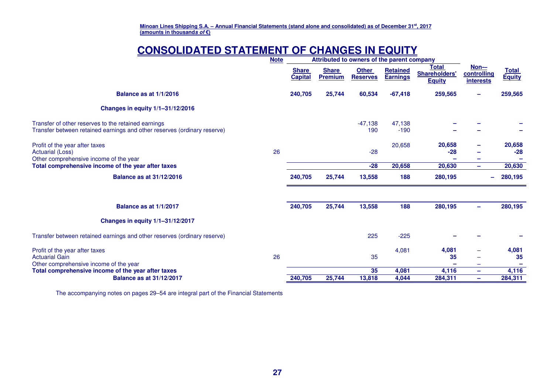# **CONSOLIDATED STATEMENT OF CHANGES IN EQUITY**

|                                                                                                                                 | <b>Note</b> |                                | Attributed to owners of the parent company |                                 |                                    |                                                       |                                                  |                               |
|---------------------------------------------------------------------------------------------------------------------------------|-------------|--------------------------------|--------------------------------------------|---------------------------------|------------------------------------|-------------------------------------------------------|--------------------------------------------------|-------------------------------|
|                                                                                                                                 |             | <b>Share</b><br><b>Capital</b> | <b>Share</b><br><b>Premium</b>             | <b>Other</b><br><b>Reserves</b> | <b>Retained</b><br><b>Earnings</b> | <b>Total</b><br><b>Shareholders'</b><br><b>Equity</b> | <u>Non---</u><br>controlling<br><b>interests</b> | <b>Total</b><br><b>Equity</b> |
| Balance as at 1/1/2016                                                                                                          |             | 240,705                        | 25,744                                     | 60,534                          | $-67,418$                          | 259,565                                               |                                                  | 259,565                       |
| Changes in equity 1/1-31/12/2016                                                                                                |             |                                |                                            |                                 |                                    |                                                       |                                                  |                               |
| Transfer of other reserves to the retained earnings<br>Transfer between retained earnings and other reserves (ordinary reserve) |             |                                |                                            | $-47,138$<br>190                | 47,138<br>$-190$                   |                                                       |                                                  |                               |
| Profit of the year after taxes<br><b>Actuarial (Loss)</b><br>Other comprehensive income of the year                             | 26          |                                |                                            | $-28$                           | 20,658                             | 20,658<br>$-28$                                       |                                                  | 20,658<br>$-28$               |
| Total comprehensive income of the year after taxes                                                                              |             |                                |                                            | $-28$                           | 20,658                             | 20,630                                                | -                                                | 20,630                        |
| <b>Balance as at 31/12/2016</b>                                                                                                 |             | 240,705                        | 25,744                                     | 13,558                          | 188                                | 280,195                                               |                                                  | 280,195                       |
| Balance as at 1/1/2017                                                                                                          |             | 240,705                        | 25,744                                     | 13,558                          | 188                                | 280,195                                               |                                                  | 280,195                       |
| Changes in equity 1/1-31/12/2017                                                                                                |             |                                |                                            |                                 |                                    |                                                       |                                                  |                               |
| Transfer between retained earnings and other reserves (ordinary reserve)                                                        |             |                                |                                            | 225                             | $-225$                             |                                                       |                                                  |                               |
| Profit of the year after taxes<br><b>Actuarial Gain</b><br>Other comprehensive income of the year                               | 26          |                                |                                            | 35                              | 4,081                              | 4,081<br>35                                           |                                                  | 4,081<br>35                   |
| Total comprehensive income of the year after taxes                                                                              |             |                                |                                            | 35                              | 4,081                              | 4,116                                                 | ÷                                                | 4,116                         |
| <b>Balance as at 31/12/2017</b>                                                                                                 |             | 240,705                        | 25,744                                     | 13,818                          | 4,044                              | 284,311                                               | -                                                | 284,311                       |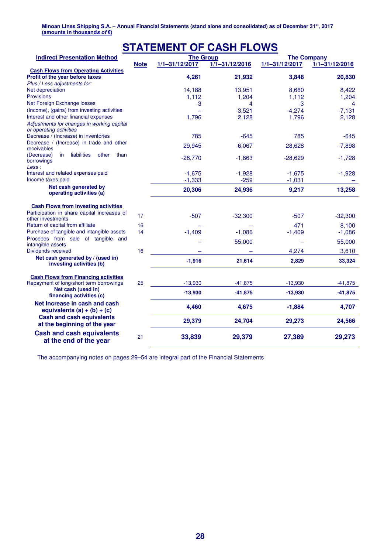| <b>STATEMENT OF CASH FLOWS</b>                                                 |             |                    |                    |                    |                    |  |  |
|--------------------------------------------------------------------------------|-------------|--------------------|--------------------|--------------------|--------------------|--|--|
| <b>Indirect Presentation Method</b>                                            |             | <b>The Group</b>   |                    | <b>The Company</b> |                    |  |  |
|                                                                                | <b>Note</b> | $1/1 - 31/12/2017$ | $1/1 - 31/12/2016$ | $1/1 - 31/12/2017$ | $1/1 - 31/12/2016$ |  |  |
| <b>Cash Flows from Operating Activities</b><br>Profit of the year before taxes |             | 4,261              | 21,932             | 3,848              | 20,830             |  |  |
| Plus / Less adjustments for:                                                   |             |                    |                    |                    |                    |  |  |
| Net depreciation                                                               |             | 14,188             | 13,951             | 8,660              | 8,422              |  |  |
| <b>Provisions</b>                                                              |             | 1,112              | 1,204              | 1,112              | 1,204              |  |  |
| Net Foreign Exchange losses                                                    |             | $-3$               | 4                  | -3                 | 4                  |  |  |
| (Income), (gains) from investing activities                                    |             | $\equiv$           | $-3,521$           | $-4,274$           | $-7,131$           |  |  |
| Interest and other financial expenses                                          |             | 1,796              | 2,128              | 1,796              | 2,128              |  |  |
| Adjustments for changes in working capital<br>or operating activities          |             |                    |                    |                    |                    |  |  |
| Decrease / (Increase) in inventories                                           |             | 785                | $-645$             | 785                | $-645$             |  |  |
| Decrease / (Increase) in trade and other                                       |             | 29.945             | $-6,067$           | 28,628             | $-7,898$           |  |  |
| receivables<br>liabilities                                                     |             |                    |                    |                    |                    |  |  |
| (Decrease)<br>in<br>other<br>than<br>borrowings                                |             | $-28,770$          | $-1,863$           | $-28,629$          | $-1,728$           |  |  |
| Less :                                                                         |             |                    |                    |                    |                    |  |  |
| Interest and related expenses paid                                             |             | $-1,675$           | $-1,928$           | $-1,675$           | $-1,928$           |  |  |
| Income taxes paid                                                              |             | $-1,333$           | $-259$             | $-1,031$           |                    |  |  |
| Net cash generated by                                                          |             | 20,306             | 24,936             | 9,217              | 13,258             |  |  |
| operating activities (a)                                                       |             |                    |                    |                    |                    |  |  |
| <b>Cash Flows from Investing activities</b>                                    |             |                    |                    |                    |                    |  |  |
| Participation in share capital increases of                                    |             |                    |                    |                    |                    |  |  |
| other investments                                                              | 17          | $-507$             | $-32,300$          | $-507$             | $-32,300$          |  |  |
| Return of capital from affiliate                                               | 16          |                    |                    | 471                | 8.100              |  |  |
| Purchase of tangible and intangible assets                                     | 14          | $-1,409$           | $-1,086$           | $-1,409$           | $-1,086$           |  |  |
| Proceeds from sale of tangible and                                             |             |                    | 55,000             |                    | 55,000             |  |  |
| intangible assets                                                              |             |                    |                    |                    |                    |  |  |
| Dividends received                                                             | 16          |                    |                    | 4,274              | 3,610              |  |  |
| Net cash generated by / (used in)<br>investing activities (b)                  |             | $-1,916$           | 21,614             | 2,829              | 33,324             |  |  |
| <b>Cash Flows from Financing activities</b>                                    |             |                    |                    |                    |                    |  |  |
| Repayment of long/short term borrowings                                        | 25          | $-13,930$          | $-41,875$          | $-13,930$          | $-41,875$          |  |  |
| Net cash (used in)                                                             |             |                    |                    |                    |                    |  |  |
| financing activities (c)                                                       |             | $-13,930$          | $-41,875$          | $-13,930$          | $-41,875$          |  |  |
| Net Increase in cash and cash<br>equivalents $(a) + (b) + (c)$                 |             | 4,460              | 4,675              | $-1,884$           | 4,707              |  |  |
| <b>Cash and cash equivalents</b><br>at the beginning of the year               |             | 29,379             | 24,704             | 29,273             | 24,566             |  |  |
| <b>Cash and cash equivalents</b><br>at the end of the year                     | 21          | 33,839             | 29,379             | 27,389             | 29,273             |  |  |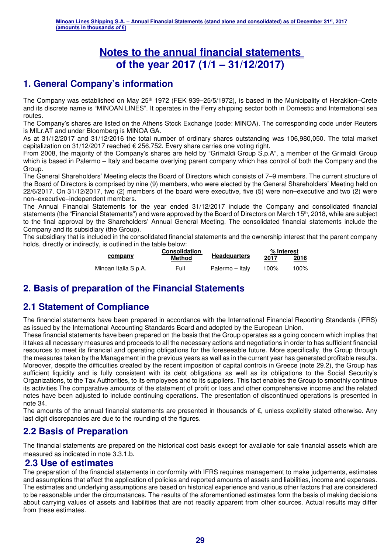# **Notes to the annual financial statements of the year 2017 (1/1 – 31/12/2017)**

# **1. General Company's information**

The Company was established on May 25th 1972 (FEK 939–25/5/1972), is based in the Municipality of Heraklion–Crete and its discrete name is "MINOAN LINES". It operates in the Ferry shipping sector both in Domestic and International sea routes.

The Company's shares are listed on the Athens Stock Exchange (code: MINOA). The corresponding code under Reuters is MILr.AT and under Bloomberg is MINOA GA.

As at 31/12/2017 and 31/12/2016 the total number of ordinary shares outstanding was 106,980,050. The total market capitalization on 31/12/2017 reached  $\epsilon$  256,752. Every share carries one voting right.

From 2008, the majority of the Company's shares are held by "Grimaldi Group S.p.A", a member of the Grimaldi Group which is based in Palermo – Italy and became overlying parent company which has control of both the Company and the Group.

The General Shareholders' Meeting elects the Board of Directors which consists of 7–9 members. The current structure of the Board of Directors is comprised by nine (9) members, who were elected by the General Shareholders' Meeting held on 22/6/2017. On 31/12/2017, two (2) members of the board were executive, five (5) were non–executive and two (2) were non–executive–independent members.

The Annual Financial Statements for the year ended 31/12/2017 include the Company and consolidated financial statements (the "Financial Statements") and were approved by the Board of Directors on March 15<sup>th</sup>, 2018, while are subject to the final approval by the Shareholders' Annual General Meeting. The consolidated financial statements include the Company and its subsidiary (the Group).

The subsidiary that is included in the consolidated financial statements and the ownership interest that the parent company holds, directly or indirectly, is outlined in the table below:

|                      | <b>Consolidation</b> |                     |      | % Interest |  |  |
|----------------------|----------------------|---------------------|------|------------|--|--|
| company              | Method               | <b>Headquarters</b> | 2017 | 2016       |  |  |
| Minoan Italia S.p.A. | Full                 | Palermo – Italv     | 100% | 100%       |  |  |

## **2. Basis of preparation of the Financial Statements**

# **2.1 Statement of Compliance**

The financial statements have been prepared in accordance with the International Financial Reporting Standards (IFRS) as issued by the International Accounting Standards Board and adopted by the European Union.

These financial statements have been prepared on the basis that the Group operates as a going concern which implies that it takes all necessary measures and proceeds to all the necessary actions and negotiations in order to has sufficient financial resources to meet its financial and operating obligations for the foreseeable future. More specifically, the Group through the measures taken by the Management in the previous years as well as in the current year has generated profitable results. Moreover, despite the difficulties created by the recent imposition of capital controls in Greece (note 29.2), the Group has sufficient liquidity and is fully consistent with its debt obligations as well as its obligations to the Social Security's Organizations, to the Tax Authorities, to its employees and to its suppliers. This fact enables the Group to smoothly continue its activities.The comparative amounts of the statement of profit or loss and other comprehensive income and the related notes have been adjusted to include continuing operations. The presentation of discontinued operations is presented in note 34.

The amounts of the annual financial statements are presented in thousands of €, unless explicitly stated otherwise. Any last digit discrepancies are due to the rounding of the figures.

## **2.2 Basis of Preparation**

The financial statements are prepared on the historical cost basis except for available for sale financial assets which are measured as indicated in note 3.3.1.b.

## **2.3 Use of estimates**

The preparation of the financial statements in conformity with IFRS requires management to make judgements, estimates and assumptions that affect the application of policies and reported amounts of assets and liabilities, income and expenses. The estimates and underlying assumptions are based on historical experience and various other factors that are considered to be reasonable under the circumstances. The results of the aforementioned estimates form the basis of making decisions about carrying values of assets and liabilities that are not readily apparent from other sources. Actual results may differ from these estimates.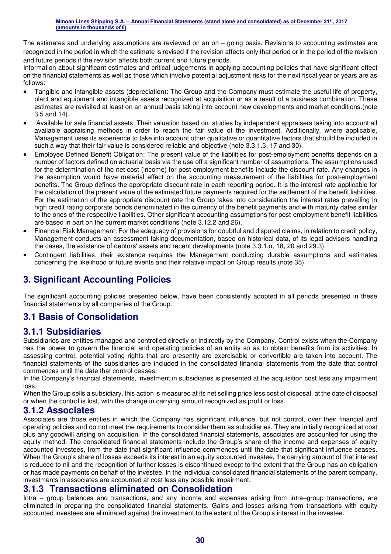The estimates and underlying assumptions are reviewed on an on – going basis. Revisions to accounting estimates are recognized in the period in which the estimate is revised if the revision affects only that period or in the period of the revision and future periods if the revision affects both current and future periods.

Information about significant estimates and critical judgements in applying accounting policies that have significant effect on the financial statements as well as those which involve potential adjustment risks for the next fiscal year or years are as follows:

- Tangible and intangible assets (depreciation): The Group and the Company must estimate the useful life of property, plant and equipment and intangible assets recognized at acquisition or as a result of a business combination. These estimates are revisited at least on an annual basis taking into account new developments and market conditions.(note 3.5 and 14).
- Available for sale financial assets: Their valuation based on studies by independent appraisers taking into account all available appraising methods in order to reach the fair value of the investment. Additionally, where applicable, Management uses its experience to take into account other qualitative or quantitative factors that should be included in such a way that their fair value is considered reliable and objective (note 3.3.1.β, 17 and 30).
- Employee Defined Benefit Obligation: The present value of the liabilities for post-employment benefits depends on a number of factors defined on actuarial basis via the use off a significant number of assumptions. The assumptions used for the determination of the net cost (income) for post-employment benefits include the discount rate. Any changes in the assumption would have material effect on the accounting measurement of the liabilities for post-employment benefits. The Group defines the appropriate discount rate in each reporting period. It is the interest rate applicable for the calculation of the present value of the estimated future payments required for the settlement of the benefit liabilities. For the estimation of the appropriate discount rate the Group takes into consideration the interest rates prevailing in high credit rating corporate bonds denominated in the currency of the benefit payments and with maturity dates similar to the ones of the respective liabilities. Other significant accounting assumptions for post-employment benefit liabilities are based in part on the current market conditions (note 3.12.2 and 26).
- Financial Risk Management: For the adequacy of provisions for doubtful and disputed claims, in relation to credit policy, Management conducts an assessment taking documentation, based on historical data, of its legal advisors handling the cases, the existence of debtors' assets and recent developments (note 3.3.1.α, 18, 20 and 29.3).
- Contingent liabilities: their existence requires the Management conducting durable assumptions and estimates concerning the likelihood of future events and their relative impact on Group results (note 35).

## **3. Significant Accounting Policies**

The significant accounting policies presented below, have been consistently adopted in all periods presented in these financial statements by all companies of the Group.

## **3.1 Basis of Consolidation**

## **3.1.1 Subsidiaries**

Subsidiaries are entities managed and controlled directly or indirectly by the Company. Control exists when the Company has the power to govern the financial and operating policies of an entity so as to obtain benefits from its activities. In assessing control, potential voting rights that are presently are exercisable or convertible are taken into account. The financial statements of the subsidiaries are included in the consolidated financial statements from the date that control commences until the date that control ceases.

In the Company's financial statements, investment in subsidiaries is presented at the acquisition cost less any impairment loss.

When the Group sells a subsidiary, this action is measured at its net selling price less cost of disposal, at the date of disposal or when the control is lost, with the change in carrying amount recognized as profit or loss.

## **3.1.2 Associates**

Associates are those entities in which the Company has significant influence, but not control, over their financial and operating policies and do not meet the requirements to consider them as subsidiaries. They are initially recognized at cost plus any goodwill arising on acquisition. In the consolidated financial statements, associates are accounted for using the equity method. The consolidated financial statements include the Group's share of the income and expenses of equity accounted investees, from the date that significant influence commences until the date that significant influence ceases. When the Group's share of losses exceeds its interest in an equity accounted investee, the carrying amount of that interest is reduced to nil and the recognition of further losses is discontinued except to the extent that the Group has an obligation or has made payments on behalf of the investee. In the individual consolidated financial statements of the parent company, investments in associates are accounted at cost less any possible impairment.

## **3.1.3 Transactions eliminated on Consolidation**

Intra – group balances and transactions, and any income and expenses arising from intra–group transactions, are eliminated in preparing the consolidated financial statements. Gains and losses arising from transactions with equity accounted investees are eliminated against the investment to the extent of the Group's interest in the investee.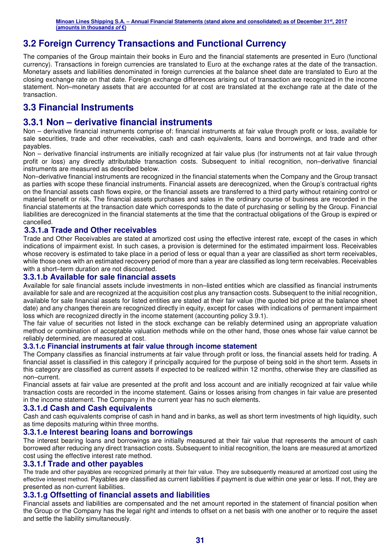## **3.2 Foreign Currency Transactions and Functional Currency**

The companies of the Group maintain their books in Euro and the financial statements are presented in Euro (functional currency). Transactions in foreign currencies are translated to Euro at the exchange rates at the date of the transaction. Monetary assets and liabilities denominated in foreign currencies at the balance sheet date are translated to Euro at the closing exchange rate on that date. Foreign exchange differences arising out of transaction are recognized in the income statement. Non–monetary assets that are accounted for at cost are translated at the exchange rate at the date of the transaction.

## **3.3 Financial Instruments**

## **3.3.1 Non – derivative financial instruments**

Non – derivative financial instruments comprise of: financial instruments at fair value through profit or loss, available for sale securities, trade and other receivables, cash and cash equivalents, loans and borrowings, and trade and other payables.

Non – derivative financial instruments are initially recognized at fair value plus (for instruments not at fair value through profit or loss) any directly attributable transaction costs. Subsequent to initial recognition, non–derivative financial instruments are measured as described below.

Non–derivative financial instruments are recognized in the financial statements when the Company and the Group transact as parties with scope these financial instruments. Financial assets are derecognized, when the Group's contractual rights on the financial assets cash flows expire, or the financial assets are transferred to a third party without retaining control or material benefit or risk. The financial assets purchases and sales in the ordinary course of business are recorded in the financial statements at the transaction date which corresponds to the date of purchasing or selling by the Group. Financial liabilities are derecognized in the financial statements at the time that the contractual obligations of the Group is expired or cancelled.

#### **3.3.1.a Trade and Other receivables**

Trade and Other Receivables are stated at amortized cost using the effective interest rate, except of the cases in which indications of impairment exist. In such cases, a provision is determined for the estimated impairment loss. Receivables whose recovery is estimated to take place in a period of less or equal than a year are classified as short term receivables, while those ones with an estimated recovery period of more than a year are classified as long term receivables. Receivables with a short–term duration are not discounted.

#### **3.3.1.b Available for sale financial assets**

Available for sale financial assets include investments in non–listed entities which are classified as financial instruments available for sale and are recognized at the acquisition cost plus any transaction costs. Subsequent to the initial recognition, available for sale financial assets for listed entities are stated at their fair value (the quoted bid price at the balance sheet date) and any changes therein are recognized directly in equity, except for cases with indications of permanent impairment loss which are recognized directly in the income statement (accounting policy 3.9.1).

The fair value of securities not listed in the stock exchange can be reliably determined using an appropriate valuation method or combination of acceptable valuation methods while on the other hand, those ones whose fair value cannot be reliably determined, are measured at cost.

#### **3.3.1.c Financial instruments at fair value through income statement**

The Company classifies as financial instruments at fair value through profit or loss, the financial assets held for trading. A financial asset is classified in this category if principally acquired for the purpose of being sold in the short term. Assets in this category are classified as current assets if expected to be realized within 12 months, otherwise they are classified as non–current.

Financial assets at fair value are presented at the profit and loss account and are initially recognized at fair value while transaction costs are recorded in the income statement. Gains or losses arising from changes in fair value are presented in the income statement. The Company in the current year has no such elements.

#### **3.3.1.d Cash and Cash equivalents**

Cash and cash equivalents comprise of cash in hand and in banks, as well as short term investments of high liquidity, such as time deposits maturing within three months.

#### **3.3.1.e Interest bearing loans and borrowings**

The interest bearing loans and borrowings are initially measured at their fair value that represents the amount of cash borrowed after reducing any direct transaction costs. Subsequent to initial recognition, the loans are measured at amortized cost using the effective interest rate method.

#### **3.3.1.f Trade and other payables**

The trade and other payables are recognized primarily at their fair value. They are subsequently measured at amortized cost using the effective interest method. Payables are classified as current liabilities if payment is due within one year or less. If not, they are presented as non-current liabilities.

#### **3.3.1.g Offsetting of financial assets and liabilities**

Financial assets and liabilities are compensated and the net amount reported in the statement of financial position when the Group or the Company has the legal right and intends to offset on a net basis with one another or to require the asset and settle the liability simultaneously.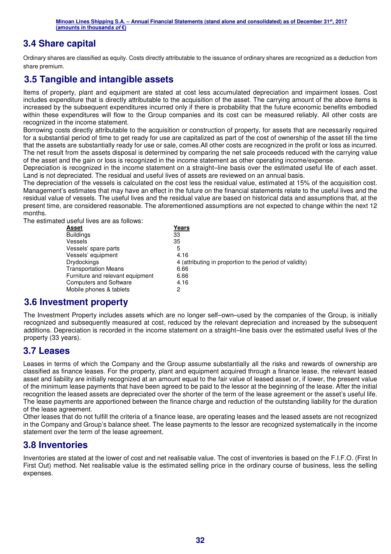## **3.4 Share capital**

Ordinary shares are classified as equity. Costs directly attributable to the issuance of ordinary shares are recognized as a deduction from share premium.

## **3.5 Tangible and intangible assets**

Items of property, plant and equipment are stated at cost less accumulated depreciation and impairment losses. Cost includes expenditure that is directly attributable to the acquisition of the asset. The carrying amount of the above items is increased by the subsequent expenditures incurred only if there is probability that the future economic benefits embodied within these expenditures will flow to the Group companies and its cost can be measured reliably. All other costs are recognized in the income statement.

Borrowing costs directly attributable to the acquisition or construction of property, for assets that are necessarily required for a substantial period of time to get ready for use are capitalized as part of the cost of ownership of the asset till the time that the assets are substantially ready for use or sale, comes.All other costs are recognized in the profit or loss as incurred. The net result from the assets disposal is determined by comparing the net sale proceeds reduced with the carrying value of the asset and the gain or loss is recognized in the income statement as other operating income/expense.

Depreciation is recognized in the income statement on a straight–line basis over the estimated useful life of each asset. Land is not depreciated. The residual and useful lives of assets are reviewed on an annual basis.

The depreciation of the vessels is calculated on the cost less the residual value, estimated at 15% of the acquisition cost. Management's estimates that may have an effect in the future on the financial statements relate to the useful lives and the residual value of vessels. The useful lives and the residual value are based on historical data and assumptions that, at the present time, are considered reasonable. The aforementioned assumptions are not expected to change within the next 12 months.

The estimated useful lives are as follows:

| Asset                            | Years                                                   |
|----------------------------------|---------------------------------------------------------|
| <b>Buildings</b>                 | 33                                                      |
| <b>Vessels</b>                   | 35                                                      |
| Vessels' spare parts             | 5                                                       |
| Vessels' equipment               | 4.16                                                    |
| <b>Drydockings</b>               | 4 (attributing in proportion to the period of validity) |
| <b>Transportation Means</b>      | 6.66                                                    |
| Furniture and relevant equipment | 6.66                                                    |
| <b>Computers and Software</b>    | 4.16                                                    |
| Mobile phones & tablets          | 2                                                       |

## **3.6 Investment property**

The Investment Property includes assets which are no longer self–own–used by the companies of the Group, is initially recognized and subsequently measured at cost, reduced by the relevant depreciation and increased by the subsequent additions. Depreciation is recorded in the income statement on a straight–line basis over the estimated useful lives of the property (33 years).

## **3.7 Leases**

Leases in terms of which the Company and the Group assume substantially all the risks and rewards of ownership are classified as finance leases. For the property, plant and equipment acquired through a finance lease, the relevant leased asset and liability are initially recognized at an amount equal to the fair value of leased asset or, if lower, the present value of the minimum lease payments that have been agreed to be paid to the lessor at the beginning of the lease. After the initial recognition the leased assets are depreciated over the shorter of the term of the lease agreement or the asset's useful life. The lease payments are apportioned between the finance charge and reduction of the outstanding liability for the duration of the lease agreement.

Other leases that do not fulfill the criteria of a finance lease, are operating leases and the leased assets are not recognized in the Company and Group's balance sheet. The lease payments to the lessor are recognized systematically in the income statement over the term of the lease agreement.

## **3.8 Inventories**

Inventories are stated at the lower of cost and net realisable value. The cost of inventories is based on the F.I.F.O. (First In First Out) method. Net realisable value is the estimated selling price in the ordinary course of business, less the selling expenses.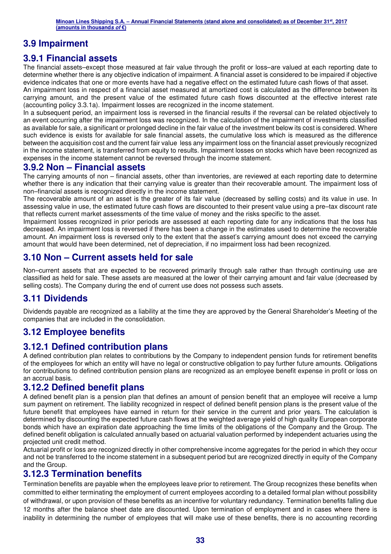## **3.9 Impairment**

## **3.9.1 Financial assets**

The financial assets–except those measured at fair value through the profit or loss–are valued at each reporting date to determine whether there is any objective indication of impairment. A financial asset is considered to be impaired if objective evidence indicates that one or more events have had a negative effect on the estimated future cash flows of that asset.

An impairment loss in respect of a financial asset measured at amortized cost is calculated as the difference between its carrying amount, and the present value of the estimated future cash flows discounted at the effective interest rate (accounting policy 3.3.1a). Impairment losses are recognized in the income statement.

In a subsequent period, an impairment loss is reversed in the financial results if the reversal can be related objectively to an event occurring after the impairment loss was recognized. In the calculation of the impairment of investments classified as available for sale, a significant or prolonged decline in the fair value of the investment below its cost is considered. Where such evidence is exists for available for sale financial assets, the cumulative loss which is measured as the difference between the acquisition cost and the current fair value less any impairment loss on the financial asset previously recognized in the income statement, is transferred from equity to results. Impairment losses on stocks which have been recognized as expenses in the income statement cannot be reversed through the income statement.

## **3.9.2 Non – Financial assets**

The carrying amounts of non – financial assets, other than inventories, are reviewed at each reporting date to determine whether there is any indication that their carrying value is greater than their recoverable amount. The impairment loss of non–financial assets is recognized directly in the income statement.

The recoverable amount of an asset is the greater of its fair value (decreased by selling costs) and its value in use. In assessing value in use, the estimated future cash flows are discounted to their present value using a pre–tax discount rate that reflects current market assessments of the time value of money and the risks specific to the asset.

Impairment losses recognized in prior periods are assessed at each reporting date for any indications that the loss has decreased. An impairment loss is reversed if there has been a change in the estimates used to determine the recoverable amount. An impairment loss is reversed only to the extent that the asset's carrying amount does not exceed the carrying amount that would have been determined, net of depreciation, if no impairment loss had been recognized.

## **3.10 Non – Current assets held for sale**

Non–current assets that are expected to be recovered primarily through sale rather than through continuing use are classified as held for sale. These assets are measured at the lower of their carrying amount and fair value (decreased by selling costs). The Company during the end of current use does not possess such assets.

## **3.11 Dividends**

Dividends payable are recognized as a liability at the time they are approved by the General Shareholder's Meeting of the companies that are included in the consolidation.

## **3.12 Employee benefits**

## **3.12.1 Defined contribution plans**

A defined contribution plan relates to contributions by the Company to independent pension funds for retirement benefits of the employees for which an entity will have no legal or constructive obligation to pay further future amounts. Obligations for contributions to defined contribution pension plans are recognized as an employee benefit expense in profit or loss on an accrual basis.

## **3.12.2 Defined benefit plans**

A defined benefit plan is a pension plan that defines an amount of pension benefit that an employee will receive a lump sum payment on retirement. The liability recognized in respect of defined benefit pension plans is the present value of the future benefit that employees have earned in return for their service in the current and prior years. The calculation is determined by discounting the expected future cash flows at the weighted average yield of high quality European corporate bonds which have an expiration date approaching the time limits of the obligations of the Company and the Group. The defined benefit obligation is calculated annually based on actuarial valuation performed by independent actuaries using the projected unit credit method.

Actuarial profit or loss are recognized directly in other comprehensive income aggregates for the period in which they occur and not be transferred to the income statement in a subsequent period but are recognized directly in equity of the Company and the Group.

## **3.12.3 Termination benefits**

Termination benefits are payable when the employees leave prior to retirement. The Group recognizes these benefits when committed to either terminating the employment of current employees according to a detailed formal plan without possibility of withdrawal, or upon provision of these benefits as an incentive for voluntary redundancy. Termination benefits falling due 12 months after the balance sheet date are discounted. Upon termination of employment and in cases where there is inability in determining the number of employees that will make use of these benefits, there is no accounting recording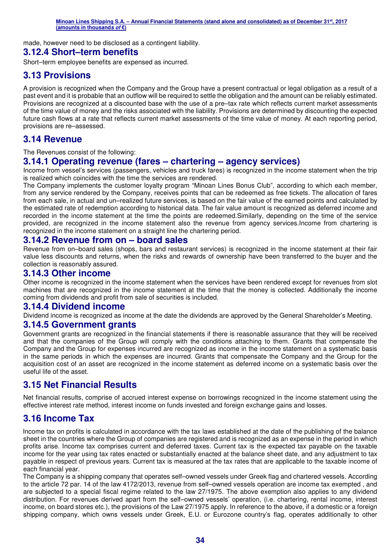made, however need to be disclosed as a contingent liability.

## **3.12.4 Short–term benefits**

Short–term employee benefits are expensed as incurred.

## **3.13 Provisions**

A provision is recognized when the Company and the Group have a present contractual or legal obligation as a result of a past event and it is probable that an outflow will be required to settle the obligation and the amount can be reliably estimated. Provisions are recognized at a discounted base with the use of a pre–tax rate which reflects current market assessments of the time value of money and the risks associated with the liability. Provisions are determined by discounting the expected future cash flows at a rate that reflects current market assessments of the time value of money. At each reporting period, provisions are re–assessed.

## **3.14 Revenue**

The Revenues consist of the following:

## **3.14.1 Operating revenue (fares – chartering – agency services)**

Income from vessel's services (passengers, vehicles and truck fares) is recognized in the income statement when the trip is realized which coincides with the time the services are rendered.

The Company implements the customer loyalty program "Minoan Lines Bonus Club", according to which each member, from any service rendered by the Company, receives points that can be redeemed as free tickets. The allocation of fares from each sale, in actual and un–realized future services, is based on the fair value of the earned points and calculated by the estimated rate of redemption according to historical data. The fair value amount is recognized as deferred income and recorded in the income statement at the time the points are redeemed.Similarly, depending on the time of the service provided, are recognized in the income statement also the revenue from agency services.Income from chartering is recognized in the income statement on a straight line the chartering period.

## **3.14.2 Revenue from on – board sales**

Revenue from on–board sales (shops, bars and restaurant services) is recognized in the income statement at their fair value less discounts and returns, when the risks and rewards of ownership have been transferred to the buyer and the collection is reasonably assured.

## **3.14.3 Other income**

Other income is recognized in the income statement when the services have been rendered except for revenues from slot machines that are recognized in the income statement at the time that the money is collected. Additionally the income coming from dividends and profit from sale of securities is included.

## **3.14.4 Dividend income**

Dividend income is recognized as income at the date the dividends are approved by the General Shareholder's Meeting.

## **3.14.5 Government grants**

Government grants are recognized in the financial statements if there is reasonable assurance that they will be received and that the companies of the Group will comply with the conditions attaching to them. Grants that compensate the Company and the Group for expenses incurred are recognized as income in the income statement on a systematic basis in the same periods in which the expenses are incurred. Grants that compensate the Company and the Group for the acquisition cost of an asset are recognized in the income statement as deferred income on a systematic basis over the useful life of the asset.

## **3.15 Net Financial Results**

Net financial results, comprise of accrued interest expense on borrowings recognized in the income statement using the effective interest rate method, interest income on funds invested and foreign exchange gains and losses.

## **3.16 Income Tax**

Income tax on profits is calculated in accordance with the tax laws established at the date of the publishing of the balance sheet in the countries where the Group of companies are registered and is recognized as an expense in the period in which profits arise. Income tax comprises current and deferred taxes. Current tax is the expected tax payable on the taxable income for the year using tax rates enacted or substantially enacted at the balance sheet date, and any adjustment to tax payable in respect of previous years. Current tax is measured at the tax rates that are applicable to the taxable income of each financial year.

The Company is a shipping company that operates self–owned vessels under Greek flag and chartered vessels. According to the article 72 par. 14 of the law 4172/2013, revenue from self–owned vessels operation are income tax exempted , and are subjected to a special fiscal regime related to the law 27/1975. The above exemption also applies to any dividend distribution. For revenues derived apart from the self–owned vessels' operation, (i.e. chartering, rental income, interest income, on board stores etc.), the provisions of the Law 27/1975 apply. In reference to the above, if a domestic or a foreign shipping company, which owns vessels under Greek, E.U. or Eurozone country's flag, operates additionally to other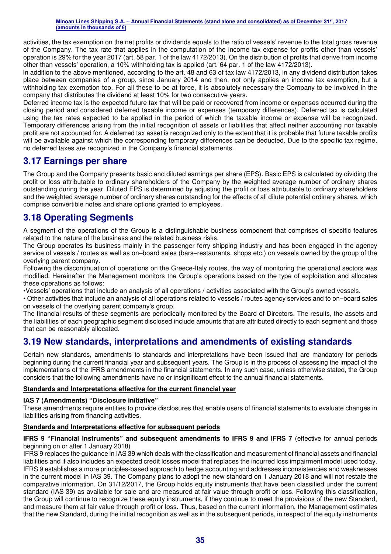activities, the tax exemption on the net profits or dividends equals to the ratio of vessels' revenue to the total gross revenue of the Company. The tax rate that applies in the computation of the income tax expense for profits other than vessels' operation is 29% for the year 2017 (art. 58 par. 1 of the law 4172/2013). On the distribution of profits that derive from income other than vessels' operation, a 10% withholding tax is applied (art. 64 par. 1 of the law 4172/2013).

In addition to the above mentioned, according to the art. 48 and 63 of tax law 4172/2013, in any dividend distribution takes place between companies of a group, since January 2014 and then, not only applies an income tax exemption, but a withholding tax exemption too. For all these to be at force, it is absolutely necessary the Company to be involved in the company that distributes the dividend at least 10% for two consecutive years.

Deferred income tax is the expected future tax that will be paid or recovered from income or expenses occurred during the closing period and considered deferred taxable income or expenses (temporary differences). Deferred tax is calculated using the tax rates expected to be applied in the period of which the taxable income or expense will be recognized. Temporary differences arising from the initial recognition of assets or liabilities that affect neither accounting nor taxable profit are not accounted for. A deferred tax asset is recognized only to the extent that it is probable that future taxable profits will be available against which the corresponding temporary differences can be deducted. Due to the specific tax regime, no deferred taxes are recognized in the Company's financial statements.

## **3.17 Earnings per share**

The Group and the Company presents basic and diluted earnings per share (EPS). Basic EPS is calculated by dividing the profit or loss attributable to ordinary shareholders of the Company by the weighted average number of ordinary shares outstanding during the year. Diluted EPS is determined by adjusting the profit or loss attributable to ordinary shareholders and the weighted average number of ordinary shares outstanding for the effects of all dilute potential ordinary shares, which comprise convertible notes and share options granted to employees.

## **3.18 Operating Segments**

A segment of the operations of the Group is a distinguishable business component that comprises of specific features related to the nature of the business and the related business risks.

The Group operates its business mainly in the passenger ferry shipping industry and has been engaged in the agency service of vessels / routes as well as on–board sales (bars–restaurants, shops etc.) on vessels owned by the group of the overlying parent company.

Following the discontinuation of operations on the Greece-Italy routes, the way of monitoring the operational sectors was modified. Hereinafter the Management monitors the Group's operations based on the type of exploitation and allocates these operations as follows:

•Vessels' operations that include an analysis of all operations / activities associated with the Group's owned vessels.

• Other activities that include an analysis of all operations related to vessels / routes agency services and to on–board sales on vessels of the overlying parent company's group.

The financial results of these segments are periodically monitored by the Board of Directors. The results, the assets and the liabilities of each geographic segment disclosed include amounts that are attributed directly to each segment and those that can be reasonably allocated.

## **3.19 New standards, interpretations and amendments of existing standards**

Certain new standards, amendments to standards and interpretations have been issued that are mandatory for periods beginning during the current financial year and subsequent years. The Group is in the process of assessing the impact of the implementations of the IFRS amendments in the financial statements. In any such case, unless otherwise stated, the Group considers that the following amendments have no or insignificant effect to the annual financial statements.

#### **Standards and Interpretations effective for the current financial year**

#### **IAS 7 (Amendments) "Disclosure initiative"**

These amendments require entities to provide disclosures that enable users of financial statements to evaluate changes in liabilities arising from financing activities.

#### **Standards and Interpretations effective for subsequent periods**

#### **IFRS 9 "Financial Instruments" and subsequent amendments to IFRS 9 and IFRS 7** (effective for annual periods beginning on or after 1 January 2018)

IFRS 9 replaces the guidance in IAS 39 which deals with the classification and measurement of financial assets and financial liabilities and it also includes an expected credit losses model that replaces the incurred loss impairment model used today. IFRS 9 establishes a more principles-based approach to hedge accounting and addresses inconsistencies and weaknesses in the current model in IAS 39. The Company plans to adopt the new standard on 1 January 2018 and will not restate the comparative information. On 31/12/2017, the Group holds equity instruments that have been classified under the current standard (IAS 39) as available for sale and are measured at fair value through profit or loss. Following this classification, the Group will continue to recognize these equity instruments, if they continue to meet the provisions of the new Standard, and measure them at fair value through profit or loss. Thus, based on the current information, the Management estimates that the new Standard, during the initial recognition as well as in the subsequent periods, in respect of the equity instruments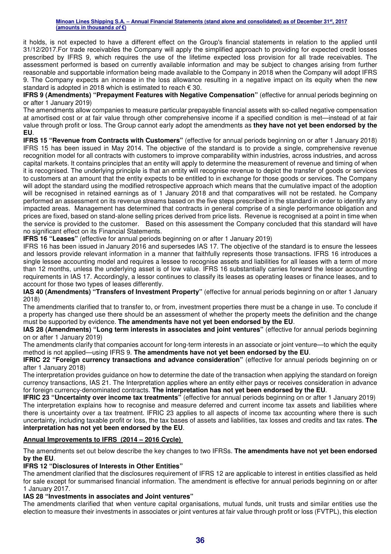it holds, is not expected to have a different effect on the Group's financial statements in relation to the applied until 31/12/2017.For trade receivables the Company will apply the simplified approach to providing for expected credit losses prescribed by IFRS 9, which requires the use of the lifetime expected loss provision for all trade receivables. The assessment performed is based on currently available information and may be subject to changes arising from further reasonable and supportable information being made available to the Company in 2018 when the Company will adopt IFRS 9. The Company expects an increase in the loss allowance resulting in a negative impact on its equity when the new standard is adopted in 2018 which is estimated to reach € 30.

**IFRS 9 (Amendments) "Prepayment Features with Negative Compensation" (effective for annual periods beginning on** or after 1 January 2019)

The amendments allow companies to measure particular prepayable financial assets with so-called negative compensation at amortised cost or at fair value through other comprehensive income if a specified condition is met—instead of at fair value through profit or loss. The Group cannot early adopt the amendments as **they have not yet been endorsed by the EU**.

**IFRS 15 "Revenue from Contracts with Customers"** (effective for annual periods beginning on or after 1 January 2018) IFRS 15 has been issued in May 2014. The objective of the standard is to provide a single, comprehensive revenue recognition model for all contracts with customers to improve comparability within industries, across industries, and across capital markets. It contains principles that an entity will apply to determine the measurement of revenue and timing of when it is recognised. The underlying principle is that an entity will recognise revenue to depict the transfer of goods or services to customers at an amount that the entity expects to be entitled to in exchange for those goods or services. The Company will adopt the standard using the modified retrospective approach which means that the cumulative impact of the adoption will be recognised in retained earnings as of 1 January 2018 and that comparatives will not be restated. he Company performed an assessment on its revenue streams based on the five steps prescribed in the standard in order to identify any impacted areas. Management has determined that contracts in general comprise of a single performance obligation and prices are fixed, based on stand-alone selling prices derived from price lists. Revenue is recognised at a point in time when the service is provided to the customer. Based on this assessment the Company concluded that this standard will have no significant effect on its Financial Statements.

**IFRS 16 "Leases"** (effective for annual periods beginning on or after 1 January 2019)

IFRS 16 has been issued in January 2016 and supersedes IAS 17. The objective of the standard is to ensure the lessees and lessors provide relevant information in a manner that faithfully represents those transactions. IFRS 16 introduces a single lessee accounting model and requires a lessee to recognise assets and liabilities for all leases with a term of more than 12 months, unless the underlying asset is of low value. IFRS 16 substantially carries forward the lessor accounting requirements in IAS 17. Accordingly, a lessor continues to classify its leases as operating leases or finance leases, and to account for those two types of leases differently.

**IAS 40 (Amendments) "Transfers of Investment Property"** (effective for annual periods beginning on or after 1 January 2018)

The amendments clarified that to transfer to, or from, investment properties there must be a change in use. To conclude if a property has changed use there should be an assessment of whether the property meets the definition and the change must be supported by evidence. **The amendments have not yet been endorsed by the EU**.

**IAS 28 (Amendments) "Long term interests in associates and joint ventures"** (effective for annual periods beginning on or after 1 January 2019)

The amendments clarify that companies account for long-term interests in an associate or joint venture—to which the equity method is not applied—using IFRS 9. **The amendments have not yet been endorsed by the EU**.

**IFRIC 22 "Foreign currency transactions and advance consideration"** (effective for annual periods beginning on or after 1 January 2018)

The interpretation provides guidance on how to determine the date of the transaction when applying the standard on foreign currency transactions, IAS 21. The Interpretation applies where an entity either pays or receives consideration in advance for foreign currency-denominated contracts. **The interpretation has not yet been endorsed by the EU**.

**IFRIC 23 "Uncertainty over income tax treatments"** (effective for annual periods beginning on or after 1 January 2019) The interpretation explains how to recognise and measure deferred and current income tax assets and liabilities where there is uncertainty over a tax treatment. IFRIC 23 applies to all aspects of income tax accounting where there is such uncertainty, including taxable profit or loss, the tax bases of assets and liabilities, tax losses and credits and tax rates. **The interpretation has not yet been endorsed by the EU**.

#### **Annual Improvements to IFRS (2014 – 2016 Cycle)**

The amendments set out below describe the key changes to two IFRSs. **The amendments have not yet been endorsed by the EU**.

#### **IFRS 12 "Disclosures of Interests in Other Entities"**

The amendment clarified that the disclosures requirement of IFRS 12 are applicable to interest in entities classified as held for sale except for summarised financial information. The amendment is effective for annual periods beginning on or after 1 January 2017.

#### **IAS 28 "Investments in associates and Joint ventures"**

The amendments clarified that when venture capital organisations, mutual funds, unit trusts and similar entities use the election to measure their investments in associates or joint ventures at fair value through profit or loss (FVTPL), this election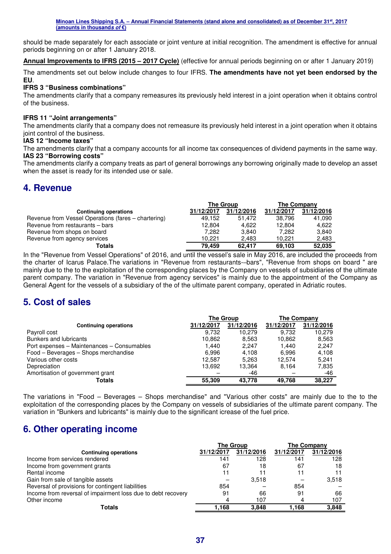should be made separately for each associate or joint venture at initial recognition. The amendment is effective for annual periods beginning on or after 1 January 2018.

**Annual Improvements to IFRS (2015 – 2017 Cycle)** (effective for annual periods beginning on or after 1 January 2019)

The amendments set out below include changes to four IFRS. **The amendments have not yet been endorsed by the EU**.

#### **IFRS 3 "Business combinations"**

The amendments clarify that a company remeasures its previously held interest in a joint operation when it obtains control of the business.

#### **IFRS 11 "Joint arrangements"**

The amendments clarify that a company does not remeasure its previously held interest in a joint operation when it obtains joint control of the business.

#### **IAS 12 "Income taxes"**

The amendments clarify that a company accounts for all income tax consequences of dividend payments in the same way. **IAS 23 "Borrowing costs"** 

The amendments clarify a company treats as part of general borrowings any borrowing originally made to develop an asset when the asset is ready for its intended use or sale.

## **4. Revenue**

|                                                     |            | <b>The Group</b> | The Company |            |
|-----------------------------------------------------|------------|------------------|-------------|------------|
| <b>Continuing operations</b>                        | 31/12/2017 | 31/12/2016       | 31/12/2017  | 31/12/2016 |
| Revenue from Vessel Operations (fares – chartering) | 49.152     | 51.472           | 38.796      | 41.090     |
| Revenue from restaurants - bars                     | 12.804     | 4.622            | 12.804      | 4.622      |
| Revenue from shops on board                         | 7.282      | 3.840            | 7.282       | 3.840      |
| Revenue from agency services                        | 10.221     | 2.483            | 10.221      | 2.483      |
| Totals                                              | 79.459     | 62.417           | 69,103      | 52.035     |

In the "Revenue from Vessel Operations" of 2016, and until the vessel's sale in May 2016, are included the proceeds from the charter of Icarus Palace.The variations in "Revenue from restaurants-–bars", "Revenue from shops on board " are mainly due to the to the exploitation of the corresponding places by the Company on vessels of subsidiaries of the ultimate parent company. The variation in "Revenue from agency services" is mainly due to the appointment of the Company as General Agent for the vessels of a subsidiary of the of the ultimate parent company, operated in Adriatic routes.

## **5. Cost of sales**

|                                            | <b>The Group</b> |            | <b>The Company</b> |            |
|--------------------------------------------|------------------|------------|--------------------|------------|
| <b>Continuing operations</b>               | 31/12/2017       | 31/12/2016 | 31/12/2017         | 31/12/2016 |
| Payroll cost                               | 9.732            | 10.279     | 9.732              | 10.279     |
| Bunkers and lubricants                     | 10,862           | 8,563      | 10,862             | 8,563      |
| Port expenses – Maintenances – Consumables | 1.440            | 2.247      | 1.440              | 2,247      |
| Food - Beverages - Shops merchandise       | 6,996            | 4.108      | 6.996              | 4.108      |
| Various other costs                        | 12.587           | 5,263      | 12.574             | 5.241      |
| Depreciation                               | 13,692           | 13,364     | 8.164              | 7,835      |
| Amortisation of government grant           |                  | -46        |                    | -46        |
| <b>Totals</b>                              | 55,309           | 43.778     | 49.768             | 38,227     |

The variations in "Food – Beverages – Shops merchandise" and "Various other costs" are mainly due to the to the exploitation of the corresponding places by the Company on vessels of subsidiaries of the ultimate parent company. The variation in "Bunkers and lubricants" is mainly due to the significant icrease of the fuel price.

## **6. Other operating income**

|                                                              | <b>The Group</b> |            | <b>The Company</b> |            |
|--------------------------------------------------------------|------------------|------------|--------------------|------------|
| <b>Continuing operations</b>                                 | 31/12/2017       | 31/12/2016 | 31/12/2017         | 31/12/2016 |
| Income from services rendered                                | 141              | 128        | 141                | 128        |
| Income from government grants                                | 67               | 18         | 67                 | 18         |
| Rental income                                                | 11               | 11         | 11                 |            |
| Gain from sale of tangible assets                            |                  | 3.518      |                    | 3,518      |
| Reversal of provisions for contingent liabilities            | 854              |            | 854                |            |
| Income from reversal of impairment loss due to debt recovery | 91               | 66         | 91                 | 66         |
| Other income                                                 |                  | 107        | 4                  | 107        |
| Totals                                                       | 1.168            | 3.848      | 1.168              | 3,848      |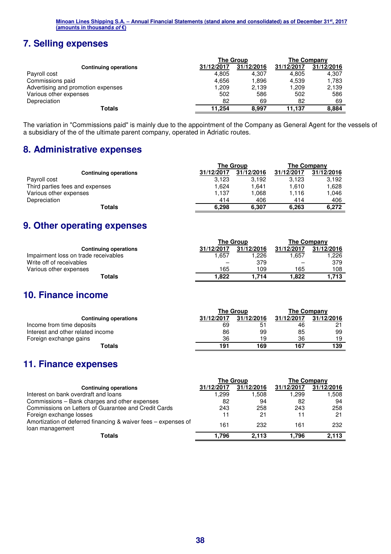# **7. Selling expenses**

|                                    |            | <b>The Group</b> | <b>The Company</b> |            |
|------------------------------------|------------|------------------|--------------------|------------|
| <b>Continuing operations</b>       | 31/12/2017 | 31/12/2016       | 31/12/2017         | 31/12/2016 |
| Payroll cost                       | 4,805      | 4,307            | 4,805              | 4,307      |
| Commissions paid                   | 4,656      | 1.896            | 4,539              | 1.783      |
| Advertising and promotion expenses | 1,209      | 2,139            | .209               | 2,139      |
| Various other expenses             | 502        | 586              | 502                | 586        |
| Depreciation                       | 82         | 69               | 82                 | 69         |
| Totals                             | 11.254     | 8.997            | 11.137             | 8,884      |

The variation in "Commissions paid" is mainly due to the appointment of the Company as General Agent for the vessels of a subsidiary of the of the ultimate parent company, operated in Adriatic routes.

## **8. Administrative expenses**

|                                 |            | The Group  | The Company |            |
|---------------------------------|------------|------------|-------------|------------|
| <b>Continuing operations</b>    | 31/12/2017 | 31/12/2016 | 31/12/2017  | 31/12/2016 |
| Payroll cost                    | 3,123      | 3.192      | 3.123       | 3.192      |
| Third parties fees and expenses | 624. ا     | 1.641      | 1.610       | 1.628      |
| Various other expenses          | 1.137      | 1.068      | 1.116       | 1.046      |
| Depreciation                    | 414        | 406        | 414         | 406        |
| Totals                          | 6,298      | 6,307      | 6.263       | 6.272      |

## **9. Other operating expenses**

|                                      |            | <b>The Group</b> | The Company |            |
|--------------------------------------|------------|------------------|-------------|------------|
| <b>Continuing operations</b>         | 31/12/2017 | 31/12/2016       | 31/12/2017  | 31/12/2016 |
| Impairment loss on trade receivables | 1.657      | 1.226            | .657        | 1.226      |
| Write off of receivables             |            | 379              |             | 379        |
| Various other expenses               | 165        | 109              | 165         | 108        |
| Totals                               | 1.822      | 1.714            | 1.822       | 1.713      |

## **10. Finance income**

|                                   |            | The Group  | The Company |            |
|-----------------------------------|------------|------------|-------------|------------|
| <b>Continuing operations</b>      | 31/12/2017 | 31/12/2016 | 31/12/2017  | 31/12/2016 |
| Income from time deposits         | 69         | 51         | 46          | ິດ-1       |
| Interest and other related income | 86         | 99         | 85          | 99         |
| Foreign exchange gains            | 36         | 19         | 36          | 19         |
| Totals                            | 191        | 169        | 167         | 139        |

## **11. Finance expenses**

|                                                                                   | <b>The Group</b> |            | <b>The Company</b> |            |
|-----------------------------------------------------------------------------------|------------------|------------|--------------------|------------|
| <b>Continuing operations</b>                                                      | 31/12/2017       | 31/12/2016 | 31/12/2017         | 31/12/2016 |
| Interest on bank overdraft and loans                                              | 299. ا           | 1.508      | . 299. ،           | 1.508      |
| Commissions – Bank charges and other expenses                                     | 82               | 94         | 82                 | 94         |
| Commissions on Letters of Guarantee and Credit Cards                              | 243              | 258        | 243                | 258        |
| Foreign exchange losses                                                           | 11               | 21         | 11                 | 21         |
| Amortization of deferred financing & waiver fees – expenses of<br>loan management | 161              | 232        | 161                | 232        |
| Totals                                                                            | 1.796            | 2.113      | 796. ا             | 2,113      |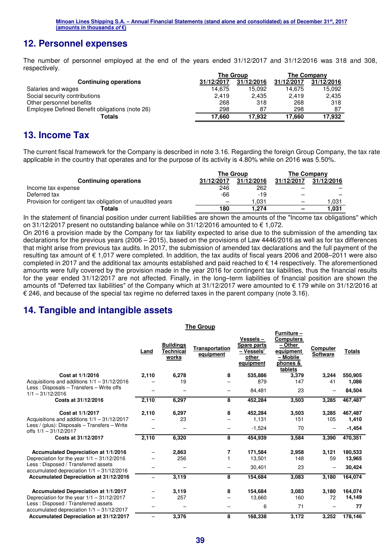## **12. Personnel expenses**

The number of personnel employed at the end of the years ended 31/12/2017 and 31/12/2016 was 318 and 308, respectively.

|                                                | <b>The Group</b> |            | The Company |            |
|------------------------------------------------|------------------|------------|-------------|------------|
| <b>Continuing operations</b>                   | 31/12/2017       | 31/12/2016 | 31/12/2017  | 31/12/2016 |
| Salaries and wages                             | 14.675           | 15.092     | 14.675      | 15,092     |
| Social security contributions                  | 2.419            | 2.435      | 2.419       | 2,435      |
| Other personnel benefits                       | 268              | 318        | 268         | 318        |
| Employee Defined Benefit obligations (note 26) | 298              | 87         | 298         | 87         |
| Totals                                         | 17.660           | 17.932     | 17.660      | 17.932     |

## **13. Income Tax**

The current fiscal framework for the Company is described in note 3.16. Regarding the foreign Group Company, the tax rate applicable in the country that operates and for the purpose of its activity is 4.80% while on 2016 was 5.50%.

|                                                           | <b>The Group</b> |            | The Company              |            |
|-----------------------------------------------------------|------------------|------------|--------------------------|------------|
| <b>Continuing operations</b>                              | 31/12/2017       | 31/12/2016 | 31/12/2017               | 31/12/2016 |
| Income tax expense                                        | 246              | 262        |                          |            |
| Deferred tax                                              | -66              | $-19$      |                          | –          |
| Provision for contigent tax obligation of unaudited years |                  | 1.031      |                          | .031       |
| Totals                                                    | 180              | 1.274      | $\overline{\phantom{0}}$ | 1,031      |

In the statement of financial position under current liabilities are shown the amounts of the "Income tax obligations" which on 31/12/2017 present no outstanding balance while on  $31/12/2016$  amounted to  $\epsilon$  1,072.

On 2016 a provision made by the Company for tax liability expected to arise due to the submission of the amending tax declarations for the previous years (2006 – 2015), based on the provisions of Law 4446/2016 as well as for tax differences that might arise from previous tax audits. In 2017, the submission of amended tax declarations and the full payment of the resulting tax amount of € 1,017 were completed. In addition, the tax audits of fiscal years 2006 and 2008–2011 were also completed in 2017 and the additional tax amounts established and paid reached to  $\epsilon$  14 respectively. The aforementioned amounts were fully covered by the provision made in the year 2016 for contingent tax liabilities, thus the financial results for the year ended 31/12/2017 are not affected. Finally, in the long–term liabilities of financial position are shown the amounts of "Deferred tax liabilities" of the Company which at 31/12/2017 were amounted to € 179 while on 31/12/2016 at  $€$  246, and because of the special tax regime no deferred taxes in the parent company (note 3.16).

**The Group** 

## **14. Tangible and intangible assets**

|                                                                                    | Land  | <b>Buildings</b><br>Technical<br>works | Transportation<br>equipment | Vessels –<br><b>Spare parts</b><br>- Vessels'<br>other<br>equipment | Furniture -<br><b>Computers</b><br>- Other<br>equipment<br>- Mobile<br>phones &<br>tablets | Computer<br><b>Software</b> | <b>Totals</b> |
|------------------------------------------------------------------------------------|-------|----------------------------------------|-----------------------------|---------------------------------------------------------------------|--------------------------------------------------------------------------------------------|-----------------------------|---------------|
| Cost at 1/1/2016                                                                   | 2,110 | 6,278                                  | 8                           | 535,886                                                             | 3,379                                                                                      | 3,244                       | 550.905       |
| Acquisitions and additions $1/1 - 31/12/2016$                                      |       | 19                                     |                             | 879                                                                 | 147                                                                                        | 41                          | 1,086         |
| Less: Disposals - Transfers - Write offs<br>$1/1 - 31/12/2016$                     |       |                                        |                             | 84,481                                                              | 23                                                                                         |                             | 84,504        |
| Costs at 31/12/2016                                                                | 2,110 | 6,297                                  | 8                           | 452,284                                                             | 3,503                                                                                      | 3,285                       | 467,487       |
| Cost at 1/1/2017                                                                   | 2,110 | 6,297                                  | 8                           | 452,284                                                             | 3,503                                                                                      | 3,285                       | 467,487       |
| Acquisitions and additions $1/1 - 31/12/2017$                                      |       | 23                                     |                             | 1,131                                                               | 151                                                                                        | 105                         | 1,410         |
| Less / (plus): Disposals $-$ Transfers $-$ Write<br>offs $1/1 - 31/12/2017$        |       |                                        |                             | $-1,524$                                                            | 70                                                                                         |                             | $-1,454$      |
| Costs at 31/12/2017                                                                | 2,110 | 6,320                                  | 8                           | 454,939                                                             | 3,584                                                                                      | 3,390                       | 470,351       |
| Accumulated Depreciation at 1/1/2016                                               |       | 2,863                                  | 7                           | 171,584                                                             | 2,958                                                                                      | 3,121                       | 180,533       |
| Depreciation for the year $1/1 - 31/12/2016$                                       |       | 256                                    |                             | 13,501                                                              | 148                                                                                        | 59                          | 13,965        |
| Less: Disposed / Transferred assets<br>accumulated depreciation $1/1 - 31/12/2016$ |       |                                        |                             | 30,401                                                              | 23                                                                                         |                             | 30,424        |
| Accumulated Depreciation at 31/12/2016                                             | -     | 3,119                                  | 8                           | 154,684                                                             | 3,083                                                                                      | 3,180                       | 164,074       |
| Accumulated Depreciation at 1/1/2017                                               |       | 3,119                                  | 8                           | 154.684                                                             | 3,083                                                                                      | 3,180                       | 164.074       |
| Depreciation for the year $1/1 - 31/12/2017$                                       |       | 257                                    |                             | 13,660                                                              | 160                                                                                        | 72                          | 14,149        |
| Less: Disposed / Transferred assets<br>accumulated depreciation $1/1 - 31/12/2017$ |       |                                        |                             | 6                                                                   | 71                                                                                         |                             | 77            |
| Accumulated Depreciation at 31/12/2017                                             | -     | 3,376                                  | 8                           | 168,338                                                             | 3,172                                                                                      | 3,252                       | 178,146       |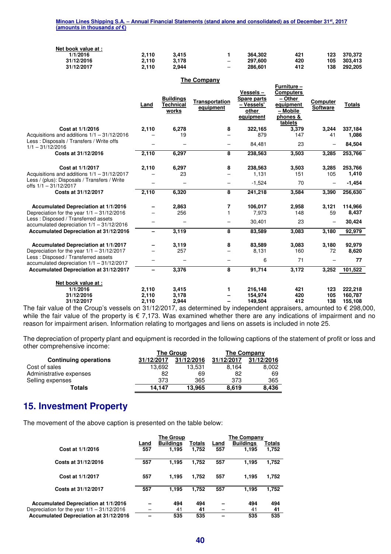|                                     | Minoan Lines Shipping S.A. – Annual Financial Statements (stand alone and consolidated) as of December 31st, 2017 |  |
|-------------------------------------|-------------------------------------------------------------------------------------------------------------------|--|
| (amounts in thousand <i>s of</i> €) |                                                                                                                   |  |

| Net book value at : |       |       |                          |         |     |     |         |
|---------------------|-------|-------|--------------------------|---------|-----|-----|---------|
| 1/1/2016            | 2.110 | 3.415 |                          | 364.302 | 421 | 123 | 370.372 |
| 31/12/2016          | 2.110 | 3.178 | $\overline{\phantom{0}}$ | 297.600 | 420 | 105 | 303.413 |
| 31/12/2017          | 2.110 | 2.944 | $\overline{\phantom{0}}$ | 286.601 | 412 | 138 | 292.205 |

**The Company** 

|                                                                                      |                |                                               | The Company                        |                                                                    |                                                                                            |                             |                    |
|--------------------------------------------------------------------------------------|----------------|-----------------------------------------------|------------------------------------|--------------------------------------------------------------------|--------------------------------------------------------------------------------------------|-----------------------------|--------------------|
|                                                                                      | Land           | <b>Buildings</b><br><b>Technical</b><br>works | <b>Transportation</b><br>equipment | Vessels-<br><b>Spare parts</b><br>- Vessels'<br>other<br>equipment | Furniture -<br><b>Computers</b><br>– Other<br>equipment<br>- Mobile<br>phones &<br>tablets | Computer<br><b>Software</b> | <b>Totals</b>      |
| Cost at 1/1/2016                                                                     | 2,110          | 6,278                                         | 8                                  | 322,165                                                            | 3,379                                                                                      | 3.244                       | 337,184            |
| Acquisitions and additions $1/1 - 31/12/2016$                                        |                | 19                                            |                                    | 879                                                                | 147                                                                                        | 41                          | 1,086              |
| Less: Disposals / Transfers / Write offs<br>$1/1 - 31/12/2016$                       |                |                                               | $\overbrace{\phantom{12322111}}$   | 84,481                                                             | 23                                                                                         |                             | 84,504             |
| Costs at 31/12/2016                                                                  | 2,110          | 6,297                                         | 8                                  | 238,563                                                            | 3,503                                                                                      | 3,285                       | 253,766            |
| Cost at 1/1/2017                                                                     | 2,110          | 6,297                                         | 8                                  | 238,563                                                            | 3,503                                                                                      | 3,285                       | 253.766            |
| Acquisitions and additions $1/1 - 31/12/2017$                                        |                | 23                                            |                                    | 1,131                                                              | 151                                                                                        | 105                         | 1,410              |
| Less / (plus): Disposals / Transfers / Write<br>offs 1/1 - 31/12/2017                |                |                                               | $\qquad \qquad -$                  | $-1,524$                                                           | 70                                                                                         |                             | $-1,454$           |
| Costs at 31/12/2017                                                                  | 2,110          | 6,320                                         | 8                                  | 241,218                                                            | 3,584                                                                                      | 3,390                       | 256,630            |
| Accumulated Depreciation at 1/1/2016<br>Depreciation for the year $1/1 - 31/12/2016$ |                | 2,863<br>256                                  | 7<br>$\mathbf{1}$                  | 106,017<br>7,973                                                   | 2,958<br>148                                                                               | 3,121<br>59                 | 114,966<br>8,437   |
| Less: Disposed / Transferred assets<br>accumulated depreciation 1/1 - 31/12/2016     |                |                                               |                                    | 30,401                                                             | 23                                                                                         |                             | 30,424             |
| Accumulated Depreciation at 31/12/2016                                               | -              | 3,119                                         | 8                                  | 83,589                                                             | 3,083                                                                                      | 3.180                       | 92,979             |
| Accumulated Depreciation at 1/1/2017<br>Depreciation for the year $1/1 - 31/12/2017$ |                | 3.119<br>257                                  | 8                                  | 83,589<br>8,131                                                    | 3.083<br>160                                                                               | 3,180<br>72                 | 92.979<br>8,620    |
| Less: Disposed / Transferred assets<br>accumulated depreciation 1/1 - 31/12/2017     |                |                                               |                                    | 6                                                                  | 71                                                                                         |                             | 77                 |
| Accumulated Depreciation at 31/12/2017                                               |                | 3,376                                         | 8                                  | 91,714                                                             | 3,172                                                                                      | 3,252                       | 101,522            |
| Net book value at :<br>1/1/2016<br>31/12/2016                                        | 2,110<br>2,110 | 3,415<br>3,178                                | 1                                  | 216,148<br>154,974                                                 | 421<br>420                                                                                 | 123<br>105                  | 222,218<br>160,787 |
| 31/12/2017                                                                           | 2,110          | 2,944                                         |                                    | 149,504                                                            | 412                                                                                        | 138                         | 155,108            |

The fair value of the Croup's vessels on 31/12/2017, as determined by independent appraisers, amounted to € 298,000, while the fair value of the property is € 7,173. Was examined whether there are any indications of impairment and no reason for impairment arisen. Information relating to mortgages and liens on assets is included in note 25.

The depreciation of property plant and equipment is recorded in the following captions of the statement of profit or loss and other comprehensive income:

|                              |            | The Group  | The Company |            |  |
|------------------------------|------------|------------|-------------|------------|--|
| <b>Continuing operations</b> | 31/12/2017 | 31/12/2016 | 31/12/2017  | 31/12/2016 |  |
| Cost of sales                | 13.692     | 13.531     | 8.164       | 8,002      |  |
| Administrative expenses      | 82         | 69         | 82          | 69         |  |
| Selling expenses             | 373        | 365        | 373         | 365        |  |
| Totals                       | 14.147     | 13,965     | 8.619       | 8.436      |  |

## **15. Investment Property**

The movement of the above caption is presented on the table below:

|                                              | <b>The Group</b> |                  |        |             | The Company      |        |  |
|----------------------------------------------|------------------|------------------|--------|-------------|------------------|--------|--|
|                                              | Land             | <b>Buildings</b> | Totals | <u>Land</u> | <b>Buildings</b> | Totals |  |
| Cost at 1/1/2016                             | 557              | 1.195            | 1,752  | 557         | 1.195            | 1,752  |  |
| Costs at 31/12/2016                          | 557              | 1.195            | 1,752  | 557         | 1.195            | 1,752  |  |
| Cost at 1/1/2017                             | 557              | 1.195            | 1.752  | 557         | 1.195            | 1,752  |  |
| Costs at 31/12/2017                          | 557              | 1.195            | 1,752  | 557         | 1.195            | 1,752  |  |
| Accumulated Depreciation at 1/1/2016         |                  | 494              | 494    |             | 494              | 494    |  |
| Depreciation for the year $1/1 - 31/12/2016$ |                  | 41               | 41     |             | 41               | 41     |  |
| Accumulated Depreciation at 31/12/2016       |                  | 535              | 535    |             | 535              | 535    |  |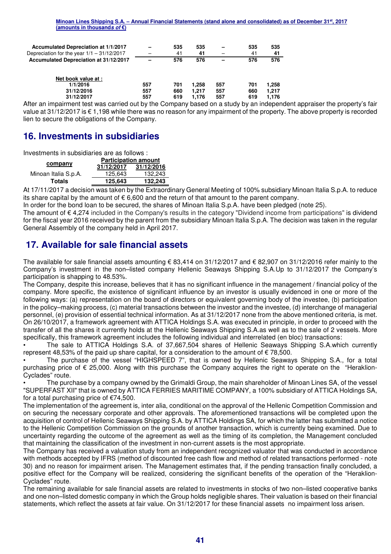| Accumulated Depreciation at 1/1/2017<br>Depreciation for the year $1/1 - 31/12/2017$ |     | 535<br>41 | 535<br>41 |     | 535<br>41 | 535<br>41 |
|--------------------------------------------------------------------------------------|-----|-----------|-----------|-----|-----------|-----------|
| Accumulated Depreciation at 31/12/2017                                               |     | 576       | 576       |     | 576       | 576       |
| Net book value at :                                                                  |     |           |           |     |           |           |
| 1/1/2016                                                                             | 557 | 701       | 1.258     | 557 | 701       | 1.258     |
| 31/12/2016                                                                           | 557 | 660       | 1.217     | 557 | 660       | 1.217     |
| 31/12/2017                                                                           | 557 | 619       | 1.176     | 557 | 619       | 1.176     |

After an impairment test was carried out by the Company based on a study by an independent appraiser the property's fair value at 31/12/2017 is € 1,198 while there was no reason for any impairment of the property. The above property is recorded lien to secure the obligations of the Company.

## **16. Investments in subsidiaries**

Investments in subsidiaries are as follows :

|                      | <b>Participation amount</b> |            |  |  |  |
|----------------------|-----------------------------|------------|--|--|--|
| company              | 31/12/2017                  | 31/12/2016 |  |  |  |
| Minoan Italia S.p.A. | 125.643                     | 132,243    |  |  |  |
| <b>Totals</b>        | 125.643                     | 132,243    |  |  |  |

At 17/11/2017 a decision was taken by the Extraordinary General Meeting of 100% subsidiary Minoan Italia S.p.A. to reduce its share capital by the amount of  $\epsilon$  6,600 and the return of that amount to the parent company.

In order for the bond loan to be secured, the shares of Minoan Italia S.p.A. have been pledged (note 25).

The amount of € 4,274 included in the Company's results in the category "Dividend income from participations" is dividend for the fiscal year 2016 received by the parent from the subsidiary Minoan Italia S.p.A. The decision was taken in the regular General Assembly of the company held in April 2017.

## **17. Available for sale financial assets**

The available for sale financial assets amounting € 83,414 on 31/12/2017 and € 82,907 on 31/12/2016 refer mainly to the Company's investment in the non–listed company Hellenic Seaways Shipping S.A.Up to 31/12/2017 the Company's participation is shapping to 48.53%.

The Company, despite this increase, believes that it has no significant influence in the management / financial policy of the company. More specific, the existence of significant influence by an investor is usually evidenced in one or more of the following ways: (a) representation on the board of directors or equivalent governing body of the investee, (b) participation in the policy–making process, (c) material transactions between the investor and the investee, (d) interchange of managerial personnel, (e) provision of essential technical information. As at 31/12/2017 none from the above mentioned criteria, is met. On 26/10/2017, a framework agreement with ATTICA Holdings S.A. was executed in principle, in order to proceed with the transfer of all the shares it currently holds at the Hellenic Seaways Shipping S.A.as well as to the sale of 2 vessels. More specifically, this framework agreement includes the following individual and interrelated (en bloc) transactions:

• The sale to ATTICA Holdings S.A. of 37,667,504 shares of Hellenic Seaways Shipping S.A.which currently represent 48,53% of the paid up share capital, for a consideration to the amount of  $\epsilon$  78,500.

• The purchase of the vessel "HIGHSPEED 7", that is owned by Hellenic Seaways Shipping S.A., for a total purchasing price of € 25,000. Along with this purchase the Company acquires the right to operate on the "Heraklion-Cyclades" route.

• The purchase by a company owned by the Grimaldi Group, the main shareholder of Minoan Lines SA, of the vessel "SUPERFAST XII" that is owned by ATTICA FERRIES MARITIME COMPANY, a 100% subsidiary of ATTICA Holdings SA, for a total purchasing price of €74,500.

The implementation of the agreement is, inter alia, conditional on the approval of the Hellenic Competition Commission and on securing the necessary corporate and other approvals. The aforementioned transactions will be completed upon the acquisition of control of Hellenic Seaways Shipping S.A. by ATTICA Holdings SA, for which the latter has submitted a notice to the Hellenic Competition Commission on the grounds of another transaction, which is currently being examined. Due to uncertainty regarding the outcome of the agreement as well as the timing of its completion, the Management concluded that maintaining the classification of the investment in non-current assets is the most appropriate.

The Company has received a valuation study from an independent recognized valuator that was conducted in accordance with methods accepted by IFRS (method of discounted free cash flow and method of related transactions performed - note 30) and no reason for impairment arisen. The Management estimates that, if the pending transaction finally concluded, a positive effect for the Company will be realized, considering the significant benefits of the operation of the "Heraklion-Cyclades" route.

The remaining available for sale financial assets are related to investments in stocks of two non–listed cooperative banks and one non–listed domestic company in which the Group holds negligible shares. Their valuation is based on their financial statements, which reflect the assets at fair value. On 31/12/2017 for these financial assets no impairment loss arisen.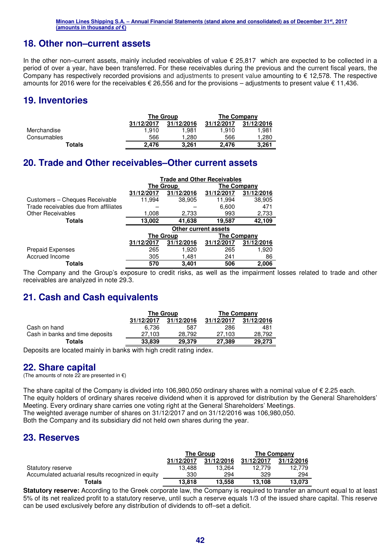## **18. Other non–current assets**

In the other non–current assets, mainly included receivables of value  $\epsilon$  25,817 which are expected to be collected in a period of over a year, have been transferred. For these receivables during the previous and the current fiscal years, the Company has respectively recorded provisions and adjustments to present value amounting to € 12,578. The respective amounts for 2016 were for the receivables  $\epsilon$  26,556 and for the provisions – adjustments to present value  $\epsilon$  11,436.

## **19. Inventories**

|             |            | The Group  | The Company |            |  |
|-------------|------------|------------|-------------|------------|--|
|             | 31/12/2017 | 31/12/2016 | 31/12/2017  | 31/12/2016 |  |
| Merchandise | 1.910      | 1.981      | 1.910       | 1.981      |  |
| Consumables | 566        | 1.280      | 566         | 1.280      |  |
| Totals      | 2.476      | 3.261      | 2.476       | 3.261      |  |

## **20. Trade and Other receivables–Other current assets**

|                                       | <b>Trade and Other Receivables</b> |                             |                    |            |  |  |
|---------------------------------------|------------------------------------|-----------------------------|--------------------|------------|--|--|
|                                       |                                    | <b>The Group</b>            | The Company        |            |  |  |
|                                       | 31/12/2017                         | 31/12/2016                  | 31/12/2017         | 31/12/2016 |  |  |
| Customers - Cheques Receivable        | 11,994                             | 38,905                      | 11,994             | 38,905     |  |  |
| Trade receivables due from affiliates |                                    |                             | 6,600              | 471        |  |  |
| <b>Other Receivables</b>              | 1,008                              | 2,733                       | 993                | 2,733      |  |  |
| <b>Totals</b>                         | 13,002                             | 41,638                      | 19,587             | 42,109     |  |  |
|                                       |                                    | <b>Other current assets</b> |                    |            |  |  |
|                                       |                                    | <b>The Group</b>            | <b>The Company</b> |            |  |  |
|                                       | 31/12/2017                         | 31/12/2016                  | 31/12/2017         | 31/12/2016 |  |  |
| <b>Prepaid Expenses</b>               | 265                                | 1.920                       | 265                | 1,920      |  |  |
| Accrued Income                        | 305                                | 1,481                       | 241                | 86         |  |  |
| Totals                                | 570                                | 3,401                       | 506                | 2.006      |  |  |

The Company and the Group's exposure to credit risks, as well as the impairment losses related to trade and other receivables are analyzed in note 29.3.

## **21. Cash and Cash equivalents**

|                                 |            | The Group  | The Company |            |  |
|---------------------------------|------------|------------|-------------|------------|--|
|                                 | 31/12/2017 | 31/12/2016 | 31/12/2017  | 31/12/2016 |  |
| Cash on hand                    | 6.736      | 587        | 286         | 481        |  |
| Cash in banks and time deposits | 27.103     | 28.792     | 27.103      | 28.792     |  |
| Totals                          | 33,839     | 29,379     | 27.389      | 29.273     |  |

Deposits are located mainly in banks with high credit rating index.

## **22. Share capital**

(The amounts of note 22 are presented in  $\epsilon$ )

The share capital of the Company is divided into 106,980,050 ordinary shares with a nominal value of  $\epsilon$  2.25 each. The equity holders of ordinary shares receive dividend when it is approved for distribution by the General Shareholders' Meeting. Every ordinary share carries one voting right at the General Shareholders' Meetings. The weighted average number of shares on 31/12/2017 and on 31/12/2016 was 106,980,050. Both the Company and its subsidiary did not held own shares during the year.

## **23. Reserves**

|                                                    | <b>The Group</b> |            | The Company |            |  |
|----------------------------------------------------|------------------|------------|-------------|------------|--|
|                                                    | 31/12/2017       | 31/12/2016 | 31/12/2017  | 31/12/2016 |  |
| Statutory reserve                                  | 13.488           | 13.264     | 12.779      | 12.779     |  |
| Accumulated actuarial results recognized in equity | 330              | 294        | 329         | 294        |  |
| <b>Totals</b>                                      | 13,818           | 13.558     | 13.108      | 13.073     |  |

**Statutory reserve:** According to the Greek corporate law, the Company is required to transfer an amount equal to at least 5% of its net realized profit to a statutory reserve, until such a reserve equals 1/3 of the issued share capital. This reserve can be used exclusively before any distribution of dividends to off–set a deficit.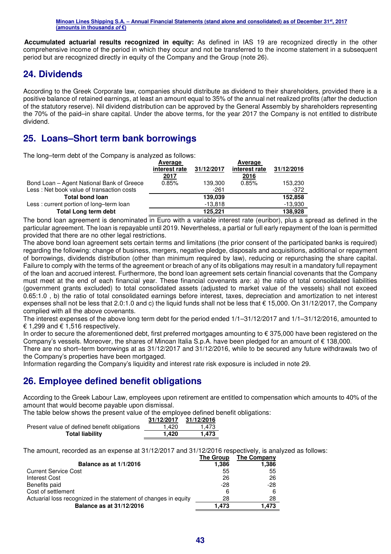**Accumulated actuarial results recognized in equity:** As defined in IAS 19 are recognized directly in the other comprehensive income of the period in which they occur and not be transferred to the income statement in a subsequent period but are recognized directly in equity of the Company and the Group (note 26).

## **24. Dividends**

According to the Greek Corporate law, companies should distribute as dividend to their shareholders, provided there is a positive balance of retained earnings, at least an amount equal to 35% of the annual net realized profits (after the deduction of the statutory reserve). Nil dividend distribution can be approved by the General Assembly by shareholders representing the 70% of the paid–in share capital. Under the above terms, for the year 2017 the Company is not entitled to distribute dividend.

## **25. Loans–Short term bank borrowings**

The long–term debt of the Company is analyzed as follows:

|                                           | Average       |            | Average       |            |
|-------------------------------------------|---------------|------------|---------------|------------|
|                                           | interest rate | 31/12/2017 | interest rate | 31/12/2016 |
|                                           | <u>2017</u>   |            | 2016          |            |
| Bond Loan – Agent National Bank of Greece | 0.85%         | 139.300    | 0.85%         | 153,230    |
| Less: Net book value of transaction costs |               | $-261$     |               | -372       |
| <b>Total bond loan</b>                    |               | 139,039    |               | 152,858    |
| Less: current portion of long-term loan   |               | $-13.818$  |               | $-13,930$  |
| <b>Total Long term debt</b>               |               | 125.221    |               | 138,928    |

The bond loan agreement is denominated in Euro with a variable interest rate (euribor), plus a spread as defined in the particular agreement. The loan is repayable until 2019. Nevertheless, a partial or full early repayment of the loan is permitted provided that there are no other legal restrictions.

The above bond loan agreement sets certain terms and limitations (the prior consent of the participated banks is required) regarding the following: change of business, mergers, negative pledge, disposals and acquisitions, additional or repayment of borrowings, dividends distribution (other than minimum required by law), reducing or repurchasing the share capital. Failure to comply with the terms of the agreement or breach of any of its obligations may result in a mandatory full repayment of the loan and accrued interest. Furthermore, the bond loan agreement sets certain financial covenants that the Company must meet at the end of each financial year. These financial covenants are: a) the ratio of total consolidated liabilities (government grants excluded) to total consolidated assets (adjusted to market value of the vessels) shall not exceed 0.65:1.0 , b) the ratio of total consolidated earnings before interest, taxes, depreciation and amortization to net interest expenses shall not be less that 2.0:1.0 and c) the liquid funds shall not be less that € 15,000. On 31/12/2017, the Company complied with all the above covenants.

The interest expenses of the above long term debt for the period ended 1/1–31/12/2017 and 1/1–31/12/2016, amounted to € 1,299 and  $€$  1,516 respectively.

In order to secure the aforementioned debt, first preferred mortgages amounting to € 375,000 have been registered on the Company's vessels. Moreover, the shares of Minoan Italia S.p.A. have been pledged for an amount of € 138,000.

There are no short–term borrowings at as 31/12/2017 and 31/12/2016, while to be secured any future withdrawals two of the Company's properties have been mortgaged.

Information regarding the Company's liquidity and interest rate risk exposure is included in note 29.

## **26. Employee defined benefit obligations**

According to the Greek Labour Law, employees upon retirement are entitled to compensation which amounts to 40% of the amount that would become payable upon dismissal.

The table below shows the present value of the employee defined benefit obligations:

|                                              | 31/12/2017 | 31/12/2016 |
|----------------------------------------------|------------|------------|
| Present value of defined benefit obligations | 1.420      | 1.473      |
| <b>Total liability</b>                       | 1.420      | 1.473      |

The amount, recorded as an expense at 31/12/2017 and 31/12/2016 respectively, is analyzed as follows:

|                                                                 | The Group | The Company |
|-----------------------------------------------------------------|-----------|-------------|
| Balance as at 1/1/2016                                          | 1,386     | 1,386       |
| <b>Current Service Cost</b>                                     | 55        | 55          |
| Interest Cost                                                   | 26        | 26          |
| Benefits paid                                                   | -28       | $-28$       |
| Cost of settlement                                              | 6         | 6           |
| Actuarial loss recognized in the statement of changes in equity | 28        | 28          |
| Balance as at 31/12/2016                                        | 1.473     | 1.473       |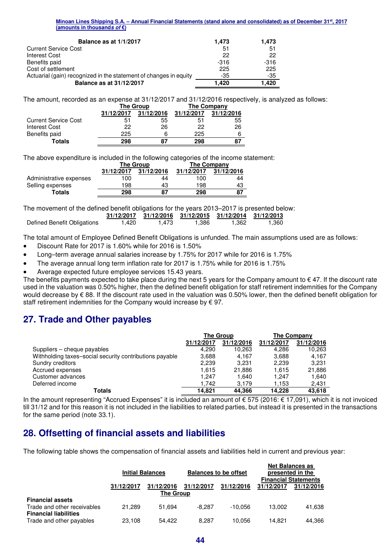| Balance as at 1/1/2017                                            | 1.473  | 1.473  |
|-------------------------------------------------------------------|--------|--------|
| <b>Current Service Cost</b>                                       | 51     | 51     |
| <b>Interest Cost</b>                                              | 22     | 22     |
| Benefits paid                                                     | $-316$ | $-316$ |
| Cost of settlement                                                | 225    | 225    |
| Actuarial (gain) recognized in the statement of changes in equity | -35    | -35    |
| <b>Balance as at 31/12/2017</b>                                   | 1.420  | 1.420  |

The amount, recorded as an expense at 31/12/2017 and 31/12/2016 respectively, is analyzed as follows:

|                             |            | <b>The Group</b> | The Company |            |
|-----------------------------|------------|------------------|-------------|------------|
|                             | 31/12/2017 | 31/12/2016       | 31/12/2017  | 31/12/2016 |
| <b>Current Service Cost</b> | 51         | 55               | 51          | 55         |
| Interest Cost               | 22         | 26               | 22          | 26         |
| Benefits paid               | 225        | 6                | 225         |            |
| <b>Totals</b>               | 298        | 87               | 298         | 87         |

The above expenditure is included in the following categories of the income statement:

|                         |            | <b>The Group</b> | The Company |            |
|-------------------------|------------|------------------|-------------|------------|
|                         | 31/12/2017 | 31/12/2016       | 31/12/2017  | 31/12/2016 |
| Administrative expenses | 100        | 44               | 100         | 44         |
| Selling expenses        | 198        | 43               | 198         | 43         |
| Totals                  | 298        | 87               | 298         | 87         |

The movement of the defined benefit obligations for the years 2013–2017 is presented below:

|                             |       |       |       | 31/12/2017 31/12/2016 31/12/2015 31/12/2014 31/12/2013 |       |
|-----------------------------|-------|-------|-------|--------------------------------------------------------|-------|
| Defined Benefit Obligations | 1.420 | 1.473 | 1.386 | 1.362                                                  | 1,360 |

The total amount of Employee Defined Benefit Obligations is unfunded. The main assumptions used are as follows:

- Discount Rate for 2017 is 1.60% while for 2016 is 1.50%
- Long–term average annual salaries increase by 1.75% for 2017 while for 2016 is 1.75%
- The average annual long term inflation rate for 2017 is 1.75% while for 2016 is 1.75%
- Average expected future employee services 15.43 years.

The benefits payments expected to take place during the next 5 years for the Company amount to  $\epsilon$  47. If the discount rate used in the valuation was 0.50% higher, then the defined benefit obligation for staff retirement indemnities for the Company would decrease by € 88. If the discount rate used in the valuation was 0.50% lower, then the defined benefit obligation for staff retirement indemnities for the Company would increase by  $\epsilon$  97.

## **27. Trade and Other payables**

|                                                         | <b>The Group</b> |            | <b>The Company</b> |            |
|---------------------------------------------------------|------------------|------------|--------------------|------------|
|                                                         | 31/12/2017       | 31/12/2016 | 31/12/2017         | 31/12/2016 |
| Suppliers – cheque payables                             | 4.290            | 10,263     | 4.286              | 10,263     |
| Withholding taxes-social security contributions payable | 3,688            | 4.167      | 3.688              | 4.167      |
| Sundry creditors                                        | 2.239            | 3.231      | 2.239              | 3.231      |
| Accrued expenses                                        | 1.615            | 21.886     | 1.615              | 21,886     |
| Customer advances                                       | 1.247            | 1.640      | 1.247              | 1.640      |
| Deferred income                                         | 1.742            | 3.179      | 1,153              | 2,431      |
| Totals                                                  | 14.821           | 44.366     | 14.228             | 43.618     |

In the amount representing "Accrued Expenses" it is included an amount of € 575 (2016: € 17,091), which it is not invoiced till 31/12 and for this reason it is not included in the liabilities to related parties, but instead it is presented in the transactions for the same period (note 33.1).

## **28. Offsetting of financial assets and liabilities**

The following table shows the compensation of financial assets and liabilities held in current and previous year:

|                                                             | <b>Initial Balances</b> |                                | <b>Balances to be offset</b> |            | <b>Net Balances as</b><br>presented in the<br><b>Financial Statements</b> |            |
|-------------------------------------------------------------|-------------------------|--------------------------------|------------------------------|------------|---------------------------------------------------------------------------|------------|
|                                                             | 31/12/2017              | 31/12/2016<br><b>The Group</b> | 31/12/2017                   | 31/12/2016 | 31/12/2017                                                                | 31/12/2016 |
| <b>Financial assets</b>                                     |                         |                                |                              |            |                                                                           |            |
| Trade and other receivables<br><b>Financial liabilities</b> | 21.289                  | 51.694                         | $-8.287$                     | $-10.056$  | 13.002                                                                    | 41.638     |
| Trade and other payables                                    | 23.108                  | 54.422                         | 8.287                        | 10.056     | 14.821                                                                    | 44.366     |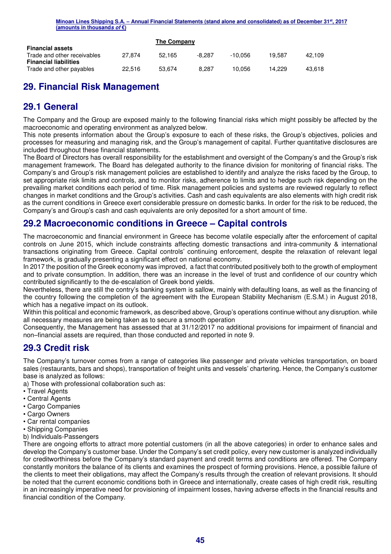|                              |        | The Company |        |         |        |        |
|------------------------------|--------|-------------|--------|---------|--------|--------|
| <b>Financial assets</b>      |        |             |        |         |        |        |
| Trade and other receivables  | 27.874 | 52.165      | -8.287 | -10.056 | 19.587 | 42.109 |
| <b>Financial liabilities</b> |        |             |        |         |        |        |
| Trade and other payables     | 22.516 | 53.674      | 8.287  | 10.056  | 14.229 | 43.618 |

# **29. Financial Risk Management**

## **29.1 General**

The Company and the Group are exposed mainly to the following financial risks which might possibly be affected by the macroeconomic and operating environment as analyzed below.

This note presents information about the Group's exposure to each of these risks, the Group's objectives, policies and processes for measuring and managing risk, and the Group's management of capital. Further quantitative disclosures are included throughout these financial statements.

The Board of Directors has overall responsibility for the establishment and oversight of the Company's and the Group's risk management framework. The Board has delegated authority to the finance division for monitoring of financial risks. The Company's and Group's risk management policies are established to identify and analyze the risks faced by the Group, to set appropriate risk limits and controls, and to monitor risks, adherence to limits and to hedge such risk depending on the prevailing market conditions each period of time. Risk management policies and systems are reviewed regularly to reflect changes in market conditions and the Group's activities. Cash and cash equivalents are also elements with high credit risk as the current conditions in Greece exert considerable pressure on domestic banks. In order for the risk to be reduced, the Company's and Group's cash and cash equivalents are only deposited for a short amount of time.

## **29.2 Macroeconomic conditions in Greece – Capital controls**

The macroeconomic and financial environment in Greece has become volatile especially after the enforcement of capital controls on June 2015, which include constraints affecting domestic transactions and intra-community & international transactions originating from Greece. Capital controls' continuing enforcement, despite the relaxation of relevant legal framework, is gradually presenting a significant effect on national economy.

In 2017 the position of the Greek economy was improved, a fact that contributed positively both to the growth of employment and to private consumption. In addition, there was an increase in the level of trust and confidence of our country which contributed significantly to the de-escalation of Greek bond yields.

Nevertheless, there are still the contry's banking system is sallow, mainly with defaulting loans, as well as the financing of the country following the completion of the agreement with the European Stability Mechanism (E.S.M.) in August 2018, which has a negative impact on its outlook.

Within this political and economic framework, as described above, Group's operations continue without any disruption. while all necessary measures are being taken as to secure a smooth operation

Consequently, the Management has assessed that at 31/12/2017 no additional provisions for impairment of financial and non–financial assets are required, than those conducted and reported in note 9.

## **29.3 Credit risk**

The Company's turnover comes from a range of categories like passenger and private vehicles transportation, on board sales (restaurants, bars and shops), transportation of freight units and vessels' chartering. Hence, the Company's customer base is analyzed as follows:

- a) Those with professional collaboration such as:
- Travel Agents
- Central Agents
- Cargo Companies
- Cargo Owners
- Car rental companies
- Shipping Companies
- b) Individuals-Passengers

There are ongoing efforts to attract more potential customers (in all the above categories) in order to enhance sales and develop the Company's customer base. Under the Company's set credit policy, every new customer is analyzed individually for creditworthiness before the Company's standard payment and credit terms and conditions are offered. The Company constantly monitors the balance of its clients and examines the prospect of forming provisions. Hence, a possible failure of the clients to meet their obligations, may affect the Company's results through the creation of relevant provisions. It should be noted that the current economic conditions both in Greece and internationally, create cases of high credit risk, resulting in an increasingly imperative need for provisioning of impairment losses, having adverse effects in the financial results and financial condition of the Company.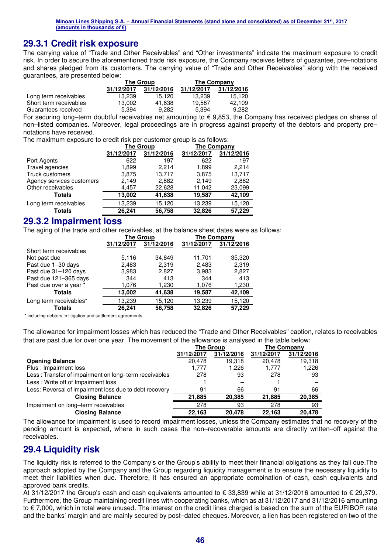## **29.3.1 Credit risk exposure**

The carrying value of "Trade and Other Receivables" and "Other investments" indicate the maximum exposure to credit risk. In order to secure the aforementioned trade risk exposure, the Company receives letters of guarantee, pre–notations and shares pledged from its customers. The carrying value of "Trade and Other Receivables" along with the received guarantees, are presented below:

|                        | <b>The Group</b> |            | <b>The Company</b> |            |
|------------------------|------------------|------------|--------------------|------------|
|                        | 31/12/2017       | 31/12/2016 | 31/12/2017         | 31/12/2016 |
| Long term receivables  | 13.239           | 15.120     | 13.239             | 15.120     |
| Short term receivables | 13.002           | 41.638     | 19.587             | 42.109     |
| Guarantees received    | $-5.394$         | $-9.282$   | -5.394             | $-9.282$   |

For securing long–term doubtful receivables net amounting to € 9,853, the Company has received pledges on shares of non–listed companies. Moreover, legal proceedings are in progress against property of the debtors and property pre– notations have received.

The maximum exposure to credit risk per customer group is as follows:

|                           | <b>The Group</b> |            | The Company |            |
|---------------------------|------------------|------------|-------------|------------|
|                           | 31/12/2017       | 31/12/2016 | 31/12/2017  | 31/12/2016 |
| Port Agents               | 622              | 197        | 622         | 197        |
| Travel agencies           | 1.899            | 2.214      | 1,899       | 2.214      |
| Truck customers           | 3,875            | 13,717     | 3,875       | 13,717     |
| Agency services customers | 2,149            | 2,882      | 2,149       | 2,882      |
| Other receivables         | 4,457            | 22,628     | 11,042      | 23,099     |
| <b>Totals</b>             | 13,002           | 41,638     | 19,587      | 42,109     |
| Long term receivables     | 13,239           | 15,120     | 13,239      | 15,120     |
| <b>Totals</b>             | 26.241           | 56,758     | 32,826      | 57,229     |

## **29.3.2 Impairment loss**

The aging of the trade and other receivables, at the balance sheet dates were as follows:

|                        | <b>The Group</b> |            | <b>The Company</b> |            |
|------------------------|------------------|------------|--------------------|------------|
|                        | 31/12/2017       | 31/12/2016 | 31/12/2017         | 31/12/2016 |
| Short term receivables |                  |            |                    |            |
| Not past due           | 5,116            | 34,849     | 11,701             | 35,320     |
| Past due 1-30 days     | 2,483            | 2,319      | 2,483              | 2.319      |
| Past due 31-120 days   | 3,983            | 2,827      | 3,983              | 2,827      |
| Past due 121-365 days  | 344              | 413        | 344                | 413        |
| Past due over a year * | 1,076            | 1,230      | 1,076              | 1,230      |
| <b>Totals</b>          | 13,002           | 41,638     | 19,587             | 42,109     |
| Long term receivables* | 13,239           | 15,120     | 13,239             | 15,120     |
| <b>Totals</b>          | 26,241           | 56,758     | 32,826             | 57,229     |

\* including debtors in litigation and settlement agreements

The allowance for impairment losses which has reduced the "Trade and Other Receivables" caption, relates to receivables that are past due for over one year. The movement of the allowance is analysed in the table below:

|                                                        | <b>The Group</b> |            |            | <b>The Company</b> |
|--------------------------------------------------------|------------------|------------|------------|--------------------|
|                                                        | 31/12/2017       | 31/12/2016 | 31/12/2017 | 31/12/2016         |
| <b>Opening Balance</b>                                 | 20.478           | 19.318     | 20.478     | 19,318             |
| Plus: Impairment loss                                  | 1.777            | 1.226      | 1.777      | 1,226              |
| Less: Transfer of impairment on long-term receivables  | 278              | 93         | 278        | 93                 |
| Less: Write off of Impairment loss                     |                  |            |            |                    |
| Less: Reversal of impairment loss due to debt recovery | 91               | 66         | 91         | 66                 |
| <b>Closing Balance</b>                                 | 21.885           | 20.385     | 21.885     | 20,385             |
| Impairment on long-term receivables                    | 278              | 93         | 278        | 93                 |
| <b>Closing Balance</b>                                 | 22.163           | 20.478     | 22.163     | 20.478             |

The allowance for impairment is used to record impairment losses, unless the Company estimates that no recovery of the pending amount is expected, where in such cases the non–recoverable amounts are directly written–off against the receivables.

## **29.4 Liquidity risk**

The liquidity risk is referred to the Company's or the Group's ability to meet their financial obligations as they fall due.The approach adopted by the Company and the Group regarding liquidity management is to ensure the necessary liquidity to meet their liabilities when due. Therefore, it has ensured an appropriate combination of cash, cash equivalents and approved bank credits.

At 31/12/2017 the Group's cash and cash equivalents amounted to € 33,839 while at 31/12/2016 amounted to € 29,379. Furthermore, the Group maintaining credit lines with cooperating banks, which as at 31/12/2017 and 31/12/2016 amounting to € 7,000, which in total were unused. The interest on the credit lines charged is based on the sum of the EURIBOR rate and the banks' margin and are mainly secured by post–dated cheques. Moreover, a lien has been registered on two of the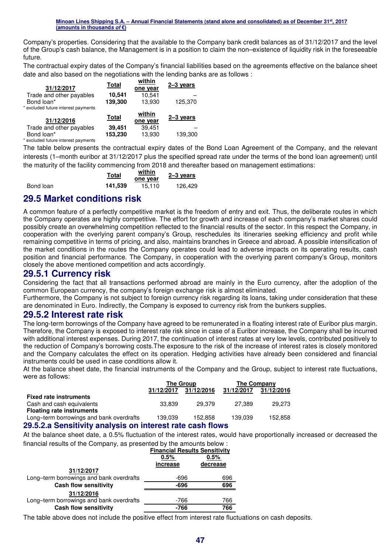Company's properties. Considering that the available to the Company bank credit balances as of 31/12/2017 and the level of the Group's cash balance, the Management is in a position to claim the non–existence of liquidity risk in the foreseeable future.

The contractual expiry dates of the Company's financial liabilities based on the agreements effective on the balance sheet date and also based on the negotiations with the lending banks are as follows :

| Total   | within<br>one year | $2 - 3$ years |
|---------|--------------------|---------------|
| 10,541  | 10,541             |               |
| 139,300 | 13,930             | 125,370       |
|         |                    |               |
|         |                    |               |
| Total   | within<br>one year | $2 - 3$ years |
| 39,451  | 39,451             |               |
|         |                    |               |

\* excluded future interest payments

The table below presents the contractual expiry dates of the Bond Loan Agreement of the Company, and the relevant interests (1–month euribor at 31/12/2017 plus the specified spread rate under the terms of the bond loan agreement) until the maturity of the facility commencing from 2018 and thereafter based on management estimations:

|           | Total   | within<br>one year | 2-3 years |
|-----------|---------|--------------------|-----------|
| Bond loan | 141.539 | 15.110             | 126.429   |

## **29.5 Market conditions risk**

A common feature of a perfectly competitive market is the freedom of entry and exit. Thus, the deliberate routes in which the Company operates are highly competitive. The effort for growth and increase of each company's market shares could possibly create an overwhelming competition reflected to the financial results of the sector. In this respect the Company, in cooperation with the overlying parent company's Group, reschedules its itineraries seeking efficiency and profit while remaining competitive in terms of pricing, and also, maintains branches in Greece and abroad. A possible intensification of the market conditions in the routes the Company operates could lead to adverse impacts on its operating results, cash position and financial performance. The Company, in cooperation with the overlying parent company's Group, monitors closely the above mentioned competition and acts accordingly.

#### **29.5.1 Currency risk**

Considering the fact that all transactions performed abroad are mainly in the Euro currency, after the adoption of the common European currency, the company's foreign exchange risk is almost eliminated.

Furthermore, the Company is not subject to foreign currency risk regarding its loans, taking under consideration that these are denominated in Euro. Indirectly, the Company is exposed to currency risk from the bunkers supplies.

## **29.5.2 Interest rate risk**

The long-term borrowings of the Company have agreed to be remunerated in a floating interest rate of Euribor plus margin. Therefore, the Company is exposed to interest rate risk since in case of a Euribor increase, the Company shall be incurred with additional interest expenses. During 2017, the continuation of interest rates at very low levels, contributed positively to the reduction of Company's borrowing costs.The exposure to the risk of the increase of interest rates is closely monitored and the Company calculates the effect on its operation. Hedging activities have already been considered and financial instruments could be used in case conditions allow it.

At the balance sheet date, the financial instruments of the Company and the Group, subject to interest rate fluctuations, were as follows:

|                                                           | <b>The Group</b> |            | The Company |            |
|-----------------------------------------------------------|------------------|------------|-------------|------------|
|                                                           | 31/12/2017       | 31/12/2016 | 31/12/2017  | 31/12/2016 |
| <b>Fixed rate instruments</b>                             |                  |            |             |            |
| Cash and cash equivalents                                 | 33.839           | 29.379     | 27.389      | 29.273     |
| <b>Floating rate instruments</b>                          |                  |            |             |            |
| Long-term borrowings and bank overdrafts                  | 139.039          | 152.858    | 139.039     | 152,858    |
| 29.5.2.a Sensitivity analysis on interest rate cash flows |                  |            |             |            |

#### At the balance sheet date, a 0.5% fluctuation of the interest rates, would have proportionally increased or decreased the financial results of the Company, as presented by the amounts below :

|                                          | <b>Financial Results Sensitivity</b> |     |  |  |
|------------------------------------------|--------------------------------------|-----|--|--|
|                                          | 0.5%<br>0.5%<br>decrease<br>increase |     |  |  |
|                                          |                                      |     |  |  |
| 31/12/2017                               |                                      |     |  |  |
| Long-term borrowings and bank overdrafts | -696                                 | 696 |  |  |
| <b>Cash flow sensitivity</b>             | -696                                 | 696 |  |  |
| 31/12/2016                               |                                      |     |  |  |
| Long-term borrowings and bank overdrafts | -766                                 | 766 |  |  |
| <b>Cash flow sensitivity</b>             | $-766$                               | 766 |  |  |

The table above does not include the positive effect from interest rate fluctuations on cash deposits.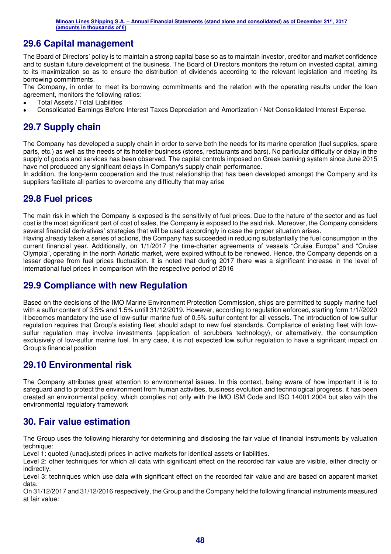## **29.6 Capital management**

The Board of Directors' policy is to maintain a strong capital base so as to maintain investor, creditor and market confidence and to sustain future development of the business. The Board of Directors monitors the return on invested capital, aiming to its maximization so as to ensure the distribution of dividends according to the relevant legislation and meeting its borrowing commitments.

The Company, in order to meet its borrowing commitments and the relation with the operating results under the loan agreement, monitors the following ratios:

- Total Assets / Total Liabilities
- Consolidated Earnings Before Interest Taxes Depreciation and Amortization / Net Consolidated Interest Expense.

## **29.7 Supply chain**

The Company has developed a supply chain in order to serve both the needs for its marine operation (fuel supplies, spare parts, etc.) as well as the needs of its hotelier business (stores, restaurants and bars). No particular difficulty or delay in the supply of goods and services has been observed. The capital controls imposed on Greek banking system since June 2015 have not produced any significant delays in Company's supply chain performance.

In addition, the long-term cooperation and the trust relationship that has been developed amongst the Company and its suppliers facilitate all parties to overcome any difficulty that may arise

## **29.8 Fuel prices**

The main risk in which the Company is exposed is the sensitivity of fuel prices. Due to the nature of the sector and as fuel cost is the most significant part of cost of sales, the Company is exposed to the said risk. Moreover, the Company considers several financial derivatives' strategies that will be used accordingly in case the proper situation arises.

Having already taken a series of actions, the Company has succeeded in reducing substantially the fuel consumption in the current financial year. Additionally, on 1/1/2017 the time-charter agreements of vessels "Cruise Europa" and "Cruise Olympia", operating in the north Adriatic market, were expired without to be renewed. Hence, the Company depends on a lesser degree from fuel prices fluctuation. It is noted that during 2017 there was a significant increase in the level of international fuel prices in comparison with the respective period of 2016

## **29.9 Compliance with new Regulation**

Based on the decisions of the IMO Marine Environment Protection Commission, ships are permitted to supply marine fuel with a sulfur content of 3.5% and 1.5% untill 31/12/2019. However, according to regulation enforced, starting form 1/1//2020 it becomes mandatory the use of low-sulfur marine fuel of 0.5% sulfur content for all vessels. The introduction of low sulfur regulation requires that Group's existing fleet should adapt to new fuel standards. Compliance of existing fleet with lowsulfur regulation may involve investments (application of scrubbers technology), or alternatively, the consumption exclusively of low-sulfur marine fuel. In any case, it is not expected low sulfur regulation to have a significant impact on Group's financial position

## **29.10 Environmental risk**

The Company attributes great attention to environmental issues. In this context, being aware of how important it is to safeguard and to protect the environment from human activities, business evolution and technological progress, it has been created an environmental policy, which complies not only with the IMO ISM Code and ISO 14001:2004 but also with the environmental regulatory framework

## **30. Fair value estimation**

The Group uses the following hierarchy for determining and disclosing the fair value of financial instruments by valuation technique:

Level 1: quoted (unadjusted) prices in active markets for identical assets or liabilities.

Level 2: other techniques for which all data with significant effect on the recorded fair value are visible, either directly or indirectly.

Level 3: techniques which use data with significant effect on the recorded fair value and are based on apparent market data.

On 31/12/2017 and 31/12/2016 respectively, the Group and the Company held the following financial instruments measured at fair value: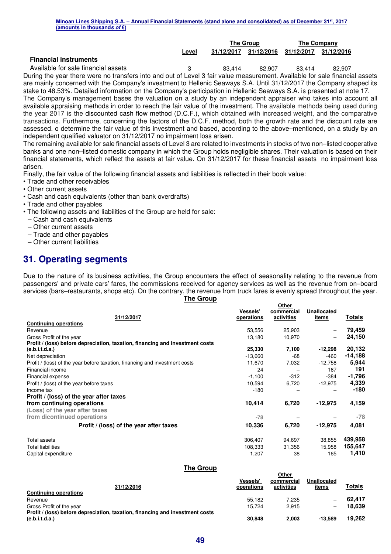|                                     |       | <b>The Group</b> |            | The Company |            |  |  |
|-------------------------------------|-------|------------------|------------|-------------|------------|--|--|
|                                     | Level | 31/12/2017       | 31/12/2016 | 31/12/2017  | 31/12/2016 |  |  |
| <b>Financial instruments</b>        |       |                  |            |             |            |  |  |
| Available for sale financial assets |       | 83.414           | 82.907     | 83.414      | 82,907     |  |  |

During the year there were no transfers into and out of Level 3 fair value measurement. Available for sale financial assets are mainly concerned with the Company's investment to Hellenic Seaways S.A. Until 31/12/2017 the Company shaped its stake to 48.53%. Detailed information on the Company's participation in Hellenic Seaways S.A. is presented at note 17.

The Company's management bases the valuation on a study by an independent appraiser who takes into account all available appraising methods in order to reach the fair value of the investment. The available methods being used during the year 2017 is the discounted cash flow method (D.C.F.), which obtained with increased weight, and the comparative transactions. Furthermore, concerning the factors of the D.C.F. method, both the growth rate and the discount rate are assessed. o determine the fair value of this investment and based, according to the above–mentioned, on a study by an independent qualified valuator on 31/12/2017 no impairment loss arisen.

The remaining available for sale financial assets of Level 3 are related to investments in stocks of two non–listed cooperative banks and one non–listed domestic company in which the Group holds negligible shares. Their valuation is based on their financial statements, which reflect the assets at fair value. On 31/12/2017 for these financial assets no impairment loss arisen.

Finally, the fair value of the following financial assets and liabilities is reflected in their book value:

- Trade and other receivables
- Other current assets
- Cash and cash equivalents (other than bank overdrafts)
- Trade and other payables
- The following assets and liabilities of the Group are held for sale:
- Cash and cash equivalents
- Other current assets
- Trade and other payables
- Other current liabilities

## **31. Operating segments**

Due to the nature of its business activities, the Group encounters the effect of seasonality relating to the revenue from passengers' and private cars' fares, the commissions received for agency services as well as the revenue from on–board services (bars–restaurants, shops etc). On the contrary, the revenue from truck fares is evenly spread throughout the year.

|  |  |  |  | ne Group |
|--|--|--|--|----------|
|--|--|--|--|----------|

**Other** 

**Other** 

|                                                                               | <b>Vessels'</b> | -…<br>commercial | <b>Unallocated</b> |          |
|-------------------------------------------------------------------------------|-----------------|------------------|--------------------|----------|
| 31/12/2017                                                                    | operations      | activities       | items              | Totals   |
| <b>Continuing operations</b>                                                  |                 |                  |                    |          |
| Revenue                                                                       | 53,556          | 25,903           |                    | 79,459   |
| Gross Profit of the year                                                      | 13,180          | 10,970           | -                  | 24,150   |
| Profit / (loss) before depreciation, taxation, financing and investment costs |                 |                  |                    |          |
| (e.b.i.t.d.a.)                                                                | 25,330          | 7,100            | $-12,298$          | 20,132   |
| Net depreciation                                                              | $-13,660$       | -68              | -460               | -14,188  |
| Profit / (loss) of the year before taxation, financing and investment costs   | 11,670          | 7,032            | $-12,758$          | 5,944    |
| Financial income                                                              | 24              |                  | 167                | 191      |
| Financial expense                                                             | $-1,100$        | $-312$           | $-384$             | $-1,796$ |
| Profit / (loss) of the year before taxes                                      | 10,594          | 6,720            | $-12,975$          | 4,339    |
| Income tax                                                                    | $-180$          |                  |                    | -180     |
| Profit / (loss) of the year after taxes                                       |                 |                  |                    |          |
| from continuing operations                                                    | 10,414          | 6,720            | $-12,975$          | 4,159    |
| (Loss) of the year after taxes                                                |                 |                  |                    |          |
| from dicontinued operations                                                   | $-78$           |                  |                    | $-78$    |
| Profit / (loss) of the year after taxes                                       | 10,336          | 6,720            | $-12,975$          | 4,081    |
| Total assets                                                                  | 306,407         | 94,697           | 38,855             | 439,958  |
| <b>Total liabilities</b>                                                      | 108,333         | 31,356           | 15,958             | 155,647  |
| Capital expenditure                                                           | 1,207           | 38               | 165                | 1,410    |

#### **The Group**

| 31/12/2016                                                                    | <b>Vessels</b><br>operations | <b>VUIT</b><br>commercial<br>activities | Unallocated<br>items | Totals |
|-------------------------------------------------------------------------------|------------------------------|-----------------------------------------|----------------------|--------|
| Continuing operations                                                         |                              |                                         |                      |        |
| Revenue                                                                       | 55.182                       | 7.235                                   |                      | 62.417 |
| Gross Profit of the year                                                      | 15.724                       | 2.915                                   |                      | 18.639 |
| Profit / (loss) before depreciation, taxation, financing and investment costs |                              |                                         |                      |        |
| (e.b.i.t.d.a.)                                                                | 30.848                       | 2.003                                   | $-13.589$            | 19.262 |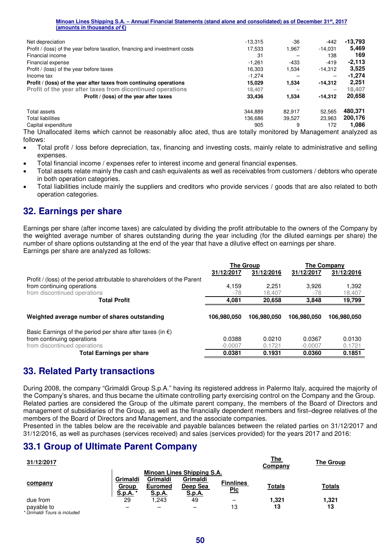| Net depreciation                                                            | $-13.315$ | $-36$  | $-442$    | -13,793  |
|-----------------------------------------------------------------------------|-----------|--------|-----------|----------|
| Profit / (loss) of the year before taxation, financing and investment costs | 17.533    | 1,967  | $-14.031$ | 5.469    |
| Financial income                                                            | 31        |        | 138       | 169      |
| Financial expense                                                           | $-1.261$  | -433   | $-419$    | $-2.113$ |
| Profit / (loss) of the year before taxes                                    | 16.303    | 1,534  | $-14,312$ | 3,525    |
| Income tax                                                                  | -1.274    |        |           | $-1.274$ |
| Profit / (loss) of the year after taxes from continuing operations          | 15.029    | 1,534  | $-14,312$ | 2.251    |
| Profit of the year after taxes from dicontinued operations                  | 18.407    |        |           | 18.407   |
| Profit / (loss) of the year after taxes                                     | 33.436    | 1,534  | $-14.312$ | 20,658   |
| Total assets                                                                | 344.889   | 82.917 | 52.565    | 480,371  |
| <b>Total liabilities</b>                                                    | 136.686   | 39.527 | 23,963    | 200,176  |
| Capital expenditure                                                         | 905       | 9      | 172       | 1.086    |
| $\sim$ $\sim$<br>$\cdots$                                                   |           |        |           |          |

The Unallocated items which cannot be reasonably alloc ated, thus are totally monitored by Management analyzed as follows:

- Total profit / loss before depreciation, tax, financing and investing costs, mainly relate to administrative and selling expenses.
- Total financial income / expenses refer to interest income and general financial expenses.
- Total assets relate mainly the cash and cash equivalents as well as receivables from customers / debtors who operate in both operation categories.
- Total liabilities include mainly the suppliers and creditors who provide services / goods that are also related to both operation categories.

## **32. Earnings per share**

Earnings per share (after income taxes) are calculated by dividing the profit attributable to the owners of the Company by the weighted average number of shares outstanding during the year including (for the diluted earnings per share) the number of share options outstanding at the end of the year that have a dilutive effect on earnings per share. Earnings per share are analyzed as follows:

|                                                                          | <b>The Group</b> |             | The Company |             |
|--------------------------------------------------------------------------|------------------|-------------|-------------|-------------|
|                                                                          | 31/12/2017       | 31/12/2016  | 31/12/2017  | 31/12/2016  |
| Profit / (loss) of the period attributable to shareholders of the Parent |                  |             |             |             |
| from continuing operations                                               | 4,159            | 2.251       | 3,926       | 1,392       |
| from discontinued operations                                             | -78              | 18.407      | -78         | 18,407      |
| <b>Total Profit</b>                                                      | 4,081            | 20,658      | 3.848       | 19,799      |
|                                                                          |                  |             |             |             |
| Weighted average number of shares outstanding                            | 106.980.050      | 106.980.050 | 106.980.050 | 106,980,050 |
| Basic Earnings of the period per share after taxes (in $\epsilon$ )      |                  |             |             |             |
| from continuing operations                                               | 0.0388           | 0.0210      | 0.0367      | 0.0130      |
| from discontinued operations                                             | $-0.0007$        | 0.1721      | $-0.0007$   | 0.1721      |
| <b>Total Earnings per share</b>                                          | 0.0381           | 0.1931      | 0.0360      | 0.1851      |

## **33. Related Party transactions**

During 2008, the company "Grimaldi Group S.p.A." having its registered address in Palermo Italy, acquired the majority of the Company's shares, and thus became the ultimate controlling party exercising control on the Company and the Group. Related parties are considered the Group of the ultimate parent company, the members of the Board of Directors and management of subsidiaries of the Group, as well as the financially dependent members and first–degree relatives of the members of the Board of Directors and Management, and the associate companies.

Presented in the tables below are the receivable and payable balances between the related parties on 31/12/2017 and 31/12/2016, as well as purchases (services received) and sales (services provided) for the years 2017 and 2016:

## **33.1 Group of Ultimate Parent Company**

| 31/12/2017                                 |                             |                                      |                                       |                                | The<br>Company | The Group     |
|--------------------------------------------|-----------------------------|--------------------------------------|---------------------------------------|--------------------------------|----------------|---------------|
|                                            |                             |                                      | Minoan Lines Shipping S.A.            |                                |                |               |
| company                                    | Grimaldi<br>Group<br>S.p.A. | Grimaldi<br><b>Euromed</b><br>S.p.A. | Grimaldi<br>Deep Sea<br><u>S.p.A.</u> | <b>Finnlines</b><br><u>Plc</u> | <b>Totals</b>  | <b>Totals</b> |
| due from                                   | 29                          | 1.243                                | 49                                    |                                | 1,321          | 1,321         |
| payable to<br>* Grimaldi Tours is included |                             |                                      | -                                     | 13                             | 13             | 13            |

**50**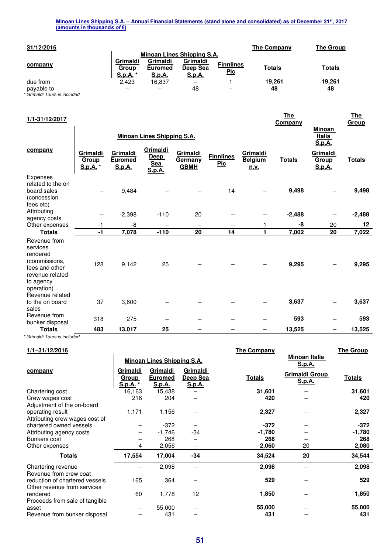| 31/12/2016 |                             |                                      |                                       |                                | The Company   | <b>The Group</b> |
|------------|-----------------------------|--------------------------------------|---------------------------------------|--------------------------------|---------------|------------------|
|            |                             |                                      | Minoan Lines Shipping S.A.            |                                |               |                  |
| company    | Grimaldi<br>Group<br>S.p.A. | Grimaldi<br><b>Euromed</b><br>S.p.A. | Grimaldi<br>Deep Sea<br><u>S.p.A.</u> | <b>Finnlines</b><br><u>Plc</u> | <b>Totals</b> | <b>Totals</b>    |
| due from   | 2.423                       | 16.837                               |                                       |                                | 19.261        | 19,261           |
| payable to | -                           |                                      | 48                                    |                                | 48            | 48               |

*\* Grimaldi Tours is included* 

| 1/1-31/12/2017                                                                                                        |                                    |                                             |                                                        |                                           |                                  |                                    | <u>The</u><br>Company |                                          | <u>The</u><br>Group |
|-----------------------------------------------------------------------------------------------------------------------|------------------------------------|---------------------------------------------|--------------------------------------------------------|-------------------------------------------|----------------------------------|------------------------------------|-----------------------|------------------------------------------|---------------------|
|                                                                                                                       |                                    |                                             | <b>Minoan Lines Shipping S.A.</b>                      |                                           |                                  |                                    |                       | <b>Minoan</b><br><b>Italia</b><br>S.p.A. |                     |
| company                                                                                                               | Grimaldi<br>Group<br><b>S.p.A.</b> | Grimaldi<br><b>Euromed</b><br><b>S.p.A.</b> | Grimaldi<br><b>Deep</b><br><b>Sea</b><br><u>S.p.A.</u> | Grimaldi<br><u>Germany</u><br><b>GBMH</b> | <b>Finnlines</b><br>$P_{\rm LC}$ | Grimaldi<br><b>Belgium</b><br>n.v. | <b>Totals</b>         | Grimaldi<br><b>Group</b><br>S.p.A.       | <b>Totals</b>       |
| Expenses<br>related to the on<br>board sales<br>(concession<br>fees etc)                                              |                                    | 9,484                                       |                                                        |                                           | 14                               |                                    | 9,498                 |                                          | 9,498               |
| Attributing                                                                                                           |                                    | $-2,398$                                    | $-110$                                                 | 20                                        |                                  |                                    | $-2,488$              |                                          | $-2,488$            |
| agency costs<br>Other expenses                                                                                        | -1                                 | -8                                          | $\overline{\phantom{0}}$                               |                                           |                                  |                                    | -8                    | 20                                       | 12                  |
| <b>Totals</b>                                                                                                         | $-1$                               | 7,078                                       | $-110$                                                 | 20                                        | 14                               | 1                                  | 7,002                 | 20                                       | 7,022               |
| Revenue from<br>services<br>rendered<br>(commissions,<br>fees and other<br>revenue related<br>to agency<br>operation) | 128                                | 9,142                                       | 25                                                     |                                           |                                  |                                    | 9,295                 |                                          | 9,295               |
| Revenue related<br>to the on board<br>sales                                                                           | 37                                 | 3,600                                       |                                                        |                                           |                                  |                                    | 3,637                 |                                          | 3,637               |
| Revenue from<br>bunker disposal                                                                                       | 318                                | 275                                         |                                                        |                                           |                                  |                                    | 593                   |                                          | 593                 |
| <b>Totals</b>                                                                                                         | 483                                | 13,017                                      | 25                                                     | -                                         |                                  | -                                  | 13,525                |                                          | 13,525              |

*\* Grimaldi Tours is included* 

| $1/1 - 31/12/2016$                                            |                                      |                                      |                                       | The Company   |                                 | <b>The Group</b> |
|---------------------------------------------------------------|--------------------------------------|--------------------------------------|---------------------------------------|---------------|---------------------------------|------------------|
|                                                               |                                      | <b>Minoan Lines Shipping S.A.</b>    |                                       |               | Minoan Italia<br>S.p.A.         |                  |
| company                                                       | Grimaldi<br><b>Group</b><br>S.p.A. * | Grimaldi<br><b>Euromed</b><br>S.p.A. | Grimaldi<br>Deep Sea<br><u>S.p.A.</u> | <b>Totals</b> | <b>Grimaldi Group</b><br>S.p.A. | <u>Totals</u>    |
| Chartering cost                                               | 16,163                               | 15,438                               |                                       | 31,601        |                                 | 31,601           |
| Crew wages cost<br>Adjustment of the on-board                 | 216                                  | 204                                  |                                       | 420           |                                 | 420              |
| operating result<br>Attributing crew wages cost of            | 1,171                                | 1,156                                |                                       | 2,327         |                                 | 2,327            |
| chartered owned vessels                                       |                                      | $-372$                               |                                       | $-372$        |                                 | $-372$           |
| Attributing agency costs                                      |                                      | $-1,746$                             | -34                                   | -1,780        |                                 | $-1,780$         |
| Bunkers cost                                                  |                                      | 268                                  |                                       | 268           |                                 | 268              |
| Other expenses                                                | 4                                    | 2,056                                | —                                     | 2,060         | 20                              | 2,080            |
| <b>Totals</b>                                                 | 17,554                               | 17,004                               | $-34$                                 | 34,524        | 20                              | 34,544           |
| Chartering revenue<br>Revenue from crew coat                  |                                      | 2,098                                |                                       | 2,098         |                                 | 2,098            |
| reduction of chartered vessels<br>Other revenue from services | 165                                  | 364                                  |                                       | 529           |                                 | 529              |
| rendered<br>Proceeds from sale of tangible                    | 60                                   | 1,778                                | 12                                    | 1,850         |                                 | 1,850            |
| asset                                                         |                                      | 55,000                               |                                       | 55,000        |                                 | 55,000           |
| Revenue from bunker disposal                                  |                                      | 431                                  |                                       | 431           |                                 | 431              |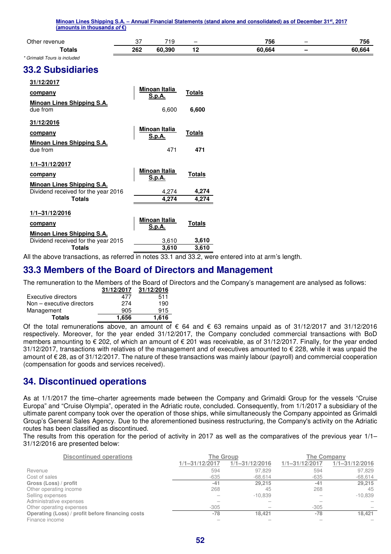| Minoan Lines Shipping S.A. - Annual Financial Statements (stand alone and consolidated) as of December 31st, 2017<br>(amounts in thousands of $\varepsilon$ ) |     |                      |               |        |                 |        |
|---------------------------------------------------------------------------------------------------------------------------------------------------------------|-----|----------------------|---------------|--------|-----------------|--------|
| Other revenue                                                                                                                                                 | 37  | 719                  |               | 756    |                 | 756    |
| <b>Totals</b>                                                                                                                                                 | 262 | 60,390               | 12            | 60,664 | $\qquad \qquad$ | 60,664 |
| * Grimaldi Tours is included                                                                                                                                  |     |                      |               |        |                 |        |
| <b>33.2 Subsidiaries</b>                                                                                                                                      |     |                      |               |        |                 |        |
| 31/12/2017                                                                                                                                                    |     |                      |               |        |                 |        |
| company                                                                                                                                                       |     | Minoan Italia        | <b>Totals</b> |        |                 |        |
| <b>Minoan Lines Shipping S.A.</b>                                                                                                                             |     | <b>S.p.A.</b>        |               |        |                 |        |
| due from                                                                                                                                                      |     | 6,600                | 6,600         |        |                 |        |
| 31/12/2016                                                                                                                                                    |     |                      |               |        |                 |        |
|                                                                                                                                                               |     | <b>Minoan Italia</b> |               |        |                 |        |
| company                                                                                                                                                       |     | S.p.A.               | <b>Totals</b> |        |                 |        |
| <b>Minoan Lines Shipping S.A.</b>                                                                                                                             |     |                      |               |        |                 |        |
| due from                                                                                                                                                      |     | 471                  | 471           |        |                 |        |
| 1/1-31/12/2017                                                                                                                                                |     |                      |               |        |                 |        |
|                                                                                                                                                               |     | <b>Minoan Italia</b> | <b>Totals</b> |        |                 |        |
| company                                                                                                                                                       |     | S.p.A.               |               |        |                 |        |
| <b>Minoan Lines Shipping S.A.</b><br>Dividend received for the year 2016                                                                                      |     | 4,274                | 4,274         |        |                 |        |
| <b>Totals</b>                                                                                                                                                 |     | 4,274                | 4,274         |        |                 |        |
|                                                                                                                                                               |     |                      |               |        |                 |        |
| $1/1 - 31/12/2016$                                                                                                                                            |     |                      |               |        |                 |        |
| company                                                                                                                                                       |     | <b>Minoan Italia</b> | <b>Totals</b> |        |                 |        |
| Minoan Lines Shipping S.A.                                                                                                                                    |     | S.p.A.               |               |        |                 |        |
| Dividend received for the year 2015                                                                                                                           |     | 3,610                | 3,610         |        |                 |        |
| <b>Totals</b>                                                                                                                                                 |     | 3,610                | 3,610         |        |                 |        |

All the above transactions, as referred in notes 33.1 and 33.2, were entered into at arm's length.

## **33.3 Members of the Board of Directors and Management**

The remuneration to the Members of the Board of Directors and the Company's management are analysed as follows:

|                             | 31/12/2017 | 31/12/2016 |
|-----------------------------|------------|------------|
| Executive directors         | 477        | 511        |
| $Non - executive$ directors | 274        | 190        |
| Management                  | 905        | 915        |
| <b>Totals</b>               | 1.656      | 1,616      |

Of the total remunerations above, an amount of € 64 and € 63 remains unpaid as of 31/12/2017 and 31/12/2016 respectively. Moreover, for the year ended 31/12/2017, the Company concluded commercial transactions with BoD members amounting to € 202, of which an amount of € 201 was receivable, as of 31/12/2017. Finally, for the year ended 31/12/2017, transactions with relatives of the management and of executives amounted to € 228, while it was unpaid the amount of € 28, as of 31/12/2017. The nature of these transactions was mainly labour (payroll) and commercial cooperation (compensation for goods and services received).

## **34. Discontinued operations**

As at 1/1/2017 the time–charter agreements made between the Company and Grimaldi Group for the vessels "Cruise Europa" and "Cruise Olympia", operated in the Adriatic route, concluded. Consequently, from 1/1/2017 a subsidiary of the ultimate parent company took over the operation of those ships, while simultaneously the Company appointed as Grimaldi Group's General Sales Agency. Due to the aforementioned business restructuring, the Company's activity on the Adriatic routes has been classified as discontinued.

The results from this operation for the period of activity in 2017 as well as the comparatives of the previous year 1/1– 31/12/2016 are presented below:

| <b>Discontinued operations</b>                   | <b>The Group</b>   |                    | <b>The Company</b> |                    |  |
|--------------------------------------------------|--------------------|--------------------|--------------------|--------------------|--|
|                                                  | $1/1 - 31/12/2017$ | $1/1 - 31/12/2016$ | $1/1 - 31/12/2017$ | $1/1 - 31/12/2016$ |  |
| Revenue                                          | 594                | 97.829             | 594                | 97,829             |  |
| Cost of sales                                    | $-635$             | $-68.614$          | $-635$             | $-68,614$          |  |
| Gross (Loss) / profit                            | $-41$              | 29.215             | $-41$              | 29,215             |  |
| Other operating income                           | 268                | 45                 | 268                | 45                 |  |
| Selling expenses                                 |                    | $-10.839$          |                    | $-10.839$          |  |
| Administrative expenses                          |                    |                    |                    |                    |  |
| Other operating expenses                         | $-305$             |                    | $-305$             |                    |  |
| Operating (Loss) / profit before financing costs | $-78$              | 18.421             | $-78$              | 18.421             |  |
| Finance income                                   |                    |                    |                    |                    |  |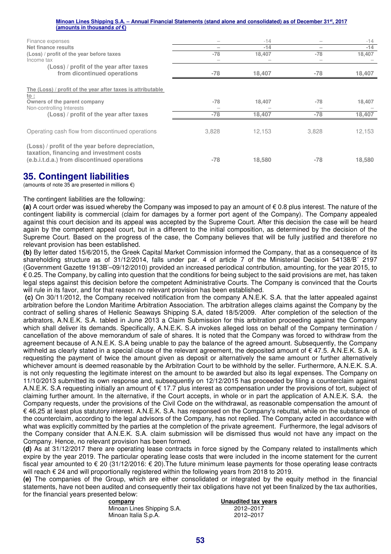| Finance expenses                                                                             |       | $-14$  |       | $-14$  |
|----------------------------------------------------------------------------------------------|-------|--------|-------|--------|
| Net finance results                                                                          |       | $-14$  |       | $-14$  |
| (Loss) / profit of the year before taxes                                                     | $-78$ | 18,407 | $-78$ | 18,407 |
| Income tax                                                                                   |       |        |       |        |
| (Loss) / profit of the year after taxes                                                      |       |        |       |        |
| from dicontinued operations                                                                  | -78   | 18,407 | $-78$ | 18,407 |
| The (Loss) / profit of the year after taxes is attributable<br><u>to :</u>                   |       |        |       |        |
| Owners of the parent company<br>Non-controlling Interests                                    | $-78$ | 18,407 | -78   | 18,407 |
| (Loss) / profit of the year after taxes                                                      | $-78$ | 18,407 | $-78$ | 18,407 |
|                                                                                              |       |        |       |        |
| Operating cash flow from discontinued operations                                             | 3,828 | 12.153 | 3,828 | 12,153 |
| (Loss) / profit of the year before depreciation,<br>taxation, financing and investment costs |       |        |       |        |
| (e.b.i.t.d.a.) from discontinued operations                                                  | $-78$ | 18,580 | -78   | 18,580 |

## **35. Contingent liabilities**

(amounts of note 35 are presented in millions  $\epsilon$ )

#### The contingent liabilities are the following:

**(a)** A court order was issued whereby the Company was imposed to pay an amount of € 0.8 plus interest. The nature of the contingent liability is commercial (claim for damages by a former port agent of the Company). The Company appealed against this court decision and its appeal was accepted by the Supreme Court. After this decision the case will be heard again by the competent appeal court, but in a different to the initial composition, as determined by the decision of the Supreme Court. Based on the progress of the case, the Company believes that will be fully justified and therefore no relevant provision has been established.

**(b)** By letter dated 15/6/2015, the Greek Capital Market Commission informed the Company, that as a consequence of its shareholding structure as of 31/12/2014, falls under par. 4 of article 7 of the Ministerial Decision 54138/B΄ 2197 (Government Gazette 1913Β'–09/12/2010) provided an increased periodical contribution, amounting, for the year 2015, to € 0.25. The Company, by calling into question that the conditions for being subject to the said provisions are met, has taken legal steps against this decision before the competent Administrative Courts. The Company is convinced that the Courts will rule in its favor, and for that reason no relevant provision has been established.

 **(c)** On 30/11/2012, the Company received notification from the company A.N.E.K. S.A. that the latter appealed against arbitration before the London Maritime Arbitration Association. The arbitration alleges claims against the Company by the contract of selling shares of Hellenic Seaways Shipping S.A, dated 18/5/2009. After completion of the selection of the arbitrators, A.N.E.K. S.A. tabled in June 2013 a Claim Submission for this arbitration proceeding against the Company which shall deliver its demands. Specifically, A.N.E.K. S.A invokes alleged loss on behalf of the Company termination / cancellation of the above memorandum of sale of shares. It is noted that the Company was forced to withdraw from the agreement because of A.N.E.K. S.A being unable to pay the balance of the agreed amount. Subsequently, the Company withheld as clearly stated in a special clause of the relevant agreement, the deposited amount of  $\epsilon$  47.5. A.N.E.K. S.A. is requesting the payment of twice the amount given as deposit or alternatively the same amount or further alternatively whichever amount is deemed reasonable by the Arbitration Court to be withhold by the seller. Furthermore, A.N.E.K. S.A. is not only requesting the legitimate interest on the amount to be awarded but also its legal expenses. The Company on 11/10/2013 submitted its own response and, subsequently on 12/12/2015 has proceeded by filing a counterclaim against A.N.E.K. S.A requesting initially an amount of  $\epsilon$  17.7 plus interest as compensation under the provisions of tort, subject of claiming further amount. In the alternative, if the Court accepts, in whole or in part the application of A.N.E.K. S.A. the Company requests, under the provisions of the Civil Code on the withdrawal, as reasonable compensation the amount of € 46,25 at least plus statutory interest. A.N.E.K. S.A. has responsed on the Company's rebuttal, while on the substance of the counterclaim, according to the legal advisors of the Company, has not replied. The Company acted in accordance with what was explicitly committed by the parties at the completion of the private agreement. Furthermore, the legal advisors of the Company consider that A.N.E.K. S.A. claim submission will be dismissed thus would not have any impact on the Company. Hence, no relevant provision has been formed.

**(d)** As at 31/12/2017 there are operating lease contracts in force signed by the Company related to installments which expire by the year 2019. The particular operating lease costs that were included in the income statement for the current fiscal year amounted to € 20 (31/12/2016: € 20).The future minimum lease payments for those operating lease contracts will reach € 24 and will proportionally registered within the following years from 2018 to 2019.

**(e)** The companies of the Group, which are either consolidated or integrated by the equity method in the financial statements, have not been audited and consequently their tax obligations have not yet been finalized by the tax authorities, for the financial years presented below:

Minoan Lines Shipping S.A. 2012–2017<br>Minoan Italia S.p.A. 2012–2017 Minoan Italia S.p.A.

**<u>Unaudited tax years</u>**<br>2012–2017